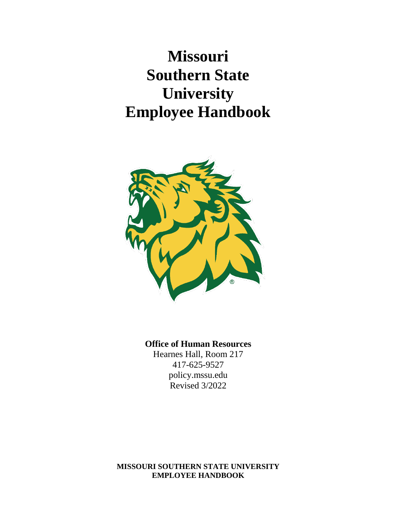**Missouri Southern State University Employee Handbook**



### **Office of Human Resources**

Hearnes Hall, Room 217 417-625-9527 policy.mssu.edu Revised 3/2022

#### **MISSOURI SOUTHERN STATE UNIVERSITY EMPLOYEE HANDBOOK**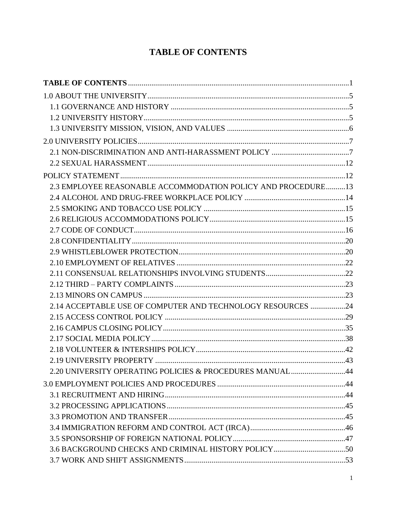# **TABLE OF CONTENTS**

<span id="page-1-0"></span>

| 2.3 EMPLOYEE REASONABLE ACCOMMODATION POLICY AND PROCEDURE13 |  |
|--------------------------------------------------------------|--|
|                                                              |  |
|                                                              |  |
|                                                              |  |
|                                                              |  |
|                                                              |  |
|                                                              |  |
|                                                              |  |
|                                                              |  |
|                                                              |  |
|                                                              |  |
| 2.14 ACCEPTABLE USE OF COMPUTER AND TECHNOLOGY RESOURCES 24  |  |
|                                                              |  |
|                                                              |  |
|                                                              |  |
|                                                              |  |
| 2.20 UNIVERSITY OPERATING POLICIES & PROCEDURES MANUAL44     |  |
|                                                              |  |
|                                                              |  |
|                                                              |  |
|                                                              |  |
|                                                              |  |
|                                                              |  |
|                                                              |  |
|                                                              |  |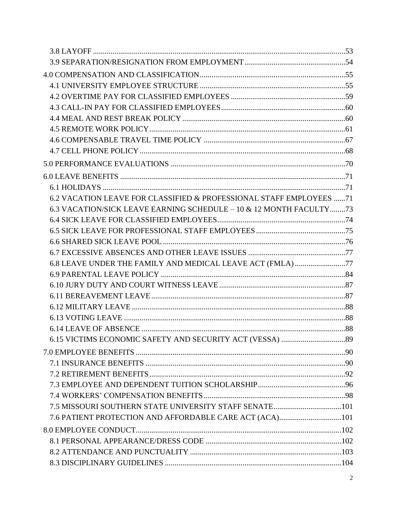| 6.2 VACATION LEAVE FOR CLASSIFIED & PROFESSIONAL STAFF EMPLOYEES 71 |  |
|---------------------------------------------------------------------|--|
| 6.3 VACATION/SICK LEAVE EARNING SCHEDULE – 10 & 12 MONTH FACULTY73  |  |
|                                                                     |  |
|                                                                     |  |
|                                                                     |  |
|                                                                     |  |
| 6.8 LEAVE UNDER THE FAMILY AND MEDICAL LEAVE ACT (FMLA)77           |  |
|                                                                     |  |
|                                                                     |  |
|                                                                     |  |
|                                                                     |  |
|                                                                     |  |
|                                                                     |  |
|                                                                     |  |
|                                                                     |  |
|                                                                     |  |
|                                                                     |  |
|                                                                     |  |
|                                                                     |  |
|                                                                     |  |
| 7.6 PATIENT PROTECTION AND AFFORDABLE CARE ACT (ACA)101             |  |
|                                                                     |  |
|                                                                     |  |
|                                                                     |  |
|                                                                     |  |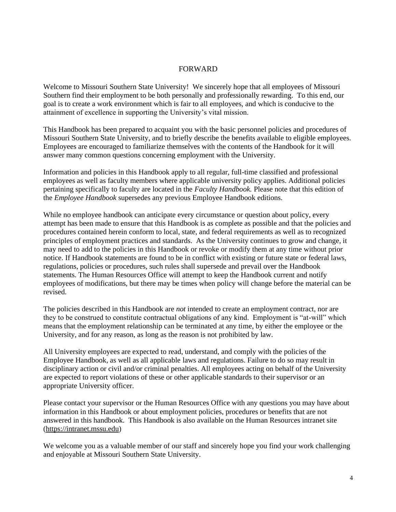#### FORWARD

Welcome to Missouri Southern State University! We sincerely hope that all employees of Missouri Southern find their employment to be both personally and professionally rewarding. To this end, our goal is to create a work environment which is fair to all employees, and which is conducive to the attainment of excellence in supporting the University's vital mission.

This Handbook has been prepared to acquaint you with the basic personnel policies and procedures of Missouri Southern State University, and to briefly describe the benefits available to eligible employees. Employees are encouraged to familiarize themselves with the contents of the Handbook for it will answer many common questions concerning employment with the University.

Information and policies in this Handbook apply to all regular, full-time classified and professional employees as well as faculty members where applicable university policy applies. Additional policies pertaining specifically to faculty are located in the *Faculty Handbook.* Please note that this edition of the *Employee Handbook* supersedes any previous Employee Handbook editions.

While no employee handbook can anticipate every circumstance or question about policy, every attempt has been made to ensure that this Handbook is as complete as possible and that the policies and procedures contained herein conform to local, state, and federal requirements as well as to recognized principles of employment practices and standards. As the University continues to grow and change, it may need to add to the policies in this Handbook or revoke or modify them at any time without prior notice. If Handbook statements are found to be in conflict with existing or future state or federal laws, regulations, policies or procedures, such rules shall supersede and prevail over the Handbook statements. The Human Resources Office will attempt to keep the Handbook current and notify employees of modifications, but there may be times when policy will change before the material can be revised.

The policies described in this Handbook are *not* intended to create an employment contract, nor are they to be construed to constitute contractual obligations of any kind. Employment is "at-will" which means that the employment relationship can be terminated at any time, by either the employee or the University, and for any reason, as long as the reason is not prohibited by law.

All University employees are expected to read, understand, and comply with the policies of the Employee Handbook, as well as all applicable laws and regulations. Failure to do so may result in disciplinary action or civil and/or criminal penalties. All employees acting on behalf of the University are expected to report violations of these or other applicable standards to their supervisor or an appropriate University officer.

Please contact your supervisor or the Human Resources Office with any questions you may have about information in this Handbook or about employment policies, procedures or benefits that are not answered in this handbook. This Handbook is also available on the Human Resources intranet site [\(https://intranet.mssu.edu\)](https://intranet.mssu.edu/)

We welcome you as a valuable member of our staff and sincerely hope you find your work challenging and enjoyable at Missouri Southern State University.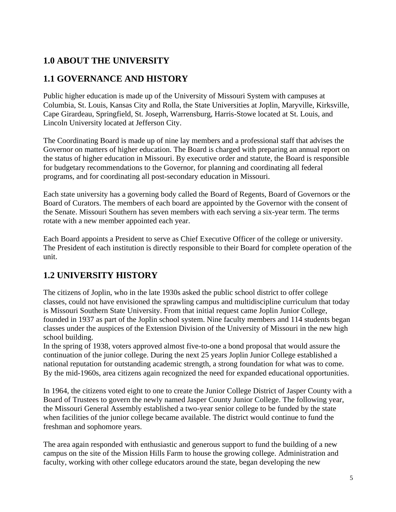# <span id="page-5-0"></span>**1.0 ABOUT THE UNIVERSITY**

# <span id="page-5-1"></span>**1.1 GOVERNANCE AND HISTORY**

Public higher education is made up of the University of Missouri System with campuses at Columbia, St. Louis, Kansas City and Rolla, the State Universities at Joplin, Maryville, Kirksville, Cape Girardeau, Springfield, St. Joseph, Warrensburg, Harris-Stowe located at St. Louis, and Lincoln University located at Jefferson City.

The Coordinating Board is made up of nine lay members and a professional staff that advises the Governor on matters of higher education. The Board is charged with preparing an annual report on the status of higher education in Missouri. By executive order and statute, the Board is responsible for budgetary recommendations to the Governor, for planning and coordinating all federal programs, and for coordinating all post-secondary education in Missouri.

Each state university has a governing body called the Board of Regents, Board of Governors or the Board of Curators. The members of each board are appointed by the Governor with the consent of the Senate. Missouri Southern has seven members with each serving a six-year term. The terms rotate with a new member appointed each year.

Each Board appoints a President to serve as Chief Executive Officer of the college or university. The President of each institution is directly responsible to their Board for complete operation of the unit.

# <span id="page-5-2"></span>**1.2 UNIVERSITY HISTORY**

The citizens of Joplin, who in the late 1930s asked the public school district to offer college classes, could not have envisioned the sprawling campus and multidiscipline curriculum that today is Missouri Southern State University. From that initial request came Joplin Junior College, founded in 1937 as part of the Joplin school system. Nine faculty members and 114 students began classes under the auspices of the Extension Division of the University of Missouri in the new high school building.

In the spring of 1938, voters approved almost five-to-one a bond proposal that would assure the continuation of the junior college. During the next 25 years Joplin Junior College established a national reputation for outstanding academic strength, a strong foundation for what was to come. By the mid-1960s, area citizens again recognized the need for expanded educational opportunities.

In 1964, the citizens voted eight to one to create the Junior College District of Jasper County with a Board of Trustees to govern the newly named Jasper County Junior College. The following year, the Missouri General Assembly established a two-year senior college to be funded by the state when facilities of the junior college became available. The district would continue to fund the freshman and sophomore years.

The area again responded with enthusiastic and generous support to fund the building of a new campus on the site of the Mission Hills Farm to house the growing college. Administration and faculty, working with other college educators around the state, began developing the new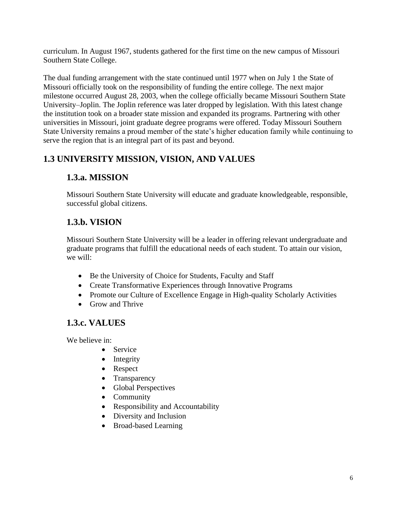curriculum. In August 1967, students gathered for the first time on the new campus of Missouri Southern State College.

The dual funding arrangement with the state continued until 1977 when on July 1 the State of Missouri officially took on the responsibility of funding the entire college. The next major milestone occurred August 28, 2003, when the college officially became Missouri Southern State University–Joplin. The Joplin reference was later dropped by legislation. With this latest change the institution took on a broader state mission and expanded its programs. Partnering with other universities in Missouri, joint graduate degree programs were offered. Today Missouri Southern State University remains a proud member of the state's higher education family while continuing to serve the region that is an integral part of its past and beyond.

# <span id="page-6-0"></span>**1.3 UNIVERSITY MISSION, VISION, AND VALUES**

## **1.3.a. MISSION**

Missouri Southern State University will educate and graduate knowledgeable, responsible, successful global citizens.

## **1.3.b. VISION**

Missouri Southern State University will be a leader in offering relevant undergraduate and graduate programs that fulfill the educational needs of each student. To attain our vision, we will:

- Be the University of Choice for Students, Faculty and Staff
- Create Transformative Experiences through Innovative Programs
- Promote our Culture of Excellence Engage in High-quality Scholarly Activities
- Grow and Thrive

# **1.3.c. VALUES**

We believe in:

- Service
- Integrity
- Respect
- Transparency
- Global Perspectives
- Community
- Responsibility and Accountability
- Diversity and Inclusion
- <span id="page-6-1"></span>• Broad-based Learning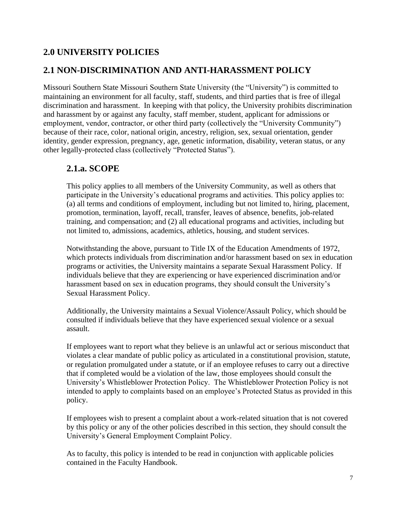### **2.0 UNIVERSITY POLICIES**

### <span id="page-7-0"></span>**2.1 NON-DISCRIMINATION AND ANTI-HARASSMENT POLICY**

Missouri Southern State Missouri Southern State University (the "University") is committed to maintaining an environment for all faculty, staff, students, and third parties that is free of illegal discrimination and harassment. In keeping with that policy, the University prohibits discrimination and harassment by or against any faculty, staff member, student, applicant for admissions or employment, vendor, contractor, or other third party (collectively the "University Community") because of their race, color, national origin, ancestry, religion, sex, sexual orientation, gender identity, gender expression, pregnancy, age, genetic information, disability, veteran status, or any other legally-protected class (collectively "Protected Status").

#### **2.1.a. SCOPE**

This policy applies to all members of the University Community, as well as others that participate in the University's educational programs and activities. This policy applies to: (a) all terms and conditions of employment, including but not limited to, hiring, placement, promotion, termination, layoff, recall, transfer, leaves of absence, benefits, job-related training, and compensation; and (2) all educational programs and activities, including but not limited to, admissions, academics, athletics, housing, and student services.

Notwithstanding the above, pursuant to Title IX of the Education Amendments of 1972, which protects individuals from discrimination and/or harassment based on sex in education programs or activities, the University maintains a separate Sexual Harassment Policy. If individuals believe that they are experiencing or have experienced discrimination and/or harassment based on sex in education programs, they should consult the University's Sexual Harassment Policy.

Additionally, the University maintains a Sexual Violence/Assault Policy, which should be consulted if individuals believe that they have experienced sexual violence or a sexual assault.

If employees want to report what they believe is an unlawful act or serious misconduct that violates a clear mandate of public policy as articulated in a constitutional provision, statute, or regulation promulgated under a statute, or if an employee refuses to carry out a directive that if completed would be a violation of the law, those employees should consult the University's Whistleblower Protection Policy. The Whistleblower Protection Policy is not intended to apply to complaints based on an employee's Protected Status as provided in this policy.

If employees wish to present a complaint about a work-related situation that is not covered by this policy or any of the other policies described in this section, they should consult the University's General Employment Complaint Policy.

As to faculty, this policy is intended to be read in conjunction with applicable policies contained in the Faculty Handbook.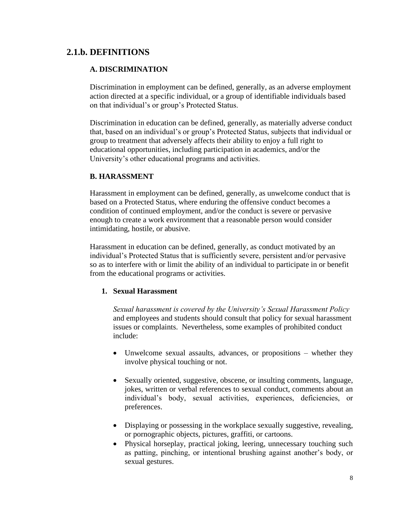### **2.1.b. DEFINITIONS**

#### **A. DISCRIMINATION**

Discrimination in employment can be defined, generally, as an adverse employment action directed at a specific individual, or a group of identifiable individuals based on that individual's or group's Protected Status.

Discrimination in education can be defined, generally, as materially adverse conduct that, based on an individual's or group's Protected Status, subjects that individual or group to treatment that adversely affects their ability to enjoy a full right to educational opportunities, including participation in academics, and/or the University's other educational programs and activities.

#### **B. HARASSMENT**

Harassment in employment can be defined, generally, as unwelcome conduct that is based on a Protected Status, where enduring the offensive conduct becomes a condition of continued employment, and/or the conduct is severe or pervasive enough to create a work environment that a reasonable person would consider intimidating, hostile, or abusive.

Harassment in education can be defined, generally, as conduct motivated by an individual's Protected Status that is sufficiently severe, persistent and/or pervasive so as to interfere with or limit the ability of an individual to participate in or benefit from the educational programs or activities.

#### **1. Sexual Harassment**

*Sexual harassment is covered by the University's Sexual Harassment Policy* and employees and students should consult that policy for sexual harassment issues or complaints. Nevertheless, some examples of prohibited conduct include:

- Unwelcome sexual assaults, advances, or propositions whether they involve physical touching or not.
- Sexually oriented, suggestive, obscene, or insulting comments, language, jokes, written or verbal references to sexual conduct, comments about an individual's body, sexual activities, experiences, deficiencies, or preferences.
- Displaying or possessing in the workplace sexually suggestive, revealing, or pornographic objects, pictures, graffiti, or cartoons.
- Physical horseplay, practical joking, leering, unnecessary touching such as patting, pinching, or intentional brushing against another's body, or sexual gestures.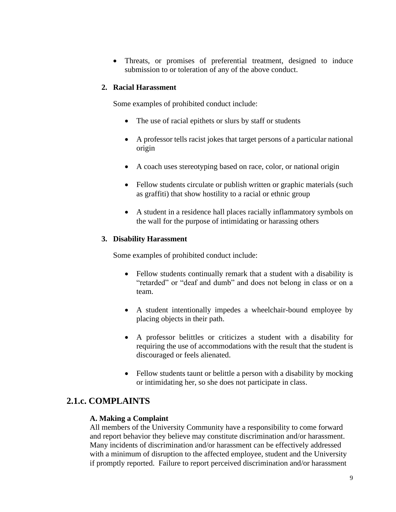• Threats, or promises of preferential treatment, designed to induce submission to or toleration of any of the above conduct.

#### **2. Racial Harassment**

Some examples of prohibited conduct include:

- The use of racial epithets or slurs by staff or students
- A professor tells racist jokes that target persons of a particular national origin
- A coach uses stereotyping based on race, color, or national origin
- Fellow students circulate or publish written or graphic materials (such as graffiti) that show hostility to a racial or ethnic group
- A student in a residence hall places racially inflammatory symbols on the wall for the purpose of intimidating or harassing others

#### **3. Disability Harassment**

Some examples of prohibited conduct include:

- Fellow students continually remark that a student with a disability is "retarded" or "deaf and dumb" and does not belong in class or on a team.
- A student intentionally impedes a wheelchair-bound employee by placing objects in their path.
- A professor belittles or criticizes a student with a disability for requiring the use of accommodations with the result that the student is discouraged or feels alienated.
- Fellow students taunt or belittle a person with a disability by mocking or intimidating her, so she does not participate in class.

#### **2.1.c. COMPLAINTS**

#### **A. Making a Complaint**

All members of the University Community have a responsibility to come forward and report behavior they believe may constitute discrimination and/or harassment. Many incidents of discrimination and/or harassment can be effectively addressed with a minimum of disruption to the affected employee, student and the University if promptly reported. Failure to report perceived discrimination and/or harassment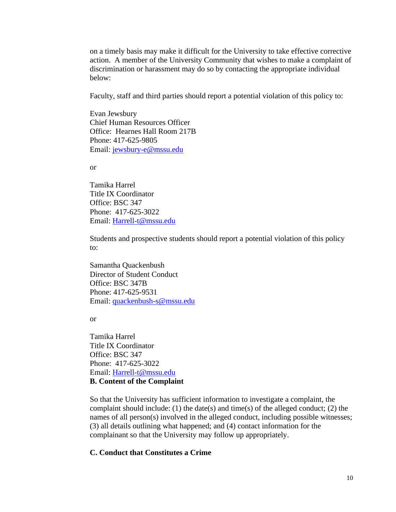on a timely basis may make it difficult for the University to take effective corrective action. A member of the University Community that wishes to make a complaint of discrimination or harassment may do so by contacting the appropriate individual below:

Faculty, staff and third parties should report a potential violation of this policy to:

Evan Jewsbury Chief Human Resources Officer Office: Hearnes Hall Room 217B Phone: 417-625-9805 Email: [jewsbury-e@mssu.edu](mailto:jewsbury-e@mssu.edu)

or

Tamika Harrel Title IX Coordinator Office: BSC 347 Phone: 417-625-3022 Email: [Harrell-t@mssu.edu](mailto:Harrell-t@mssu.edu)

Students and prospective students should report a potential violation of this policy to:

Samantha Quackenbush Director of Student Conduct Office: BSC 347B Phone: 417-625-9531 Email: [quackenbush-s@mssu.edu](mailto:quackenbush-s@mssu.edu)

or

Tamika Harrel Title IX Coordinator Office: BSC 347 Phone: 417-625-3022 Email: [Harrell-t@mssu.edu](mailto:Harrell-t@mssu.edu) **B. Content of the Complaint**

So that the University has sufficient information to investigate a complaint, the complaint should include: (1) the date(s) and time(s) of the alleged conduct; (2) the names of all person(s) involved in the alleged conduct, including possible witnesses; (3) all details outlining what happened; and (4) contact information for the complainant so that the University may follow up appropriately.

#### **C. Conduct that Constitutes a Crime**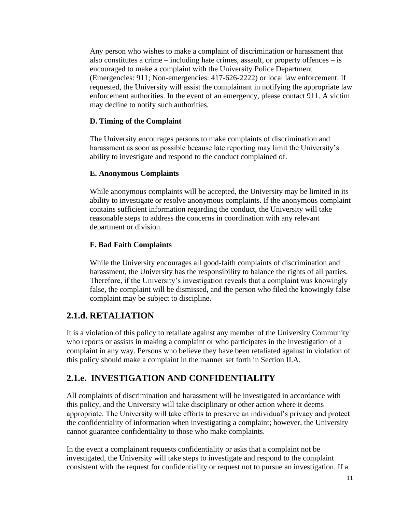Any person who wishes to make a complaint of discrimination or harassment that also constitutes a crime – including hate crimes, assault, or property offences – is encouraged to make a complaint with the University Police Department (Emergencies: 911; Non-emergencies: 417-626-2222) or local law enforcement. If requested, the University will assist the complainant in notifying the appropriate law enforcement authorities. In the event of an emergency, please contact 911. A victim may decline to notify such authorities.

#### **D. Timing of the Complaint**

The University encourages persons to make complaints of discrimination and harassment as soon as possible because late reporting may limit the University's ability to investigate and respond to the conduct complained of.

#### **E. Anonymous Complaints**

While anonymous complaints will be accepted, the University may be limited in its ability to investigate or resolve anonymous complaints. If the anonymous complaint contains sufficient information regarding the conduct, the University will take reasonable steps to address the concerns in coordination with any relevant department or division.

#### **F. Bad Faith Complaints**

While the University encourages all good-faith complaints of discrimination and harassment, the University has the responsibility to balance the rights of all parties. Therefore, if the University's investigation reveals that a complaint was knowingly false, the complaint will be dismissed, and the person who filed the knowingly false complaint may be subject to discipline.

### **2.1.d. RETALIATION**

It is a violation of this policy to retaliate against any member of the University Community who reports or assists in making a complaint or who participates in the investigation of a complaint in any way. Persons who believe they have been retaliated against in violation of this policy should make a complaint in the manner set forth in Section II.A.

# **2.1.e. INVESTIGATION AND CONFIDENTIALITY**

All complaints of discrimination and harassment will be investigated in accordance with this policy, and the University will take disciplinary or other action where it deems appropriate. The University will take efforts to preserve an individual's privacy and protect the confidentiality of information when investigating a complaint; however, the University cannot guarantee confidentiality to those who make complaints.

In the event a complainant requests confidentiality or asks that a complaint not be investigated, the University will take steps to investigate and respond to the complaint consistent with the request for confidentiality or request not to pursue an investigation. If a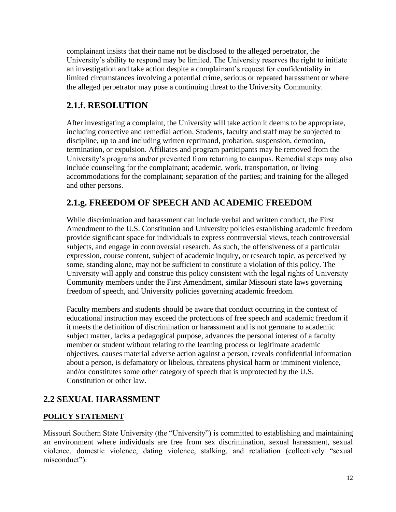complainant insists that their name not be disclosed to the alleged perpetrator, the University's ability to respond may be limited. The University reserves the right to initiate an investigation and take action despite a complainant's request for confidentiality in limited circumstances involving a potential crime, serious or repeated harassment or where the alleged perpetrator may pose a continuing threat to the University Community.

## **2.1.f. RESOLUTION**

After investigating a complaint, the University will take action it deems to be appropriate, including corrective and remedial action. Students, faculty and staff may be subjected to discipline, up to and including written reprimand, probation, suspension, demotion, termination, or expulsion. Affiliates and program participants may be removed from the University's programs and/or prevented from returning to campus. Remedial steps may also include counseling for the complainant; academic, work, transportation, or living accommodations for the complainant; separation of the parties; and training for the alleged and other persons.

## **2.1.g. FREEDOM OF SPEECH AND ACADEMIC FREEDOM**

While discrimination and harassment can include verbal and written conduct, the First Amendment to the U.S. Constitution and University policies establishing academic freedom provide significant space for individuals to express controversial views, teach controversial subjects, and engage in controversial research. As such, the offensiveness of a particular expression, course content, subject of academic inquiry, or research topic, as perceived by some, standing alone, may not be sufficient to constitute a violation of this policy. The University will apply and construe this policy consistent with the legal rights of University Community members under the First Amendment, similar Missouri state laws governing freedom of speech, and University policies governing academic freedom.

Faculty members and students should be aware that conduct occurring in the context of educational instruction may exceed the protections of free speech and academic freedom if it meets the definition of discrimination or harassment and is not germane to academic subject matter, lacks a pedagogical purpose, advances the personal interest of a faculty member or student without relating to the learning process or legitimate academic objectives, causes material adverse action against a person, reveals confidential information about a person, is defamatory or libelous, threatens physical harm or imminent violence, and/or constitutes some other category of speech that is unprotected by the U.S. Constitution or other law.

# <span id="page-12-0"></span>**2.2 SEXUAL HARASSMENT**

#### <span id="page-12-1"></span>**POLICY STATEMENT**

Missouri Southern State University (the "University") is committed to establishing and maintaining an environment where individuals are free from sex discrimination, sexual harassment, sexual violence, domestic violence, dating violence, stalking, and retaliation (collectively "sexual misconduct").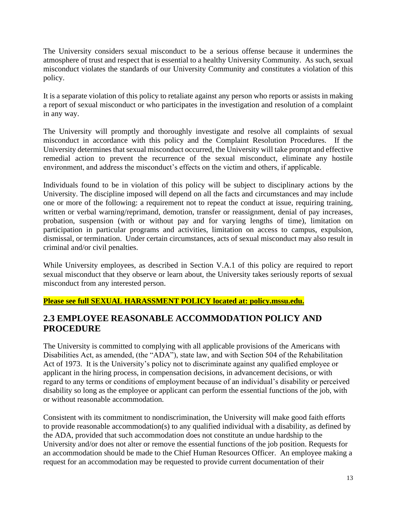The University considers sexual misconduct to be a serious offense because it undermines the atmosphere of trust and respect that is essential to a healthy University Community. As such, sexual misconduct violates the standards of our University Community and constitutes a violation of this policy.

It is a separate violation of this policy to retaliate against any person who reports or assists in making a report of sexual misconduct or who participates in the investigation and resolution of a complaint in any way.

The University will promptly and thoroughly investigate and resolve all complaints of sexual misconduct in accordance with this policy and the Complaint Resolution Procedures. If the University determines that sexual misconduct occurred, the University will take prompt and effective remedial action to prevent the recurrence of the sexual misconduct, eliminate any hostile environment, and address the misconduct's effects on the victim and others, if applicable.

Individuals found to be in violation of this policy will be subject to disciplinary actions by the University. The discipline imposed will depend on all the facts and circumstances and may include one or more of the following: a requirement not to repeat the conduct at issue, requiring training, written or verbal warning/reprimand, demotion, transfer or reassignment, denial of pay increases, probation, suspension (with or without pay and for varying lengths of time), limitation on participation in particular programs and activities, limitation on access to campus, expulsion, dismissal, or termination. Under certain circumstances, acts of sexual misconduct may also result in criminal and/or civil penalties.

While University employees, as described in Section V.A.1 of this policy are required to report sexual misconduct that they observe or learn about, the University takes seriously reports of sexual misconduct from any interested person.

#### **Please see full SEXUAL HARASSMENT POLICY located at: policy.mssu.edu.**

### <span id="page-13-0"></span>**2.3 EMPLOYEE REASONABLE ACCOMMODATION POLICY AND PROCEDURE**

The University is committed to complying with all applicable provisions of the Americans with Disabilities Act, as amended, (the "ADA"), state law, and with Section 504 of the Rehabilitation Act of 1973. It is the University's policy not to discriminate against any qualified employee or applicant in the hiring process, in compensation decisions, in advancement decisions, or with regard to any terms or conditions of employment because of an individual's disability or perceived disability so long as the employee or applicant can perform the essential functions of the job, with or without reasonable accommodation.

Consistent with its commitment to nondiscrimination, the University will make good faith efforts to provide reasonable accommodation(s) to any qualified individual with a disability, as defined by the ADA, provided that such accommodation does not constitute an undue hardship to the University and/or does not alter or remove the essential functions of the job position. Requests for an accommodation should be made to the Chief Human Resources Officer. An employee making a request for an accommodation may be requested to provide current documentation of their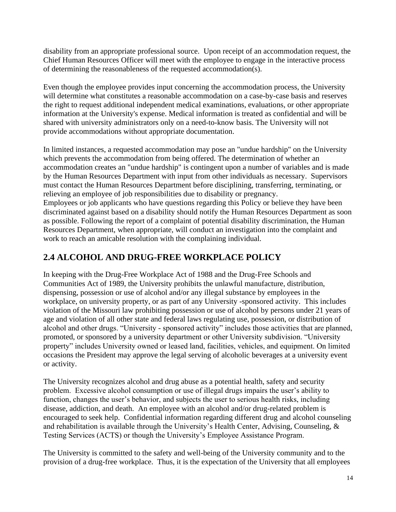disability from an appropriate professional source. Upon receipt of an accommodation request, the Chief Human Resources Officer will meet with the employee to engage in the interactive process of determining the reasonableness of the requested accommodation(s).

Even though the employee provides input concerning the accommodation process, the University will determine what constitutes a reasonable accommodation on a case-by-case basis and reserves the right to request additional independent medical examinations, evaluations, or other appropriate information at the University's expense. Medical information is treated as confidential and will be shared with university administrators only on a need-to-know basis. The University will not provide accommodations without appropriate documentation.

In limited instances, a requested accommodation may pose an "undue hardship" on the University which prevents the accommodation from being offered. The determination of whether an accommodation creates an "undue hardship" is contingent upon a number of variables and is made by the Human Resources Department with input from other individuals as necessary. Supervisors must contact the Human Resources Department before disciplining, transferring, terminating, or relieving an employee of job responsibilities due to disability or pregnancy. Employees or job applicants who have questions regarding this Policy or believe they have been discriminated against based on a disability should notify the Human Resources Department as soon as possible. Following the report of a complaint of potential disability discrimination, the Human Resources Department, when appropriate, will conduct an investigation into the complaint and work to reach an amicable resolution with the complaining individual.

# <span id="page-14-0"></span>**2.4 ALCOHOL AND DRUG-FREE WORKPLACE POLICY**

In keeping with the Drug-Free Workplace Act of 1988 and the Drug-Free Schools and Communities Act of 1989, the University prohibits the unlawful manufacture, distribution, dispensing, possession or use of alcohol and/or any illegal substance by employees in the workplace, on university property, or as part of any University -sponsored activity. This includes violation of the Missouri law prohibiting possession or use of alcohol by persons under 21 years of age and violation of all other state and federal laws regulating use, possession, or distribution of alcohol and other drugs. "University - sponsored activity" includes those activities that are planned, promoted, or sponsored by a university department or other University subdivision. "University property" includes University owned or leased land, facilities, vehicles, and equipment. On limited occasions the President may approve the legal serving of alcoholic beverages at a university event or activity.

The University recognizes alcohol and drug abuse as a potential health, safety and security problem. Excessive alcohol consumption or use of illegal drugs impairs the user's ability to function, changes the user's behavior, and subjects the user to serious health risks, including disease, addiction, and death. An employee with an alcohol and/or drug-related problem is encouraged to seek help. Confidential information regarding different drug and alcohol counseling and rehabilitation is available through the University's Health Center, Advising, Counseling, & Testing Services (ACTS) or though the University's Employee Assistance Program.

The University is committed to the safety and well-being of the University community and to the provision of a drug-free workplace. Thus, it is the expectation of the University that all employees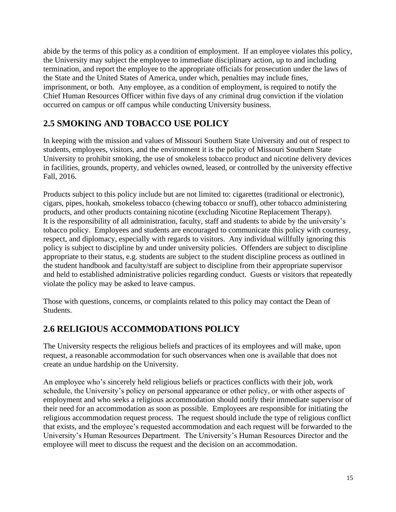abide by the terms of this policy as a condition of employment. If an employee violates this policy, the University may subject the employee to immediate disciplinary action, up to and including termination, and report the employee to the appropriate officials for prosecution under the laws of the State and the United States of America, under which, penalties may include fines, imprisonment, or both. Any employee, as a condition of employment, is required to notify the Chief Human Resources Officer within five days of any criminal drug conviction if the violation occurred on campus or off campus while conducting University business.

# <span id="page-15-0"></span>**2.5 SMOKING AND TOBACCO USE POLICY**

In keeping with the mission and values of Missouri Southern State University and out of respect to students, employees, visitors, and the environment it is the policy of Missouri Southern State University to prohibit smoking, the use of smokeless tobacco product and nicotine delivery devices in facilities, grounds, property, and vehicles owned, leased, or controlled by the university effective Fall, 2016.

Products subject to this policy include but are not limited to: cigarettes (traditional or electronic), cigars, pipes, hookah, smokeless tobacco (chewing tobacco or snuff), other tobacco administering products, and other products containing nicotine (excluding Nicotine Replacement Therapy). It is the responsibility of all administration, faculty, staff and students to abide by the university's tobacco policy. Employees and students are encouraged to communicate this policy with courtesy, respect, and diplomacy, especially with regards to visitors. Any individual willfully ignoring this policy is subject to discipline by and under university policies. Offenders are subject to discipline appropriate to their status, e.g. students are subject to the student discipline process as outlined in the student handbook and faculty/staff are subject to discipline from their appropriate supervisor and held to established administrative policies regarding conduct. Guests or visitors that repeatedly violate the policy may be asked to leave campus.

Those with questions, concerns, or complaints related to this policy may contact the Dean of Students.

# <span id="page-15-1"></span>**2.6 RELIGIOUS ACCOMMODATIONS POLICY**

The University respects the religious beliefs and practices of its employees and will make, upon request, a reasonable accommodation for such observances when one is available that does not create an undue hardship on the University.

An employee who's sincerely held religious beliefs or practices conflicts with their job, work schedule, the University's policy on personal appearance or other policy, or with other aspects of employment and who seeks a religious accommodation should notify their immediate supervisor of their need for an accommodation as soon as possible. Employees are responsible for initiating the religious accommodation request process. The request should include the type of religious conflict that exists, and the employee's requested accommodation and each request will be forwarded to the University's Human Resources Department. The University's Human Resources Director and the employee will meet to discuss the request and the decision on an accommodation.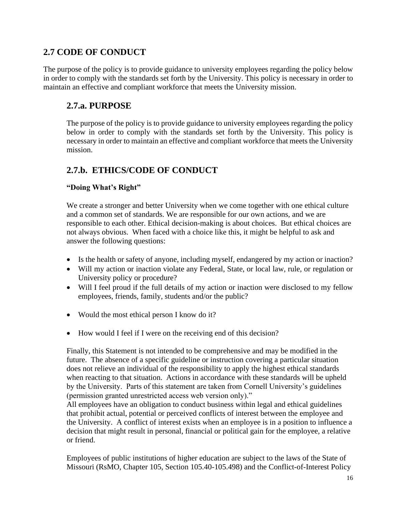### <span id="page-16-0"></span>**2.7 CODE OF CONDUCT**

The purpose of the policy is to provide guidance to university employees regarding the policy below in order to comply with the standards set forth by the University. This policy is necessary in order to maintain an effective and compliant workforce that meets the University mission.

### **2.7.a. PURPOSE**

The purpose of the policy is to provide guidance to university employees regarding the policy below in order to comply with the standards set forth by the University. This policy is necessary in order to maintain an effective and compliant workforce that meets the University mission.

### **2.7.b. ETHICS/CODE OF CONDUCT**

#### **"Doing What's Right"**

We create a stronger and better University when we come together with one ethical culture and a common set of standards. We are responsible for our own actions, and we are responsible to each other. Ethical decision-making is about choices. But ethical choices are not always obvious. When faced with a choice like this, it might be helpful to ask and answer the following questions:

- Is the health or safety of anyone, including myself, endangered by my action or inaction?
- Will my action or inaction violate any Federal, State, or local law, rule, or regulation or University policy or procedure?
- Will I feel proud if the full details of my action or inaction were disclosed to my fellow employees, friends, family, students and/or the public?
- Would the most ethical person I know do it?
- How would I feel if I were on the receiving end of this decision?

Finally, this Statement is not intended to be comprehensive and may be modified in the future. The absence of a specific guideline or instruction covering a particular situation does not relieve an individual of the responsibility to apply the highest ethical standards when reacting to that situation. Actions in accordance with these standards will be upheld by the University. Parts of this statement are taken from Cornell University's guidelines (permission granted unrestricted access web version only)."

All employees have an obligation to conduct business within legal and ethical guidelines that prohibit actual, potential or perceived conflicts of interest between the employee and the University. A conflict of interest exists when an employee is in a position to influence a decision that might result in personal, financial or political gain for the employee, a relative or friend.

Employees of public institutions of higher education are subject to the laws of the State of Missouri (RsMO, Chapter 105, Section 105.40-105.498) and the Conflict-of-Interest Policy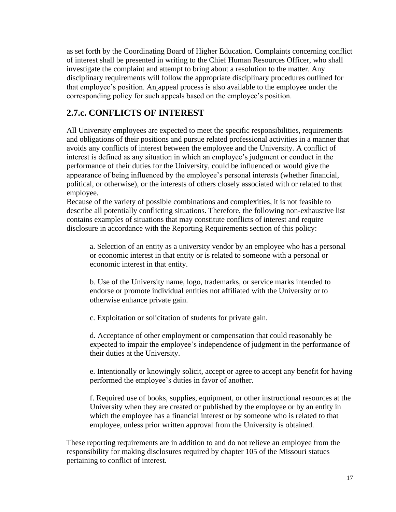as set forth by the Coordinating Board of Higher Education. Complaints concerning conflict of interest shall be presented in writing to the Chief Human Resources Officer, who shall investigate the complaint and attempt to bring about a resolution to the matter. Any disciplinary requirements will follow the appropriate disciplinary procedures outlined for that employee's position. An appeal process is also available to the employee under the corresponding policy for such appeals based on the employee's position.

### **2.7.c. CONFLICTS OF INTEREST**

All University employees are expected to meet the specific responsibilities, requirements and obligations of their positions and pursue related professional activities in a manner that avoids any conflicts of interest between the employee and the University. A conflict of interest is defined as any situation in which an employee's judgment or conduct in the performance of their duties for the University, could be influenced or would give the appearance of being influenced by the employee's personal interests (whether financial, political, or otherwise), or the interests of others closely associated with or related to that employee.

Because of the variety of possible combinations and complexities, it is not feasible to describe all potentially conflicting situations. Therefore, the following non-exhaustive list contains examples of situations that may constitute conflicts of interest and require disclosure in accordance with the Reporting Requirements section of this policy:

a. Selection of an entity as a university vendor by an employee who has a personal or economic interest in that entity or is related to someone with a personal or economic interest in that entity.

b. Use of the University name, logo, trademarks, or service marks intended to endorse or promote individual entities not affiliated with the University or to otherwise enhance private gain.

c. Exploitation or solicitation of students for private gain.

d. Acceptance of other employment or compensation that could reasonably be expected to impair the employee's independence of judgment in the performance of their duties at the University.

e. Intentionally or knowingly solicit, accept or agree to accept any benefit for having performed the employee's duties in favor of another.

f. Required use of books, supplies, equipment, or other instructional resources at the University when they are created or published by the employee or by an entity in which the employee has a financial interest or by someone who is related to that employee, unless prior written approval from the University is obtained.

These reporting requirements are in addition to and do not relieve an employee from the responsibility for making disclosures required by chapter 105 of the Missouri statues pertaining to conflict of interest.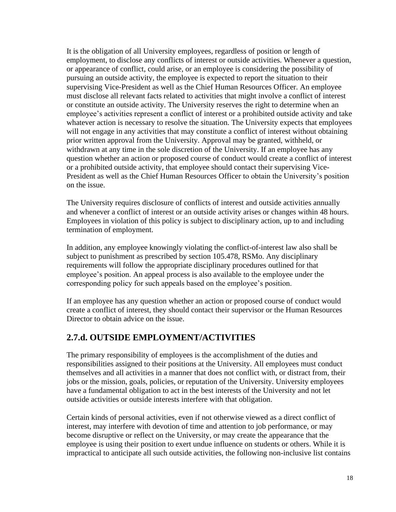It is the obligation of all University employees, regardless of position or length of employment, to disclose any conflicts of interest or outside activities. Whenever a question, or appearance of conflict, could arise, or an employee is considering the possibility of pursuing an outside activity, the employee is expected to report the situation to their supervising Vice-President as well as the Chief Human Resources Officer. An employee must disclose all relevant facts related to activities that might involve a conflict of interest or constitute an outside activity. The University reserves the right to determine when an employee's activities represent a conflict of interest or a prohibited outside activity and take whatever action is necessary to resolve the situation. The University expects that employees will not engage in any activities that may constitute a conflict of interest without obtaining prior written approval from the University. Approval may be granted, withheld, or withdrawn at any time in the sole discretion of the University. If an employee has any question whether an action or proposed course of conduct would create a conflict of interest or a prohibited outside activity, that employee should contact their supervising Vice-President as well as the Chief Human Resources Officer to obtain the University's position on the issue.

The University requires disclosure of conflicts of interest and outside activities annually and whenever a conflict of interest or an outside activity arises or changes within 48 hours. Employees in violation of this policy is subject to disciplinary action, up to and including termination of employment.

In addition, any employee knowingly violating the conflict-of-interest law also shall be subject to punishment as prescribed by section 105.478, RSMo. Any disciplinary requirements will follow the appropriate disciplinary procedures outlined for that employee's position. An appeal process is also available to the employee under the corresponding policy for such appeals based on the employee's position.

If an employee has any question whether an action or proposed course of conduct would create a conflict of interest, they should contact their supervisor or the Human Resources Director to obtain advice on the issue.

### **2.7.d. OUTSIDE EMPLOYMENT/ACTIVITIES**

The primary responsibility of employees is the accomplishment of the duties and responsibilities assigned to their positions at the University. All employees must conduct themselves and all activities in a manner that does not conflict with, or distract from, their jobs or the mission, goals, policies, or reputation of the University. University employees have a fundamental obligation to act in the best interests of the University and not let outside activities or outside interests interfere with that obligation.

Certain kinds of personal activities, even if not otherwise viewed as a direct conflict of interest, may interfere with devotion of time and attention to job performance, or may become disruptive or reflect on the University, or may create the appearance that the employee is using their position to exert undue influence on students or others. While it is impractical to anticipate all such outside activities, the following non-inclusive list contains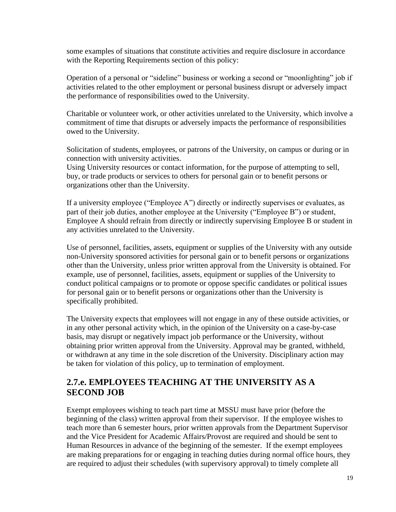some examples of situations that constitute activities and require disclosure in accordance with the Reporting Requirements section of this policy:

Operation of a personal or "sideline" business or working a second or "moonlighting" job if activities related to the other employment or personal business disrupt or adversely impact the performance of responsibilities owed to the University.

Charitable or volunteer work, or other activities unrelated to the University, which involve a commitment of time that disrupts or adversely impacts the performance of responsibilities owed to the University.

Solicitation of students, employees, or patrons of the University, on campus or during or in connection with university activities.

Using University resources or contact information, for the purpose of attempting to sell, buy, or trade products or services to others for personal gain or to benefit persons or organizations other than the University.

If a university employee ("Employee A") directly or indirectly supervises or evaluates, as part of their job duties, another employee at the University ("Employee B") or student, Employee A should refrain from directly or indirectly supervising Employee B or student in any activities unrelated to the University.

Use of personnel, facilities, assets, equipment or supplies of the University with any outside non-University sponsored activities for personal gain or to benefit persons or organizations other than the University, unless prior written approval from the University is obtained. For example, use of personnel, facilities, assets, equipment or supplies of the University to conduct political campaigns or to promote or oppose specific candidates or political issues for personal gain or to benefit persons or organizations other than the University is specifically prohibited.

The University expects that employees will not engage in any of these outside activities, or in any other personal activity which, in the opinion of the University on a case-by-case basis, may disrupt or negatively impact job performance or the University, without obtaining prior written approval from the University. Approval may be granted, withheld, or withdrawn at any time in the sole discretion of the University. Disciplinary action may be taken for violation of this policy, up to termination of employment.

### **2.7.e. EMPLOYEES TEACHING AT THE UNIVERSITY AS A SECOND JOB**

Exempt employees wishing to teach part time at MSSU must have prior (before the beginning of the class) written approval from their supervisor. If the employee wishes to teach more than 6 semester hours, prior written approvals from the Department Supervisor and the Vice President for Academic Affairs/Provost are required and should be sent to Human Resources in advance of the beginning of the semester. If the exempt employees are making preparations for or engaging in teaching duties during normal office hours, they are required to adjust their schedules (with supervisory approval) to timely complete all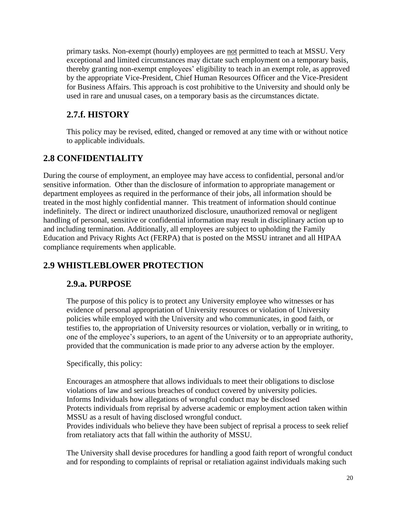primary tasks. Non-exempt (hourly) employees are not permitted to teach at MSSU. Very exceptional and limited circumstances may dictate such employment on a temporary basis, thereby granting non-exempt employees' eligibility to teach in an exempt role, as approved by the appropriate Vice-President, Chief Human Resources Officer and the Vice-President for Business Affairs. This approach is cost prohibitive to the University and should only be used in rare and unusual cases, on a temporary basis as the circumstances dictate.

### **2.7.f. HISTORY**

This policy may be revised, edited, changed or removed at any time with or without notice to applicable individuals.

## <span id="page-20-0"></span>**2.8 CONFIDENTIALITY**

During the course of employment, an employee may have access to confidential, personal and/or sensitive information. Other than the disclosure of information to appropriate management or department employees as required in the performance of their jobs, all information should be treated in the most highly confidential manner. This treatment of information should continue indefinitely. The direct or indirect unauthorized disclosure, unauthorized removal or negligent handling of personal, sensitive or confidential information may result in disciplinary action up to and including termination. Additionally, all employees are subject to upholding the Family Education and Privacy Rights Act (FERPA) that is posted on the MSSU intranet and all HIPAA compliance requirements when applicable.

# <span id="page-20-1"></span>**2.9 WHISTLEBLOWER PROTECTION**

### **2.9.a. PURPOSE**

The purpose of this policy is to protect any University employee who witnesses or has evidence of personal appropriation of University resources or violation of University policies while employed with the University and who communicates, in good faith, or testifies to, the appropriation of University resources or violation, verbally or in writing, to one of the employee's superiors, to an agent of the University or to an appropriate authority, provided that the communication is made prior to any adverse action by the employer.

#### Specifically, this policy:

Encourages an atmosphere that allows individuals to meet their obligations to disclose violations of law and serious breaches of conduct covered by university policies. Informs Individuals how allegations of wrongful conduct may be disclosed Protects individuals from reprisal by adverse academic or employment action taken within MSSU as a result of having disclosed wrongful conduct. Provides individuals who believe they have been subject of reprisal a process to seek relief from retaliatory acts that fall within the authority of MSSU.

The University shall devise procedures for handling a good faith report of wrongful conduct and for responding to complaints of reprisal or retaliation against individuals making such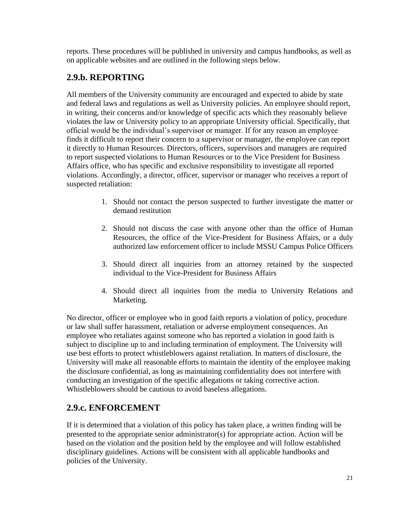reports. These procedures will be published in university and campus handbooks, as well as on applicable websites and are outlined in the following steps below.

## **2.9.b. REPORTING**

All members of the University community are encouraged and expected to abide by state and federal laws and regulations as well as University policies. An employee should report, in writing, their concerns and/or knowledge of specific acts which they reasonably believe violates the law or University policy to an appropriate University official. Specifically, that official would be the individual's supervisor or manager. If for any reason an employee finds it difficult to report their concern to a supervisor or manager, the employee can report it directly to Human Resources. Directors, officers, supervisors and managers are required to report suspected violations to Human Resources or to the Vice President for Business Affairs office, who has specific and exclusive responsibility to investigate all reported violations. Accordingly, a director, officer, supervisor or manager who receives a report of suspected retaliation:

- 1. Should not contact the person suspected to further investigate the matter or demand restitution
- 2. Should not discuss the case with anyone other than the office of Human Resources, the office of the Vice-President for Business Affairs, or a duly authorized law enforcement officer to include MSSU Campus Police Officers
- 3. Should direct all inquiries from an attorney retained by the suspected individual to the Vice-President for Business Affairs
- 4. Should direct all inquiries from the media to University Relations and Marketing.

No director, officer or employee who in good faith reports a violation of policy, procedure or law shall suffer harassment, retaliation or adverse employment consequences. An employee who retaliates against someone who has reported a violation in good faith is subject to discipline up to and including termination of employment. The University will use best efforts to protect whistleblowers against retaliation. In matters of disclosure, the University will make all reasonable efforts to maintain the identity of the employee making the disclosure confidential, as long as maintaining confidentiality does not interfere with conducting an investigation of the specific allegations or taking corrective action. Whistleblowers should be cautious to avoid baseless allegations.

### **2.9.c. ENFORCEMENT**

If it is determined that a violation of this policy has taken place, a written finding will be presented to the appropriate senior administrator(s) for appropriate action. Action will be based on the violation and the position held by the employee and will follow established disciplinary guidelines. Actions will be consistent with all applicable handbooks and policies of the University.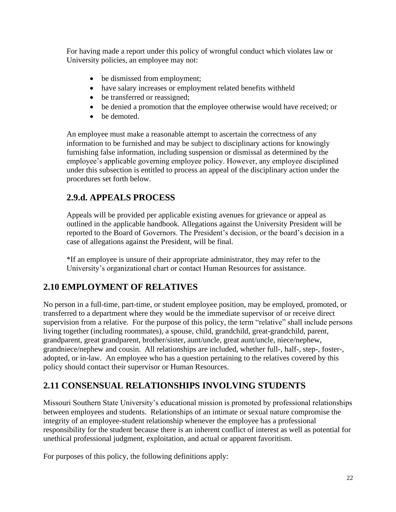For having made a report under this policy of wrongful conduct which violates law or University policies, an employee may not:

- be dismissed from employment;
- have salary increases or employment related benefits withheld
- be transferred or reassigned;
- be denied a promotion that the employee otherwise would have received; or
- be demoted.

An employee must make a reasonable attempt to ascertain the correctness of any information to be furnished and may be subject to disciplinary actions for knowingly furnishing false information, including suspension or dismissal as determined by the employee's applicable governing employee policy. However, any employee disciplined under this subsection is entitled to process an appeal of the disciplinary action under the procedures set forth below.

### **2.9.d. APPEALS PROCESS**

Appeals will be provided per applicable existing avenues for grievance or appeal as outlined in the applicable handbook. Allegations against the University President will be reported to the Board of Governors. The President's decision, or the board's decision in a case of allegations against the President, will be final.

\*If an employee is unsure of their appropriate administrator, they may refer to the University's organizational chart or contact Human Resources for assistance.

# <span id="page-22-0"></span>**2.10 EMPLOYMENT OF RELATIVES**

No person in a full-time, part-time, or student employee position, may be employed, promoted, or transferred to a department where they would be the immediate supervisor of or receive direct supervision from a relative. For the purpose of this policy, the term "relative" shall include persons living together (including roommates), a spouse, child, grandchild, great-grandchild, parent, grandparent, great grandparent, brother/sister, aunt/uncle, great aunt/uncle, niece/nephew, grandniece/nephew and cousin. All relationships are included, whether full-, half-, step-, foster-, adopted, or in-law. An employee who has a question pertaining to the relatives covered by this policy should contact their supervisor or Human Resources.

# <span id="page-22-1"></span>**2.11 CONSENSUAL RELATIONSHIPS INVOLVING STUDENTS**

Missouri Southern State University's educational mission is promoted by professional relationships between employees and students. Relationships of an intimate or sexual nature compromise the integrity of an employee-student relationship whenever the employee has a professional responsibility for the student because there is an inherent conflict of interest as well as potential for unethical professional judgment, exploitation, and actual or apparent favoritism.

For purposes of this policy, the following definitions apply: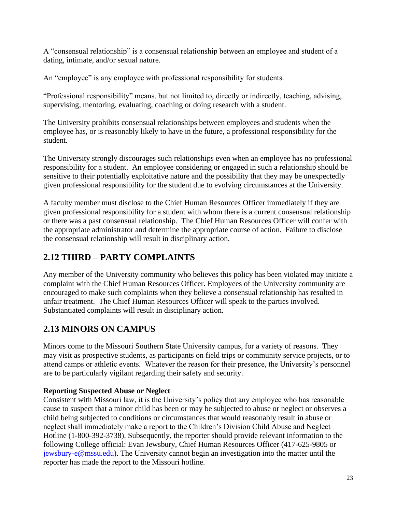A "consensual relationship" is a consensual relationship between an employee and student of a dating, intimate, and/or sexual nature.

An "employee" is any employee with professional responsibility for students.

"Professional responsibility" means, but not limited to, directly or indirectly, teaching, advising, supervising, mentoring, evaluating, coaching or doing research with a student.

The University prohibits consensual relationships between employees and students when the employee has, or is reasonably likely to have in the future, a professional responsibility for the student.

The University strongly discourages such relationships even when an employee has no professional responsibility for a student. An employee considering or engaged in such a relationship should be sensitive to their potentially exploitative nature and the possibility that they may be unexpectedly given professional responsibility for the student due to evolving circumstances at the University.

A faculty member must disclose to the Chief Human Resources Officer immediately if they are given professional responsibility for a student with whom there is a current consensual relationship or there was a past consensual relationship. The Chief Human Resources Officer will confer with the appropriate administrator and determine the appropriate course of action. Failure to disclose the consensual relationship will result in disciplinary action.

# <span id="page-23-0"></span>**2.12 THIRD – PARTY COMPLAINTS**

Any member of the University community who believes this policy has been violated may initiate a complaint with the Chief Human Resources Officer. Employees of the University community are encouraged to make such complaints when they believe a consensual relationship has resulted in unfair treatment. The Chief Human Resources Officer will speak to the parties involved. Substantiated complaints will result in disciplinary action.

# <span id="page-23-1"></span>**2.13 MINORS ON CAMPUS**

Minors come to the Missouri Southern State University campus, for a variety of reasons. They may visit as prospective students, as participants on field trips or community service projects, or to attend camps or athletic events. Whatever the reason for their presence, the University's personnel are to be particularly vigilant regarding their safety and security.

#### **Reporting Suspected Abuse or Neglect**

Consistent with Missouri law, it is the University's policy that any employee who has reasonable cause to suspect that a minor child has been or may be subjected to abuse or neglect or observes a child being subjected to conditions or circumstances that would reasonably result in abuse or neglect shall immediately make a report to the Children's Division Child Abuse and Neglect Hotline (1-800-392-3738). Subsequently, the reporter should provide relevant information to the following College official: Evan Jewsbury, Chief Human Resources Officer (417-625-9805 or [jewsbury-e@mssu.edu\)](mailto:jewsbury-e@mssu.edu). The University cannot begin an investigation into the matter until the reporter has made the report to the Missouri hotline.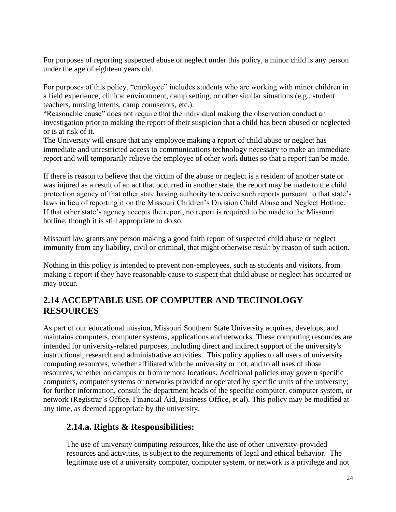For purposes of reporting suspected abuse or neglect under this policy, a minor child is any person under the age of eighteen years old.

For purposes of this policy, "employee" includes students who are working with minor children in a field experience, clinical environment, camp setting, or other similar situations (e.g., student teachers, nursing interns, camp counselors, etc.).

"Reasonable cause" does not require that the individual making the observation conduct an investigation prior to making the report of their suspicion that a child has been abused or neglected or is at risk of it.

The University will ensure that any employee making a report of child abuse or neglect has immediate and unrestricted access to communications technology necessary to make an immediate report and will temporarily relieve the employee of other work duties so that a report can be made.

If there is reason to believe that the victim of the abuse or neglect is a resident of another state or was injured as a result of an act that occurred in another state, the report may be made to the child protection agency of that other state having authority to receive such reports pursuant to that state's laws in lieu of reporting it on the Missouri Children's Division Child Abuse and Neglect Hotline. If that other state's agency accepts the report, no report is required to be made to the Missouri hotline, though it is still appropriate to do so.

Missouri law grants any person making a good faith report of suspected child abuse or neglect immunity from any liability, civil or criminal, that might otherwise result by reason of such action.

Nothing in this policy is intended to prevent non-employees, such as students and visitors, from making a report if they have reasonable cause to suspect that child abuse or neglect has occurred or may occur.

### <span id="page-24-0"></span>**2.14 ACCEPTABLE USE OF COMPUTER AND TECHNOLOGY RESOURCES**

As part of our educational mission, Missouri Southern State University acquires, develops, and maintains computers, computer systems, applications and networks. These computing resources are intended for university-related purposes, including direct and indirect support of the university's instructional, research and administrative activities. This policy applies to all users of university computing resources, whether affiliated with the university or not, and to all uses of those resources, whether on campus or from remote locations. Additional policies may govern specific computers, computer systems or networks provided or operated by specific units of the university; for further information, consult the department heads of the specific computer, computer system, or network (Registrar's Office, Financial Aid, Business Office, et al). This policy may be modified at any time, as deemed appropriate by the university.

### **2.14.a. Rights & Responsibilities:**

The use of university computing resources, like the use of other university-provided resources and activities, is subject to the requirements of legal and ethical behavior. The legitimate use of a university computer, computer system, or network is a privilege and not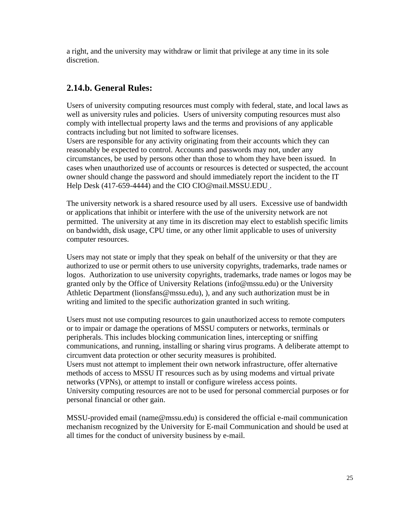a right, and the university may withdraw or limit that privilege at any time in its sole discretion.

## **2.14.b. General Rules:**

Users of university computing resources must comply with federal, state, and local laws as well as university rules and policies. Users of university computing resources must also comply with intellectual property laws and the terms and provisions of any applicable contracts including but not limited to software licenses.

Users are responsible for any activity originating from their accounts which they can reasonably be expected to control. Accounts and passwords may not, under any circumstances, be used by persons other than those to whom they have been issued. In cases when unauthorized use of accounts or resources is detected or suspected, the account owner should change the password and should immediately report the incident to the IT Help Desk (417-659-4444) and the CIO CIO@mail.MSSU.EDU .

The university network is a shared resource used by all users. Excessive use of bandwidth or applications that inhibit or interfere with the use of the university network are not permitted. The university at any time in its discretion may elect to establish specific limits on bandwidth, disk usage, CPU time, or any other limit applicable to uses of university computer resources.

Users may not state or imply that they speak on behalf of the university or that they are authorized to use or permit others to use university copyrights, trademarks, trade names or logos. Authorization to use university copyrights, trademarks, trade names or logos may be granted only by the Office of University Relations (info@mssu.edu) or the University Athletic Department (lionsfans@mssu.edu), ), and any such authorization must be in writing and limited to the specific authorization granted in such writing.

Users must not use computing resources to gain unauthorized access to remote computers or to impair or damage the operations of MSSU computers or networks, terminals or peripherals. This includes blocking communication lines, intercepting or sniffing communications, and running, installing or sharing virus programs. A deliberate attempt to circumvent data protection or other security measures is prohibited. Users must not attempt to implement their own network infrastructure, offer alternative methods of access to MSSU IT resources such as by using modems and virtual private networks (VPNs), or attempt to install or configure wireless access points. University computing resources are not to be used for personal commercial purposes or for personal financial or other gain.

MSSU-provided email (name@mssu.edu) is considered the official e-mail communication mechanism recognized by the University for E-mail Communication and should be used at all times for the conduct of university business by e-mail.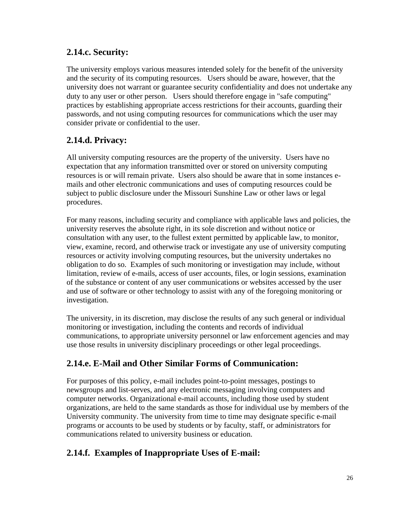### **2.14.c. Security:**

The university employs various measures intended solely for the benefit of the university and the security of its computing resources. Users should be aware, however, that the university does not warrant or guarantee security confidentiality and does not undertake any duty to any user or other person. Users should therefore engage in "safe computing" practices by establishing appropriate access restrictions for their accounts, guarding their passwords, and not using computing resources for communications which the user may consider private or confidential to the user.

## **2.14.d. Privacy:**

All university computing resources are the property of the university. Users have no expectation that any information transmitted over or stored on university computing resources is or will remain private. Users also should be aware that in some instances emails and other electronic communications and uses of computing resources could be subject to public disclosure under the Missouri Sunshine Law or other laws or legal procedures.

For many reasons, including security and compliance with applicable laws and policies, the university reserves the absolute right, in its sole discretion and without notice or consultation with any user, to the fullest extent permitted by applicable law, to monitor, view, examine, record, and otherwise track or investigate any use of university computing resources or activity involving computing resources, but the university undertakes no obligation to do so. Examples of such monitoring or investigation may include, without limitation, review of e-mails, access of user accounts, files, or login sessions, examination of the substance or content of any user communications or websites accessed by the user and use of software or other technology to assist with any of the foregoing monitoring or investigation.

The university, in its discretion, may disclose the results of any such general or individual monitoring or investigation, including the contents and records of individual communications, to appropriate university personnel or law enforcement agencies and may use those results in university disciplinary proceedings or other legal proceedings.

### **2.14.e. E-Mail and Other Similar Forms of Communication:**

For purposes of this policy, e-mail includes point-to-point messages, postings to newsgroups and list-serves, and any electronic messaging involving computers and computer networks. Organizational e-mail accounts, including those used by student organizations, are held to the same standards as those for individual use by members of the University community. The university from time to time may designate specific e-mail programs or accounts to be used by students or by faculty, staff, or administrators for communications related to university business or education.

### **2.14.f. Examples of Inappropriate Uses of E-mail:**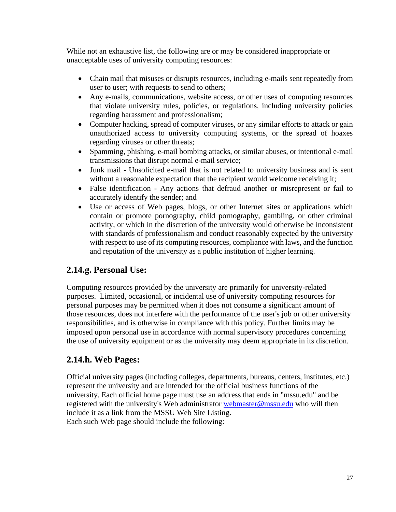While not an exhaustive list, the following are or may be considered inappropriate or unacceptable uses of university computing resources:

- Chain mail that misuses or disrupts resources, including e-mails sent repeatedly from user to user; with requests to send to others;
- Any e-mails, communications, website access, or other uses of computing resources that violate university rules, policies, or regulations, including university policies regarding harassment and professionalism;
- Computer hacking, spread of computer viruses, or any similar efforts to attack or gain unauthorized access to university computing systems, or the spread of hoaxes regarding viruses or other threats;
- Spamming, phishing, e-mail bombing attacks, or similar abuses, or intentional e-mail transmissions that disrupt normal e-mail service;
- Junk mail Unsolicited e-mail that is not related to university business and is sent without a reasonable expectation that the recipient would welcome receiving it;
- False identification Any actions that defraud another or misrepresent or fail to accurately identify the sender; and
- Use or access of Web pages, blogs, or other Internet sites or applications which contain or promote pornography, child pornography, gambling, or other criminal activity, or which in the discretion of the university would otherwise be inconsistent with standards of professionalism and conduct reasonably expected by the university with respect to use of its computing resources, compliance with laws, and the function and reputation of the university as a public institution of higher learning.

### **2.14.g. Personal Use:**

Computing resources provided by the university are primarily for university-related purposes. Limited, occasional, or incidental use of university computing resources for personal purposes may be permitted when it does not consume a significant amount of those resources, does not interfere with the performance of the user's job or other university responsibilities, and is otherwise in compliance with this policy. Further limits may be imposed upon personal use in accordance with normal supervisory procedures concerning the use of university equipment or as the university may deem appropriate in its discretion.

### **2.14.h. Web Pages:**

Official university pages (including colleges, departments, bureaus, centers, institutes, etc.) represent the university and are intended for the official business functions of the university. Each official home page must use an address that ends in "mssu.edu" and be registered with the university's Web administrator [webmaster@mssu.edu](mailto:webmaster@mssu.edu) who will then include it as a link from the MSSU Web Site Listing. Each such Web page should include the following: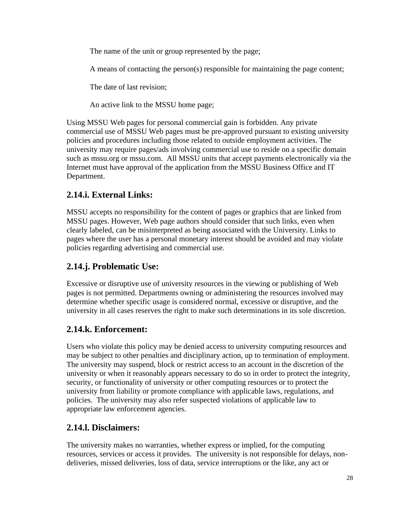The name of the unit or group represented by the page;

A means of contacting the person(s) responsible for maintaining the page content;

The date of last revision;

An active link to the MSSU home page;

Using MSSU Web pages for personal commercial gain is forbidden. Any private commercial use of MSSU Web pages must be pre-approved pursuant to existing university policies and procedures including those related to outside employment activities. The university may require pages/ads involving commercial use to reside on a specific domain such as mssu.org or mssu.com. All MSSU units that accept payments electronically via the Internet must have approval of the application from the MSSU Business Office and IT Department.

## **2.14.i. External Links:**

MSSU accepts no responsibility for the content of pages or graphics that are linked from MSSU pages. However, Web page authors should consider that such links, even when clearly labeled, can be misinterpreted as being associated with the University. Links to pages where the user has a personal monetary interest should be avoided and may violate policies regarding advertising and commercial use.

### **2.14.j. Problematic Use:**

Excessive or disruptive use of university resources in the viewing or publishing of Web pages is not permitted. Departments owning or administering the resources involved may determine whether specific usage is considered normal, excessive or disruptive, and the university in all cases reserves the right to make such determinations in its sole discretion.

### **2.14.k. Enforcement:**

Users who violate this policy may be denied access to university computing resources and may be subject to other penalties and disciplinary action, up to termination of employment. The university may suspend, block or restrict access to an account in the discretion of the university or when it reasonably appears necessary to do so in order to protect the integrity, security, or functionality of university or other computing resources or to protect the university from liability or promote compliance with applicable laws, regulations, and policies. The university may also refer suspected violations of applicable law to appropriate law enforcement agencies.

### **2.14.l. Disclaimers:**

The university makes no warranties, whether express or implied, for the computing resources, services or access it provides. The university is not responsible for delays, nondeliveries, missed deliveries, loss of data, service interruptions or the like, any act or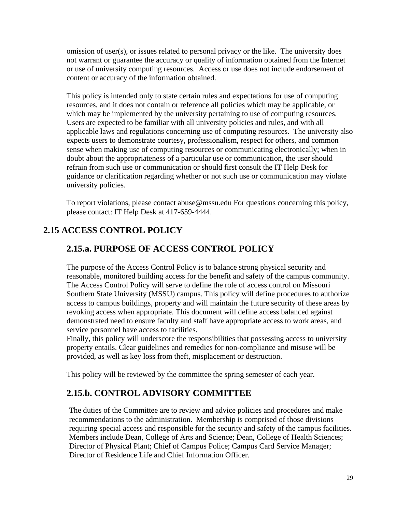omission of user(s), or issues related to personal privacy or the like. The university does not warrant or guarantee the accuracy or quality of information obtained from the Internet or use of university computing resources. Access or use does not include endorsement of content or accuracy of the information obtained.

This policy is intended only to state certain rules and expectations for use of computing resources, and it does not contain or reference all policies which may be applicable, or which may be implemented by the university pertaining to use of computing resources. Users are expected to be familiar with all university policies and rules, and with all applicable laws and regulations concerning use of computing resources. The university also expects users to demonstrate courtesy, professionalism, respect for others, and common sense when making use of computing resources or communicating electronically; when in doubt about the appropriateness of a particular use or communication, the user should refrain from such use or communication or should first consult the IT Help Desk for guidance or clarification regarding whether or not such use or communication may violate university policies.

To report violations, please contact abuse@mssu.edu For questions concerning this policy, please contact: IT Help Desk at 417-659-4444.

## <span id="page-29-0"></span>**2.15 ACCESS CONTROL POLICY**

### **2.15.a. PURPOSE OF ACCESS CONTROL POLICY**

The purpose of the Access Control Policy is to balance strong physical security and reasonable, monitored building access for the benefit and safety of the campus community. The Access Control Policy will serve to define the role of access control on Missouri Southern State University (MSSU) campus. This policy will define procedures to authorize access to campus buildings, property and will maintain the future security of these areas by revoking access when appropriate. This document will define access balanced against demonstrated need to ensure faculty and staff have appropriate access to work areas, and service personnel have access to facilities.

Finally, this policy will underscore the responsibilities that possessing access to university property entails. Clear guidelines and remedies for non-compliance and misuse will be provided, as well as key loss from theft, misplacement or destruction.

This policy will be reviewed by the committee the spring semester of each year.

### **2.15.b. CONTROL ADVISORY COMMITTEE**

The duties of the Committee are to review and advice policies and procedures and make recommendations to the administration. Membership is comprised of those divisions requiring special access and responsible for the security and safety of the campus facilities. Members include Dean, College of Arts and Science; Dean, College of Health Sciences; Director of Physical Plant; Chief of Campus Police; Campus Card Service Manager; Director of Residence Life and Chief Information Officer.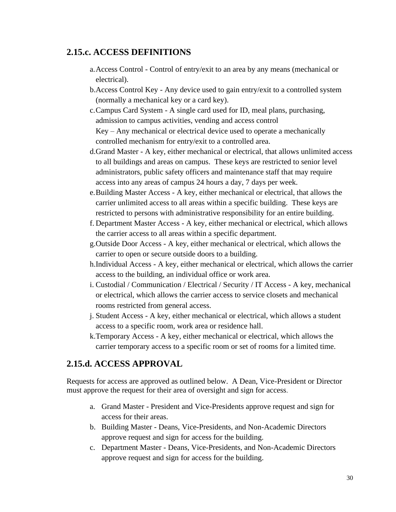#### **2.15.c. ACCESS DEFINITIONS**

- a.Access Control Control of entry/exit to an area by any means (mechanical or electrical).
- b.Access Control Key Any device used to gain entry/exit to a controlled system (normally a mechanical key or a card key).
- c.Campus Card System A single card used for ID, meal plans, purchasing, admission to campus activities, vending and access control Key – Any mechanical or electrical device used to operate a mechanically controlled mechanism for entry/exit to a controlled area.
- d.Grand Master A key, either mechanical or electrical, that allows unlimited access to all buildings and areas on campus. These keys are restricted to senior level administrators, public safety officers and maintenance staff that may require access into any areas of campus 24 hours a day, 7 days per week.
- e.Building Master Access A key, either mechanical or electrical, that allows the carrier unlimited access to all areas within a specific building. These keys are restricted to persons with administrative responsibility for an entire building.
- f. Department Master Access A key, either mechanical or electrical, which allows the carrier access to all areas within a specific department.
- g.Outside Door Access A key, either mechanical or electrical, which allows the carrier to open or secure outside doors to a building.
- h.Individual Access A key, either mechanical or electrical, which allows the carrier access to the building, an individual office or work area.
- i. Custodial / Communication / Electrical / Security / IT Access A key, mechanical or electrical, which allows the carrier access to service closets and mechanical rooms restricted from general access.
- j. Student Access A key, either mechanical or electrical, which allows a student access to a specific room, work area or residence hall.
- k.Temporary Access A key, either mechanical or electrical, which allows the carrier temporary access to a specific room or set of rooms for a limited time.

### **2.15.d. ACCESS APPROVAL**

Requests for access are approved as outlined below. A Dean, Vice-President or Director must approve the request for their area of oversight and sign for access.

- a. Grand Master President and Vice-Presidents approve request and sign for access for their areas.
- b. Building Master Deans, Vice-Presidents, and Non-Academic Directors approve request and sign for access for the building.
- c. Department Master Deans, Vice-Presidents, and Non-Academic Directors approve request and sign for access for the building.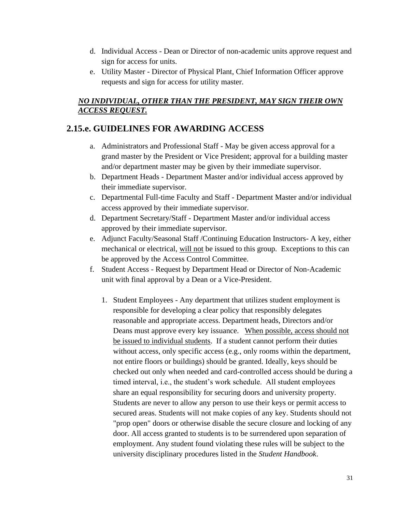- d. Individual Access Dean or Director of non-academic units approve request and sign for access for units.
- e. Utility Master Director of Physical Plant, Chief Information Officer approve requests and sign for access for utility master.

#### *NO INDIVIDUAL, OTHER THAN THE PRESIDENT, MAY SIGN THEIR OWN ACCESS REQUEST.*

### **2.15.e. GUIDELINES FOR AWARDING ACCESS**

- a. Administrators and Professional Staff May be given access approval for a grand master by the President or Vice President; approval for a building master and/or department master may be given by their immediate supervisor.
- b. Department Heads Department Master and/or individual access approved by their immediate supervisor.
- c. Departmental Full-time Faculty and Staff Department Master and/or individual access approved by their immediate supervisor.
- d. Department Secretary/Staff Department Master and/or individual access approved by their immediate supervisor.
- e. Adjunct Faculty/Seasonal Staff /Continuing Education Instructors- A key, either mechanical or electrical, will not be issued to this group. Exceptions to this can be approved by the Access Control Committee.
- f. Student Access Request by Department Head or Director of Non-Academic unit with final approval by a Dean or a Vice-President.
	- 1. Student Employees Any department that utilizes student employment is responsible for developing a clear policy that responsibly delegates reasonable and appropriate access. Department heads, Directors and/or Deans must approve every key issuance. When possible, access should not be issued to individual students. If a student cannot perform their duties without access, only specific access (e.g., only rooms within the department, not entire floors or buildings) should be granted. Ideally, keys should be checked out only when needed and card-controlled access should be during a timed interval, i.e., the student's work schedule. All student employees share an equal responsibility for securing doors and university property. Students are never to allow any person to use their keys or permit access to secured areas. Students will not make copies of any key. Students should not "prop open" doors or otherwise disable the secure closure and locking of any door. All access granted to students is to be surrendered upon separation of employment. Any student found violating these rules will be subject to the university disciplinary procedures listed in the *Student Handbook*.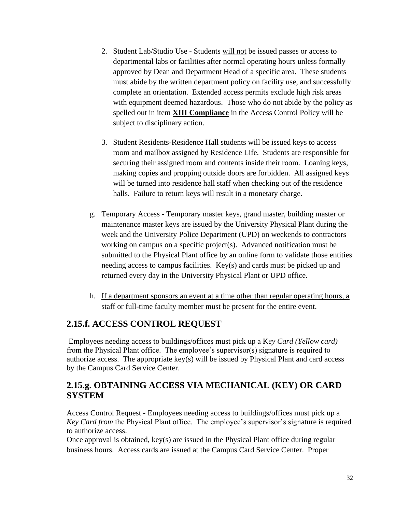- 2. Student Lab/Studio Use Students will not be issued passes or access to departmental labs or facilities after normal operating hours unless formally approved by Dean and Department Head of a specific area. These students must abide by the written department policy on facility use, and successfully complete an orientation. Extended access permits exclude high risk areas with equipment deemed hazardous. Those who do not abide by the policy as spelled out in item **XIII Compliance** in the Access Control Policy will be subject to disciplinary action.
- 3. Student Residents-Residence Hall students will be issued keys to access room and mailbox assigned by Residence Life. Students are responsible for securing their assigned room and contents inside their room. Loaning keys, making copies and propping outside doors are forbidden. All assigned keys will be turned into residence hall staff when checking out of the residence halls. Failure to return keys will result in a monetary charge.
- g. Temporary Access Temporary master keys, grand master, building master or maintenance master keys are issued by the University Physical Plant during the week and the University Police Department (UPD) on weekends to contractors working on campus on a specific project(s). Advanced notification must be submitted to the Physical Plant office by an online form to validate those entities needing access to campus facilities. Key(s) and cards must be picked up and returned every day in the University Physical Plant or UPD office.
- h. If a department sponsors an event at a time other than regular operating hours, a staff or full-time faculty member must be present for the entire event.

### **2.15.f. ACCESS CONTROL REQUEST**

Employees needing access to buildings/offices must pick up a K*ey Card (Yellow card)*  from the Physical Plant office. The employee's supervisor(s) signature is required to authorize access. The appropriate key(s) will be issued by Physical Plant and card access by the Campus Card Service Center.

### **2.15.g. OBTAINING ACCESS VIA MECHANICAL (KEY) OR CARD SYSTEM**

Access Control Request - Employees needing access to buildings/offices must pick up a *Key Card from* the Physical Plant office. The employee's supervisor's signature is required to authorize access.

Once approval is obtained, key(s) are issued in the Physical Plant office during regular business hours. Access cards are issued at the Campus Card Service Center. Proper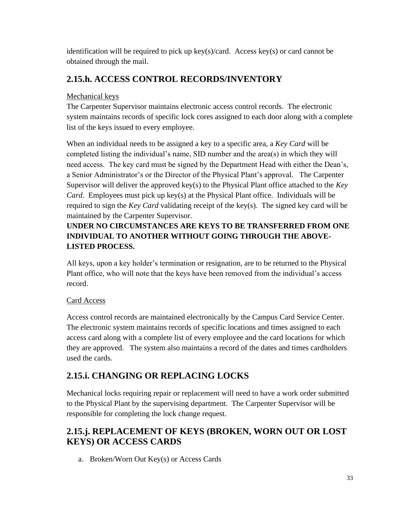identification will be required to pick up key(s)/card. Access key(s) or card cannot be obtained through the mail.

# **2.15.h. ACCESS CONTROL RECORDS/INVENTORY**

### Mechanical keys

The Carpenter Supervisor maintains electronic access control records. The electronic system maintains records of specific lock cores assigned to each door along with a complete list of the keys issued to every employee.

When an individual needs to be assigned a key to a specific area, a *Key Card* will be completed listing the individual's name, SID number and the area(s) in which they will need access. The key card must be signed by the Department Head with either the Dean's, a Senior Administrator's or the Director of the Physical Plant's approval. The Carpenter Supervisor will deliver the approved key(s) to the Physical Plant office attached to the *Key Card*. Employees must pick up key(s) at the Physical Plant office. Individuals will be required to sign the *Key Card* validating receipt of the key(s). The signed key card will be maintained by the Carpenter Supervisor.

### **UNDER NO CIRCUMSTANCES ARE KEYS TO BE TRANSFERRED FROM ONE INDIVIDUAL TO ANOTHER WITHOUT GOING THROUGH THE ABOVE-LISTED PROCESS.**

All keys, upon a key holder's termination or resignation, are to be returned to the Physical Plant office, who will note that the keys have been removed from the individual's access record.

### Card Access

Access control records are maintained electronically by the Campus Card Service Center. The electronic system maintains records of specific locations and times assigned to each access card along with a complete list of every employee and the card locations for which they are approved. The system also maintains a record of the dates and times cardholders used the cards.

# **2.15.i. CHANGING OR REPLACING LOCKS**

Mechanical locks requiring repair or replacement will need to have a work order submitted to the Physical Plant by the supervising department. The Carpenter Supervisor will be responsible for completing the lock change request.

# **2.15.j. REPLACEMENT OF KEYS (BROKEN, WORN OUT OR LOST KEYS) OR ACCESS CARDS**

a. Broken/Worn Out Key(s) or Access Cards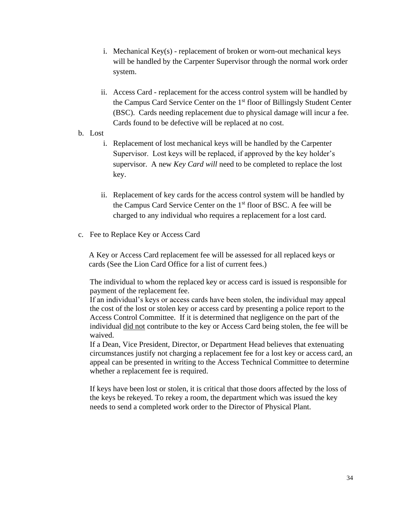- i. Mechanical Key(s) replacement of broken or worn-out mechanical keys will be handled by the Carpenter Supervisor through the normal work order system.
- ii. Access Card replacement for the access control system will be handled by the Campus Card Service Center on the 1<sup>st</sup> floor of Billingsly Student Center (BSC). Cards needing replacement due to physical damage will incur a fee. Cards found to be defective will be replaced at no cost.
- b. Lost
	- i. Replacement of lost mechanical keys will be handled by the Carpenter Supervisor. Lost keys will be replaced, if approved by the key holder's supervisor. A new *Key Card will* need to be completed to replace the lost key.
	- ii. Replacement of key cards for the access control system will be handled by the Campus Card Service Center on the 1<sup>st</sup> floor of BSC. A fee will be charged to any individual who requires a replacement for a lost card.
- c. Fee to Replace Key or Access Card

A Key or Access Card replacement fee will be assessed for all replaced keys or cards (See the Lion Card Office for a list of current fees.)

The individual to whom the replaced key or access card is issued is responsible for payment of the replacement fee.

If an individual's keys or access cards have been stolen, the individual may appeal the cost of the lost or stolen key or access card by presenting a police report to the Access Control Committee. If it is determined that negligence on the part of the individual did not contribute to the key or Access Card being stolen, the fee will be waived.

If a Dean, Vice President, Director, or Department Head believes that extenuating circumstances justify not charging a replacement fee for a lost key or access card, an appeal can be presented in writing to the Access Technical Committee to determine whether a replacement fee is required.

If keys have been lost or stolen, it is critical that those doors affected by the loss of the keys be rekeyed. To rekey a room, the department which was issued the key needs to send a completed work order to the Director of Physical Plant.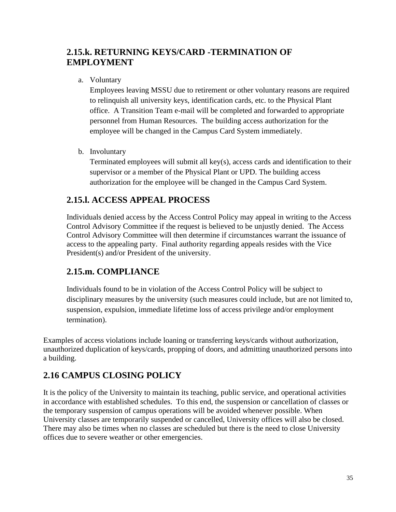# **2.15.k. RETURNING KEYS/CARD -TERMINATION OF EMPLOYMENT**

a. Voluntary

Employees leaving MSSU due to retirement or other voluntary reasons are required to relinquish all university keys, identification cards, etc. to the Physical Plant office. A Transition Team e-mail will be completed and forwarded to appropriate personnel from Human Resources. The building access authorization for the employee will be changed in the Campus Card System immediately.

b. Involuntary

Terminated employees will submit all key(s), access cards and identification to their supervisor or a member of the Physical Plant or UPD. The building access authorization for the employee will be changed in the Campus Card System.

### **2.15.l. ACCESS APPEAL PROCESS**

Individuals denied access by the Access Control Policy may appeal in writing to the Access Control Advisory Committee if the request is believed to be unjustly denied. The Access Control Advisory Committee will then determine if circumstances warrant the issuance of access to the appealing party. Final authority regarding appeals resides with the Vice President(s) and/or President of the university.

### **2.15.m. COMPLIANCE**

Individuals found to be in violation of the Access Control Policy will be subject to disciplinary measures by the university (such measures could include, but are not limited to, suspension, expulsion, immediate lifetime loss of access privilege and/or employment termination).

Examples of access violations include loaning or transferring keys/cards without authorization, unauthorized duplication of keys/cards, propping of doors, and admitting unauthorized persons into a building.

# <span id="page-35-0"></span>**2.16 CAMPUS CLOSING POLICY**

It is the policy of the University to maintain its teaching, public service, and operational activities in accordance with established schedules. To this end, the suspension or cancellation of classes or the temporary suspension of campus operations will be avoided whenever possible. When University classes are temporarily suspended or cancelled, University offices will also be closed. There may also be times when no classes are scheduled but there is the need to close University offices due to severe weather or other emergencies.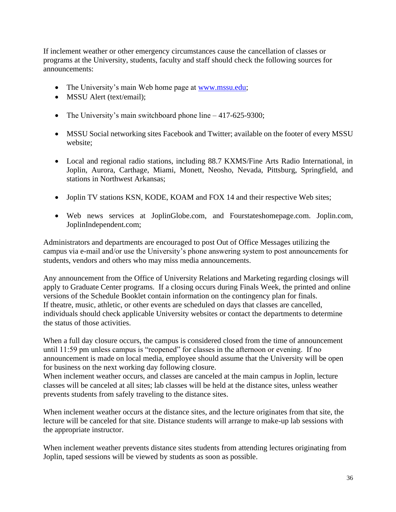If inclement weather or other emergency circumstances cause the cancellation of classes or programs at the University, students, faculty and staff should check the following sources for announcements:

- The University's main Web home page at [www.mssu.edu;](http://www.mssu.edu/)
- MSSU Alert (text/email):
- The University's main switchboard phone line 417-625-9300;
- MSSU Social networking sites Facebook and Twitter; available on the footer of every MSSU website;
- Local and regional radio stations, including 88.7 KXMS/Fine Arts Radio International, in Joplin, Aurora, Carthage, Miami, Monett, Neosho, Nevada, Pittsburg, Springfield, and stations in Northwest Arkansas;
- Joplin TV stations KSN, KODE, KOAM and FOX 14 and their respective Web sites;
- Web news services at JoplinGlobe.com, and Fourstateshomepage.com. Joplin.com, JoplinIndependent.com;

Administrators and departments are encouraged to post Out of Office Messages utilizing the campus via e-mail and/or use the University's phone answering system to post announcements for students, vendors and others who may miss media announcements.

Any announcement from the Office of University Relations and Marketing regarding closings will apply to Graduate Center programs. If a closing occurs during Finals Week, the printed and online versions of the Schedule Booklet contain information on the contingency plan for finals. If theatre, music, athletic, or other events are scheduled on days that classes are cancelled, individuals should check applicable University websites or contact the departments to determine the status of those activities.

When a full day closure occurs, the campus is considered closed from the time of announcement until 11:59 pm unless campus is "reopened" for classes in the afternoon or evening. If no announcement is made on local media, employee should assume that the University will be open for business on the next working day following closure.

When inclement weather occurs, and classes are canceled at the main campus in Joplin, lecture classes will be canceled at all sites; lab classes will be held at the distance sites, unless weather prevents students from safely traveling to the distance sites.

When inclement weather occurs at the distance sites, and the lecture originates from that site, the lecture will be canceled for that site. Distance students will arrange to make-up lab sessions with the appropriate instructor.

When inclement weather prevents distance sites students from attending lectures originating from Joplin, taped sessions will be viewed by students as soon as possible.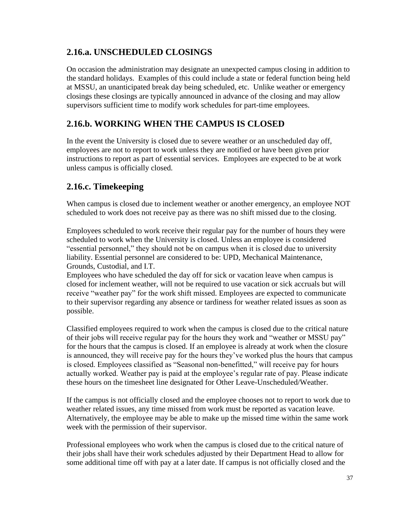# **2.16.a. UNSCHEDULED CLOSINGS**

On occasion the administration may designate an unexpected campus closing in addition to the standard holidays. Examples of this could include a state or federal function being held at MSSU, an unanticipated break day being scheduled, etc. Unlike weather or emergency closings these closings are typically announced in advance of the closing and may allow supervisors sufficient time to modify work schedules for part-time employees.

# **2.16.b. WORKING WHEN THE CAMPUS IS CLOSED**

In the event the University is closed due to severe weather or an unscheduled day off, employees are not to report to work unless they are notified or have been given prior instructions to report as part of essential services. Employees are expected to be at work unless campus is officially closed.

# **2.16.c. Timekeeping**

When campus is closed due to inclement weather or another emergency, an employee NOT scheduled to work does not receive pay as there was no shift missed due to the closing.

Employees scheduled to work receive their regular pay for the number of hours they were scheduled to work when the University is closed. Unless an employee is considered "essential personnel," they should not be on campus when it is closed due to university liability. Essential personnel are considered to be: UPD, Mechanical Maintenance, Grounds, Custodial, and I.T.

Employees who have scheduled the day off for sick or vacation leave when campus is closed for inclement weather, will not be required to use vacation or sick accruals but will receive "weather pay" for the work shift missed. Employees are expected to communicate to their supervisor regarding any absence or tardiness for weather related issues as soon as possible.

Classified employees required to work when the campus is closed due to the critical nature of their jobs will receive regular pay for the hours they work and "weather or MSSU pay" for the hours that the campus is closed. If an employee is already at work when the closure is announced, they will receive pay for the hours they've worked plus the hours that campus is closed. Employees classified as "Seasonal non-benefitted," will receive pay for hours actually worked. Weather pay is paid at the employee's regular rate of pay. Please indicate these hours on the timesheet line designated for Other Leave-Unscheduled/Weather.

If the campus is not officially closed and the employee chooses not to report to work due to weather related issues, any time missed from work must be reported as vacation leave. Alternatively, the employee may be able to make up the missed time within the same work week with the permission of their supervisor.

Professional employees who work when the campus is closed due to the critical nature of their jobs shall have their work schedules adjusted by their Department Head to allow for some additional time off with pay at a later date. If campus is not officially closed and the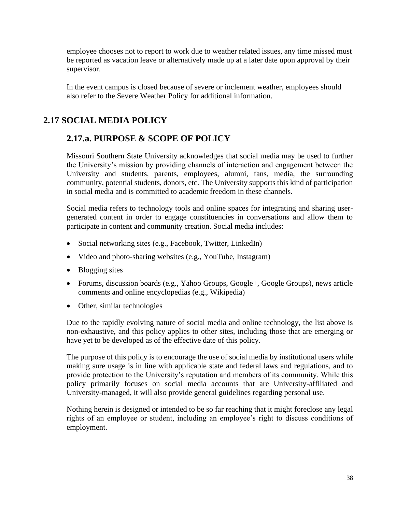employee chooses not to report to work due to weather related issues, any time missed must be reported as vacation leave or alternatively made up at a later date upon approval by their supervisor.

In the event campus is closed because of severe or inclement weather, employees should also refer to the Severe Weather Policy for additional information.

# **2.17 SOCIAL MEDIA POLICY**

### **2.17.a. PURPOSE & SCOPE OF POLICY**

Missouri Southern State University acknowledges that social media may be used to further the University's mission by providing channels of interaction and engagement between the University and students, parents, employees, alumni, fans, media, the surrounding community, potential students, donors, etc. The University supports this kind of participation in social media and is committed to academic freedom in these channels.

Social media refers to technology tools and online spaces for integrating and sharing usergenerated content in order to engage constituencies in conversations and allow them to participate in content and community creation. Social media includes:

- Social networking sites (e.g., Facebook, Twitter, LinkedIn)
- Video and photo-sharing websites (e.g., YouTube, Instagram)
- Blogging sites
- Forums, discussion boards (e.g., Yahoo Groups, Google+, Google Groups), news article comments and online encyclopedias (e.g., Wikipedia)
- Other, similar technologies

Due to the rapidly evolving nature of social media and online technology, the list above is non-exhaustive, and this policy applies to other sites, including those that are emerging or have yet to be developed as of the effective date of this policy.

The purpose of this policy is to encourage the use of social media by institutional users while making sure usage is in line with applicable state and federal laws and regulations, and to provide protection to the University's reputation and members of its community. While this policy primarily focuses on social media accounts that are University-affiliated and University-managed, it will also provide general guidelines regarding personal use.

Nothing herein is designed or intended to be so far reaching that it might foreclose any legal rights of an employee or student, including an employee's right to discuss conditions of employment.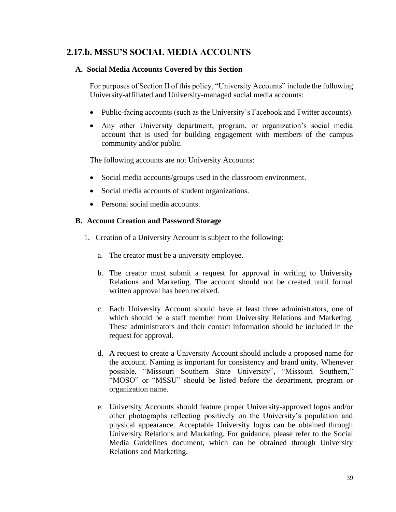### **2.17.b. MSSU'S SOCIAL MEDIA ACCOUNTS**

#### **A. Social Media Accounts Covered by this Section**

For purposes of Section II of this policy, "University Accounts" include the following University-affiliated and University-managed social media accounts:

- Public-facing accounts (such as the University's Facebook and Twitter accounts).
- Any other University department, program, or organization's social media account that is used for building engagement with members of the campus community and/or public.

The following accounts are not University Accounts:

- Social media accounts/groups used in the classroom environment.
- Social media accounts of student organizations.
- Personal social media accounts.

#### **B. Account Creation and Password Storage**

- 1. Creation of a University Account is subject to the following:
	- a. The creator must be a university employee.
	- b. The creator must submit a request for approval in writing to University Relations and Marketing. The account should not be created until formal written approval has been received.
	- c. Each University Account should have at least three administrators, one of which should be a staff member from University Relations and Marketing. These administrators and their contact information should be included in the request for approval.
	- d. A request to create a University Account should include a proposed name for the account. Naming is important for consistency and brand unity. Whenever possible, "Missouri Southern State University", "Missouri Southern," "MOSO" or "MSSU" should be listed before the department, program or organization name.
	- e. University Accounts should feature proper University-approved logos and/or other photographs reflecting positively on the University's population and physical appearance. Acceptable University logos can be obtained through University Relations and Marketing. For guidance, please refer to the Social Media Guidelines document, which can be obtained through University Relations and Marketing.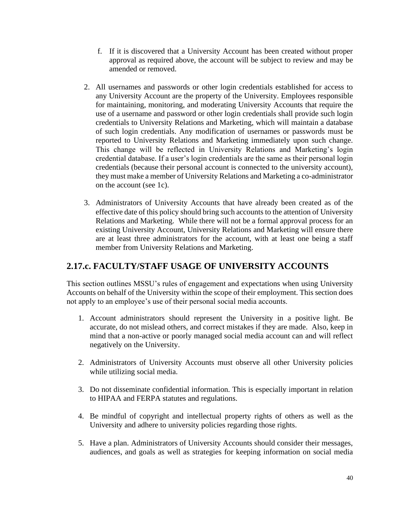- f. If it is discovered that a University Account has been created without proper approval as required above, the account will be subject to review and may be amended or removed.
- 2. All usernames and passwords or other login credentials established for access to any University Account are the property of the University. Employees responsible for maintaining, monitoring, and moderating University Accounts that require the use of a username and password or other login credentials shall provide such login credentials to University Relations and Marketing, which will maintain a database of such login credentials. Any modification of usernames or passwords must be reported to University Relations and Marketing immediately upon such change. This change will be reflected in University Relations and Marketing's login credential database. If a user's login credentials are the same as their personal login credentials (because their personal account is connected to the university account), they must make a member of University Relations and Marketing a co-administrator on the account (see 1c).
- 3. Administrators of University Accounts that have already been created as of the effective date of this policy should bring such accounts to the attention of University Relations and Marketing. While there will not be a formal approval process for an existing University Account, University Relations and Marketing will ensure there are at least three administrators for the account, with at least one being a staff member from University Relations and Marketing.

### **2.17.c. FACULTY/STAFF USAGE OF UNIVERSITY ACCOUNTS**

This section outlines MSSU's rules of engagement and expectations when using University Accounts on behalf of the University within the scope of their employment. This section does not apply to an employee's use of their personal social media accounts.

- 1. Account administrators should represent the University in a positive light. Be accurate, do not mislead others, and correct mistakes if they are made. Also, keep in mind that a non-active or poorly managed social media account can and will reflect negatively on the University.
- 2. Administrators of University Accounts must observe all other University policies while utilizing social media.
- 3. Do not disseminate confidential information. This is especially important in relation to HIPAA and FERPA statutes and regulations.
- 4. Be mindful of copyright and intellectual property rights of others as well as the University and adhere to university policies regarding those rights.
- 5. Have a plan. Administrators of University Accounts should consider their messages, audiences, and goals as well as strategies for keeping information on social media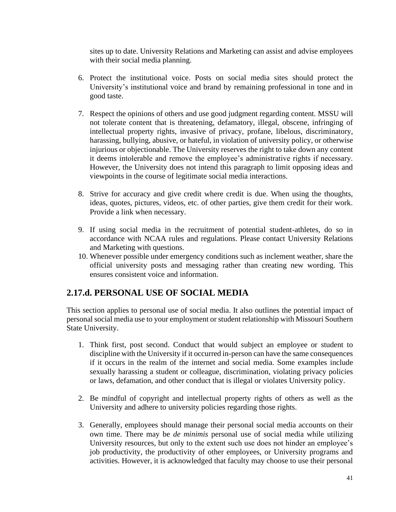sites up to date. University Relations and Marketing can assist and advise employees with their social media planning.

- 6. Protect the institutional voice. Posts on social media sites should protect the University's institutional voice and brand by remaining professional in tone and in good taste.
- 7. Respect the opinions of others and use good judgment regarding content. MSSU will not tolerate content that is threatening, defamatory, illegal, obscene, infringing of intellectual property rights, invasive of privacy, profane, libelous, discriminatory, harassing, bullying, abusive, or hateful, in violation of university policy, or otherwise injurious or objectionable. The University reserves the right to take down any content it deems intolerable and remove the employee's administrative rights if necessary. However, the University does not intend this paragraph to limit opposing ideas and viewpoints in the course of legitimate social media interactions.
- 8. Strive for accuracy and give credit where credit is due. When using the thoughts, ideas, quotes, pictures, videos, etc. of other parties, give them credit for their work. Provide a link when necessary.
- 9. If using social media in the recruitment of potential student-athletes, do so in accordance with NCAA rules and regulations. Please contact University Relations and Marketing with questions.
- 10. Whenever possible under emergency conditions such as inclement weather, share the official university posts and messaging rather than creating new wording. This ensures consistent voice and information.

### **2.17.d. PERSONAL USE OF SOCIAL MEDIA**

This section applies to personal use of social media. It also outlines the potential impact of personal social media use to your employment or student relationship with Missouri Southern State University.

- 1. Think first, post second. Conduct that would subject an employee or student to discipline with the University if it occurred in-person can have the same consequences if it occurs in the realm of the internet and social media. Some examples include sexually harassing a student or colleague, discrimination, violating privacy policies or laws, defamation, and other conduct that is illegal or violates University policy.
- 2. Be mindful of copyright and intellectual property rights of others as well as the University and adhere to university policies regarding those rights.
- 3. Generally, employees should manage their personal social media accounts on their own time. There may be *de minimis* personal use of social media while utilizing University resources, but only to the extent such use does not hinder an employee's job productivity, the productivity of other employees, or University programs and activities. However, it is acknowledged that faculty may choose to use their personal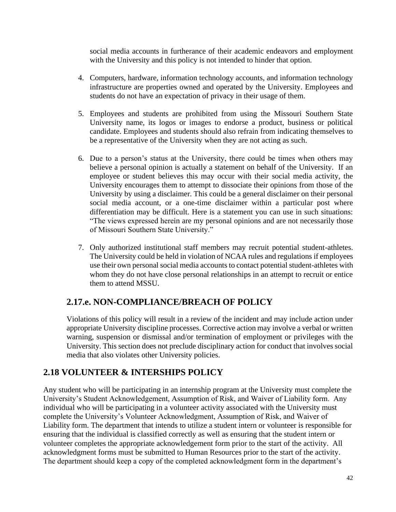social media accounts in furtherance of their academic endeavors and employment with the University and this policy is not intended to hinder that option.

- 4. Computers, hardware, information technology accounts, and information technology infrastructure are properties owned and operated by the University. Employees and students do not have an expectation of privacy in their usage of them.
- 5. Employees and students are prohibited from using the Missouri Southern State University name, its logos or images to endorse a product, business or political candidate. Employees and students should also refrain from indicating themselves to be a representative of the University when they are not acting as such.
- 6. Due to a person's status at the University, there could be times when others may believe a personal opinion is actually a statement on behalf of the University. If an employee or student believes this may occur with their social media activity, the University encourages them to attempt to dissociate their opinions from those of the University by using a disclaimer. This could be a general disclaimer on their personal social media account, or a one-time disclaimer within a particular post where differentiation may be difficult. Here is a statement you can use in such situations: "The views expressed herein are my personal opinions and are not necessarily those of Missouri Southern State University."
- 7. Only authorized institutional staff members may recruit potential student-athletes. The University could be held in violation of NCAA rules and regulations if employees use their own personal social media accounts to contact potential student-athletes with whom they do not have close personal relationships in an attempt to recruit or entice them to attend MSSU.

## **2.17.e. NON-COMPLIANCE/BREACH OF POLICY**

Violations of this policy will result in a review of the incident and may include action under appropriate University discipline processes. Corrective action may involve a verbal or written warning, suspension or dismissal and/or termination of employment or privileges with the University. This section does not preclude disciplinary action for conduct that involves social media that also violates other University policies.

## **2.18 VOLUNTEER & INTERSHIPS POLICY**

Any student who will be participating in an internship program at the University must complete the University's Student Acknowledgement, Assumption of Risk, and Waiver of Liability form. Any individual who will be participating in a volunteer activity associated with the University must complete the University's Volunteer Acknowledgment, Assumption of Risk, and Waiver of Liability form. The department that intends to utilize a student intern or volunteer is responsible for ensuring that the individual is classified correctly as well as ensuring that the student intern or volunteer completes the appropriate acknowledgement form prior to the start of the activity. All acknowledgment forms must be submitted to Human Resources prior to the start of the activity. The department should keep a copy of the completed acknowledgment form in the department's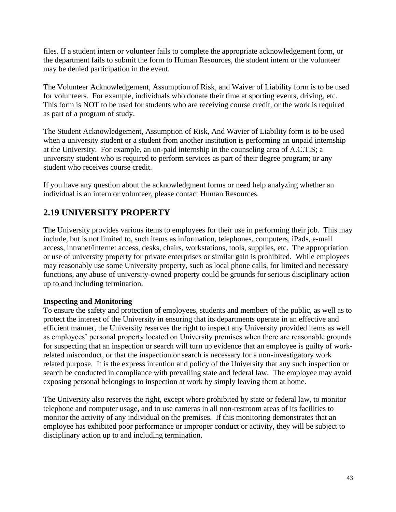files. If a student intern or volunteer fails to complete the appropriate acknowledgement form, or the department fails to submit the form to Human Resources, the student intern or the volunteer may be denied participation in the event.

The Volunteer Acknowledgement, Assumption of Risk, and Waiver of Liability form is to be used for volunteers. For example, individuals who donate their time at sporting events, driving, etc. This form is NOT to be used for students who are receiving course credit, or the work is required as part of a program of study.

The Student Acknowledgement, Assumption of Risk, And Wavier of Liability form is to be used when a university student or a student from another institution is performing an unpaid internship at the University. For example, an un-paid internship in the counseling area of A.C.T.S; a university student who is required to perform services as part of their degree program; or any student who receives course credit.

If you have any question about the acknowledgment forms or need help analyzing whether an individual is an intern or volunteer, please contact Human Resources.

# **2.19 UNIVERSITY PROPERTY**

The University provides various items to employees for their use in performing their job. This may include, but is not limited to, such items as information, telephones, computers, iPads, e-mail access, intranet/internet access, desks, chairs, workstations, tools, supplies, etc. The appropriation or use of university property for private enterprises or similar gain is prohibited. While employees may reasonably use some University property, such as local phone calls, for limited and necessary functions, any abuse of university-owned property could be grounds for serious disciplinary action up to and including termination.

#### **Inspecting and Monitoring**

To ensure the safety and protection of employees, students and members of the public, as well as to protect the interest of the University in ensuring that its departments operate in an effective and efficient manner, the University reserves the right to inspect any University provided items as well as employees' personal property located on University premises when there are reasonable grounds for suspecting that an inspection or search will turn up evidence that an employee is guilty of workrelated misconduct, or that the inspection or search is necessary for a non-investigatory work related purpose. It is the express intention and policy of the University that any such inspection or search be conducted in compliance with prevailing state and federal law. The employee may avoid exposing personal belongings to inspection at work by simply leaving them at home.

The University also reserves the right, except where prohibited by state or federal law, to monitor telephone and computer usage, and to use cameras in all non-restroom areas of its facilities to monitor the activity of any individual on the premises. If this monitoring demonstrates that an employee has exhibited poor performance or improper conduct or activity, they will be subject to disciplinary action up to and including termination.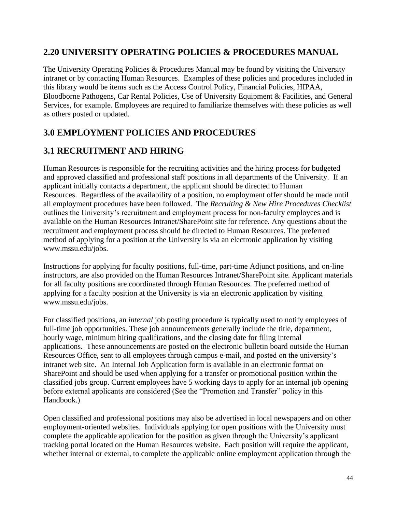### **2.20 UNIVERSITY OPERATING POLICIES & PROCEDURES MANUAL**

The University Operating Policies & Procedures Manual may be found by visiting the University intranet or by contacting Human Resources. Examples of these policies and procedures included in this library would be items such as the Access Control Policy, Financial Policies, HIPAA, Bloodborne Pathogens, Car Rental Policies, Use of University Equipment & Facilities, and General Services, for example. Employees are required to familiarize themselves with these policies as well as others posted or updated.

# **3.0 EMPLOYMENT POLICIES AND PROCEDURES**

# **3.1 RECRUITMENT AND HIRING**

Human Resources is responsible for the recruiting activities and the hiring process for budgeted and approved classified and professional staff positions in all departments of the University. If an applicant initially contacts a department, the applicant should be directed to Human Resources. Regardless of the availability of a position, no employment offer should be made until all employment procedures have been followed. The *Recruiting & New Hire Procedures Checklist* outlines the University's recruitment and employment process for non-faculty employees and is available on the Human Resources Intranet/SharePoint site for reference. Any questions about the recruitment and employment process should be directed to Human Resources. The preferred method of applying for a position at the University is via an electronic application by visiting www.mssu.edu/jobs.

Instructions for applying for faculty positions, full-time, part-time Adjunct positions, and on-line instructors, are also provided on the Human Resources Intranet/SharePoint site. Applicant materials for all faculty positions are coordinated through Human Resources. The preferred method of applying for a faculty position at the University is via an electronic application by visiting www.mssu.edu/jobs.

For classified positions, an *internal* job posting procedure is typically used to notify employees of full-time job opportunities. These job announcements generally include the title, department, hourly wage, minimum hiring qualifications, and the closing date for filing internal applications. These announcements are posted on the electronic bulletin board outside the Human Resources Office, sent to all employees through campus e-mail, and posted on the university's intranet web site. An Internal Job Application form is available in an electronic format on SharePoint and should be used when applying for a transfer or promotional position within the classified jobs group. Current employees have 5 working days to apply for an internal job opening before external applicants are considered (See the "Promotion and Transfer" policy in this Handbook.)

Open classified and professional positions may also be advertised in local newspapers and on other employment-oriented websites. Individuals applying for open positions with the University must complete the applicable application for the position as given through the University's applicant tracking portal located on the Human Resources website. Each position will require the applicant, whether internal or external, to complete the applicable online employment application through the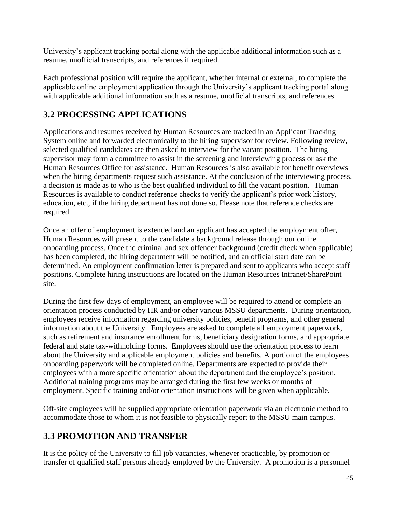University's applicant tracking portal along with the applicable additional information such as a resume, unofficial transcripts, and references if required.

Each professional position will require the applicant, whether internal or external, to complete the applicable online employment application through the University's applicant tracking portal along with applicable additional information such as a resume, unofficial transcripts, and references.

# **3.2 PROCESSING APPLICATIONS**

Applications and resumes received by Human Resources are tracked in an Applicant Tracking System online and forwarded electronically to the hiring supervisor for review. Following review, selected qualified candidates are then asked to interview for the vacant position. The hiring supervisor may form a committee to assist in the screening and interviewing process or ask the Human Resources Office for assistance. Human Resources is also available for benefit overviews when the hiring departments request such assistance. At the conclusion of the interviewing process, a decision is made as to who is the best qualified individual to fill the vacant position. Human Resources is available to conduct reference checks to verify the applicant's prior work history, education, etc., if the hiring department has not done so. Please note that reference checks are required.

Once an offer of employment is extended and an applicant has accepted the employment offer, Human Resources will present to the candidate a background release through our online onboarding process. Once the criminal and sex offender background (credit check when applicable) has been completed, the hiring department will be notified, and an official start date can be determined. An employment confirmation letter is prepared and sent to applicants who accept staff positions. Complete hiring instructions are located on the Human Resources Intranet/SharePoint site.

During the first few days of employment, an employee will be required to attend or complete an orientation process conducted by HR and/or other various MSSU departments. During orientation, employees receive information regarding university policies, benefit programs, and other general information about the University. Employees are asked to complete all employment paperwork, such as retirement and insurance enrollment forms, beneficiary designation forms, and appropriate federal and state tax-withholding forms. Employees should use the orientation process to learn about the University and applicable employment policies and benefits. A portion of the employees onboarding paperwork will be completed online. Departments are expected to provide their employees with a more specific orientation about the department and the employee's position. Additional training programs may be arranged during the first few weeks or months of employment. Specific training and/or orientation instructions will be given when applicable.

Off-site employees will be supplied appropriate orientation paperwork via an electronic method to accommodate those to whom it is not feasible to physically report to the MSSU main campus.

# **3.3 PROMOTION AND TRANSFER**

It is the policy of the University to fill job vacancies, whenever practicable, by promotion or transfer of qualified staff persons already employed by the University. A promotion is a personnel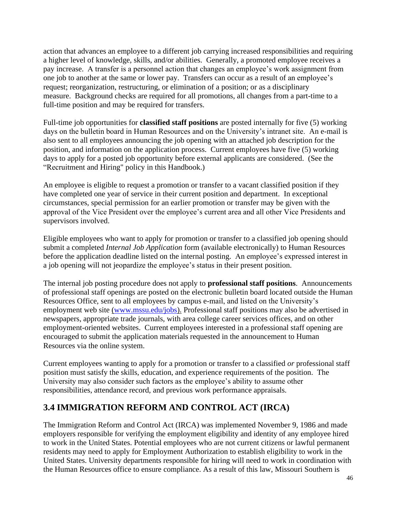action that advances an employee to a different job carrying increased responsibilities and requiring a higher level of knowledge, skills, and/or abilities. Generally, a promoted employee receives a pay increase. A transfer is a personnel action that changes an employee's work assignment from one job to another at the same or lower pay. Transfers can occur as a result of an employee's request; reorganization, restructuring, or elimination of a position; or as a disciplinary measure. Background checks are required for all promotions, all changes from a part-time to a full-time position and may be required for transfers.

Full-time job opportunities for **classified staff positions** are posted internally for five (5) working days on the bulletin board in Human Resources and on the University's intranet site. An e-mail is also sent to all employees announcing the job opening with an attached job description for the position, and information on the application process. Current employees have five (5) working days to apply for a posted job opportunity before external applicants are considered. (See the "Recruitment and Hiring" policy in this Handbook.)

An employee is eligible to request a promotion or transfer to a vacant classified position if they have completed one year of service in their current position and department. In exceptional circumstances, special permission for an earlier promotion or transfer may be given with the approval of the Vice President over the employee's current area and all other Vice Presidents and supervisors involved.

Eligible employees who want to apply for promotion or transfer to a classified job opening should submit a completed *Internal Job Application* form (available electronically) to Human Resources before the application deadline listed on the internal posting. An employee's expressed interest in a job opening will not jeopardize the employee's status in their present position.

The internal job posting procedure does not apply to **professional staff positions**. Announcements of professional staff openings are posted on the electronic bulletin board located outside the Human Resources Office, sent to all employees by campus e-mail, and listed on the University's employment web site [\(www.mssu.edu/jobs\)](http://www.mssu.edu/jobs). Professional staff positions may also be advertised in newspapers, appropriate trade journals, with area college career services offices, and on other employment-oriented websites. Current employees interested in a professional staff opening are encouraged to submit the application materials requested in the announcement to Human Resources via the online system.

Current employees wanting to apply for a promotion or transfer to a classified *or* professional staff position must satisfy the skills, education, and experience requirements of the position. The University may also consider such factors as the employee's ability to assume other responsibilities, attendance record, and previous work performance appraisals.

### **3.4 IMMIGRATION REFORM AND CONTROL ACT (IRCA)**

The Immigration Reform and Control Act (IRCA) was implemented November 9, 1986 and made employers responsible for verifying the employment eligibility and identity of any employee hired to work in the United States. Potential employees who are not current citizens or lawful permanent residents may need to apply for Employment Authorization to establish eligibility to work in the United States. University departments responsible for hiring will need to work in coordination with the Human Resources office to ensure compliance. As a result of this law, Missouri Southern is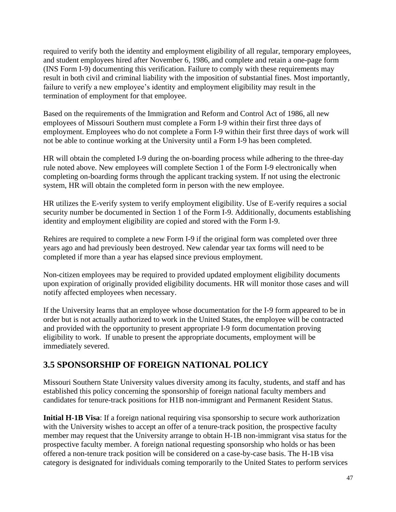required to verify both the identity and employment eligibility of all regular, temporary employees, and student employees hired after November 6, 1986, and complete and retain a one-page form (INS Form I-9) documenting this verification. Failure to comply with these requirements may result in both civil and criminal liability with the imposition of substantial fines. Most importantly, failure to verify a new employee's identity and employment eligibility may result in the termination of employment for that employee.

Based on the requirements of the Immigration and Reform and Control Act of 1986, all new employees of Missouri Southern must complete a Form I-9 within their first three days of employment. Employees who do not complete a Form I-9 within their first three days of work will not be able to continue working at the University until a Form I-9 has been completed.

HR will obtain the completed I-9 during the on-boarding process while adhering to the three-day rule noted above. New employees will complete Section 1 of the Form I-9 electronically when completing on-boarding forms through the applicant tracking system. If not using the electronic system, HR will obtain the completed form in person with the new employee.

HR utilizes the E-verify system to verify employment eligibility. Use of E-verify requires a social security number be documented in Section 1 of the Form I-9. Additionally, documents establishing identity and employment eligibility are copied and stored with the Form I-9.

Rehires are required to complete a new Form I-9 if the original form was completed over three years ago and had previously been destroyed. New calendar year tax forms will need to be completed if more than a year has elapsed since previous employment.

Non-citizen employees may be required to provided updated employment eligibility documents upon expiration of originally provided eligibility documents. HR will monitor those cases and will notify affected employees when necessary.

If the University learns that an employee whose documentation for the I-9 form appeared to be in order but is not actually authorized to work in the United States, the employee will be contracted and provided with the opportunity to present appropriate I-9 form documentation proving eligibility to work. If unable to present the appropriate documents, employment will be immediately severed.

## **3.5 SPONSORSHIP OF FOREIGN NATIONAL POLICY**

Missouri Southern State University values diversity among its faculty, students, and staff and has established this policy concerning the sponsorship of foreign national faculty members and candidates for tenure-track positions for H1B non-immigrant and Permanent Resident Status.

**Initial H-1B Visa**: If a foreign national requiring visa sponsorship to secure work authorization with the University wishes to accept an offer of a tenure-track position, the prospective faculty member may request that the University arrange to obtain H-1B non-immigrant visa status for the prospective faculty member. A foreign national requesting sponsorship who holds or has been offered a non-tenure track position will be considered on a case-by-case basis. The H-1B visa category is designated for individuals coming temporarily to the United States to perform services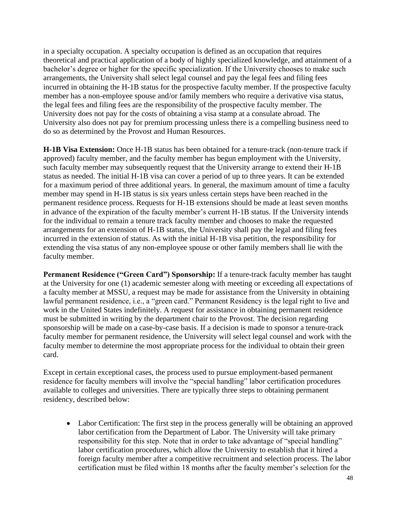in a specialty occupation. A specialty occupation is defined as an occupation that requires theoretical and practical application of a body of highly specialized knowledge, and attainment of a bachelor's degree or higher for the specific specialization. If the University chooses to make such arrangements, the University shall select legal counsel and pay the legal fees and filing fees incurred in obtaining the H-1B status for the prospective faculty member. If the prospective faculty member has a non-employee spouse and/or family members who require a derivative visa status, the legal fees and filing fees are the responsibility of the prospective faculty member. The University does not pay for the costs of obtaining a visa stamp at a consulate abroad. The University also does not pay for premium processing unless there is a compelling business need to do so as determined by the Provost and Human Resources.

**H-1B Visa Extension:** Once H-1B status has been obtained for a tenure-track (non-tenure track if approved) faculty member, and the faculty member has begun employment with the University, such faculty member may subsequently request that the University arrange to extend their H-1B status as needed. The initial H-1B visa can cover a period of up to three years. It can be extended for a maximum period of three additional years. In general, the maximum amount of time a faculty member may spend in H-1B status is six years unless certain steps have been reached in the permanent residence process. Requests for H-1B extensions should be made at least seven months in advance of the expiration of the faculty member's current H-1B status. If the University intends for the individual to remain a tenure track faculty member and chooses to make the requested arrangements for an extension of H-1B status, the University shall pay the legal and filing fees incurred in the extension of status. As with the initial H-1B visa petition, the responsibility for extending the visa status of any non-employee spouse or other family members shall lie with the faculty member.

**Permanent Residence ("Green Card") Sponsorship:** If a tenure-track faculty member has taught at the University for one (1) academic semester along with meeting or exceeding all expectations of a faculty member at MSSU, a request may be made for assistance from the University in obtaining lawful permanent residence, i.e., a "green card." Permanent Residency is the legal right to live and work in the United States indefinitely. A request for assistance in obtaining permanent residence must be submitted in writing by the department chair to the Provost. The decision regarding sponsorship will be made on a case-by-case basis. If a decision is made to sponsor a tenure-track faculty member for permanent residence, the University will select legal counsel and work with the faculty member to determine the most appropriate process for the individual to obtain their green card.

Except in certain exceptional cases, the process used to pursue employment-based permanent residence for faculty members will involve the "special handling" labor certification procedures available to colleges and universities. There are typically three steps to obtaining permanent residency, described below:

• Labor Certification: The first step in the process generally will be obtaining an approved labor certification from the Department of Labor. The University will take primary responsibility for this step. Note that in order to take advantage of "special handling" labor certification procedures, which allow the University to establish that it hired a foreign faculty member after a competitive recruitment and selection process. The labor certification must be filed within 18 months after the faculty member's selection for the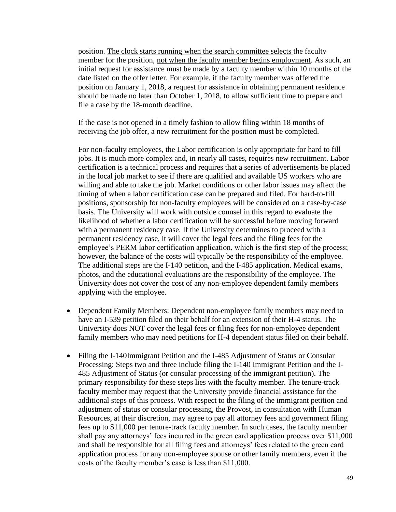position. The clock starts running when the search committee selects the faculty member for the position, not when the faculty member begins employment. As such, an initial request for assistance must be made by a faculty member within 10 months of the date listed on the offer letter. For example, if the faculty member was offered the position on January 1, 2018, a request for assistance in obtaining permanent residence should be made no later than October 1, 2018, to allow sufficient time to prepare and file a case by the 18-month deadline.

If the case is not opened in a timely fashion to allow filing within 18 months of receiving the job offer, a new recruitment for the position must be completed.

For non-faculty employees, the Labor certification is only appropriate for hard to fill jobs. It is much more complex and, in nearly all cases, requires new recruitment. Labor certification is a technical process and requires that a series of advertisements be placed in the local job market to see if there are qualified and available US workers who are willing and able to take the job. Market conditions or other labor issues may affect the timing of when a labor certification case can be prepared and filed. For hard-to-fill positions, sponsorship for non-faculty employees will be considered on a case-by-case basis. The University will work with outside counsel in this regard to evaluate the likelihood of whether a labor certification will be successful before moving forward with a permanent residency case. If the University determines to proceed with a permanent residency case, it will cover the legal fees and the filing fees for the employee's PERM labor certification application, which is the first step of the process; however, the balance of the costs will typically be the responsibility of the employee. The additional steps are the I-140 petition, and the I-485 application. Medical exams, photos, and the educational evaluations are the responsibility of the employee. The University does not cover the cost of any non-employee dependent family members applying with the employee.

- Dependent Family Members: Dependent non-employee family members may need to have an I-539 petition filed on their behalf for an extension of their H-4 status. The University does NOT cover the legal fees or filing fees for non-employee dependent family members who may need petitions for H-4 dependent status filed on their behalf.
- Filing the I-140Immigrant Petition and the I-485 Adjustment of Status or Consular Processing: Steps two and three include filing the I-140 Immigrant Petition and the I-485 Adjustment of Status (or consular processing of the immigrant petition). The primary responsibility for these steps lies with the faculty member. The tenure-track faculty member may request that the University provide financial assistance for the additional steps of this process. With respect to the filing of the immigrant petition and adjustment of status or consular processing, the Provost, in consultation with Human Resources, at their discretion, may agree to pay all attorney fees and government filing fees up to \$11,000 per tenure-track faculty member. In such cases, the faculty member shall pay any attorneys' fees incurred in the green card application process over \$11,000 and shall be responsible for all filing fees and attorneys' fees related to the green card application process for any non-employee spouse or other family members, even if the costs of the faculty member's case is less than \$11,000.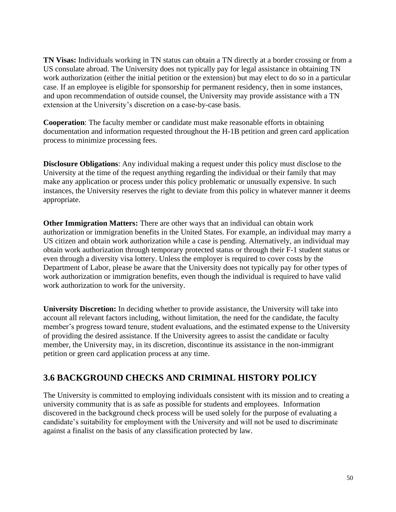**TN Visas:** Individuals working in TN status can obtain a TN directly at a border crossing or from a US consulate abroad. The University does not typically pay for legal assistance in obtaining TN work authorization (either the initial petition or the extension) but may elect to do so in a particular case. If an employee is eligible for sponsorship for permanent residency, then in some instances, and upon recommendation of outside counsel, the University may provide assistance with a TN extension at the University's discretion on a case-by-case basis.

**Cooperation**: The faculty member or candidate must make reasonable efforts in obtaining documentation and information requested throughout the H-1B petition and green card application process to minimize processing fees.

**Disclosure Obligations**: Any individual making a request under this policy must disclose to the University at the time of the request anything regarding the individual or their family that may make any application or process under this policy problematic or unusually expensive. In such instances, the University reserves the right to deviate from this policy in whatever manner it deems appropriate.

**Other Immigration Matters:** There are other ways that an individual can obtain work authorization or immigration benefits in the United States. For example, an individual may marry a US citizen and obtain work authorization while a case is pending. Alternatively, an individual may obtain work authorization through temporary protected status or through their F-1 student status or even through a diversity visa lottery. Unless the employer is required to cover costs by the Department of Labor, please be aware that the University does not typically pay for other types of work authorization or immigration benefits, even though the individual is required to have valid work authorization to work for the university.

**University Discretion:** In deciding whether to provide assistance, the University will take into account all relevant factors including, without limitation, the need for the candidate, the faculty member's progress toward tenure, student evaluations, and the estimated expense to the University of providing the desired assistance. If the University agrees to assist the candidate or faculty member, the University may, in its discretion, discontinue its assistance in the non-immigrant petition or green card application process at any time.

## **3.6 BACKGROUND CHECKS AND CRIMINAL HISTORY POLICY**

The University is committed to employing individuals consistent with its mission and to creating a university community that is as safe as possible for students and employees. Information discovered in the background check process will be used solely for the purpose of evaluating a candidate's suitability for employment with the University and will not be used to discriminate against a finalist on the basis of any classification protected by law.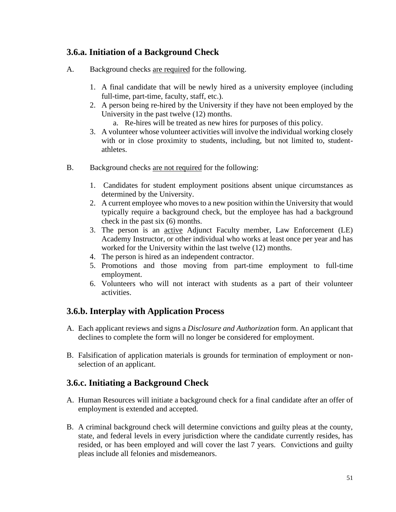### **3.6.a. Initiation of a Background Check**

- A. Background checks are required for the following.
	- 1. A final candidate that will be newly hired as a university employee (including full-time, part-time, faculty, staff, etc.).
	- 2. A person being re-hired by the University if they have not been employed by the University in the past twelve (12) months.
		- a. Re-hires will be treated as new hires for purposes of this policy.
	- 3. A volunteer whose volunteer activities will involve the individual working closely with or in close proximity to students, including, but not limited to, studentathletes.
- B. Background checks are not required for the following:
	- 1. Candidates for student employment positions absent unique circumstances as determined by the University.
	- 2. A current employee who moves to a new position within the University that would typically require a background check, but the employee has had a background check in the past six (6) months.
	- 3. The person is an active Adjunct Faculty member, Law Enforcement (LE) Academy Instructor, or other individual who works at least once per year and has worked for the University within the last twelve (12) months.
	- 4. The person is hired as an independent contractor.
	- 5. Promotions and those moving from part-time employment to full-time employment.
	- 6. Volunteers who will not interact with students as a part of their volunteer activities.

### **3.6.b. Interplay with Application Process**

- A. Each applicant reviews and signs a *Disclosure and Authorization* form. An applicant that declines to complete the form will no longer be considered for employment.
- B. Falsification of application materials is grounds for termination of employment or nonselection of an applicant.

### **3.6.c. Initiating a Background Check**

- A. Human Resources will initiate a background check for a final candidate after an offer of employment is extended and accepted.
- B. A criminal background check will determine convictions and guilty pleas at the county, state, and federal levels in every jurisdiction where the candidate currently resides, has resided, or has been employed and will cover the last 7 years. Convictions and guilty pleas include all felonies and misdemeanors.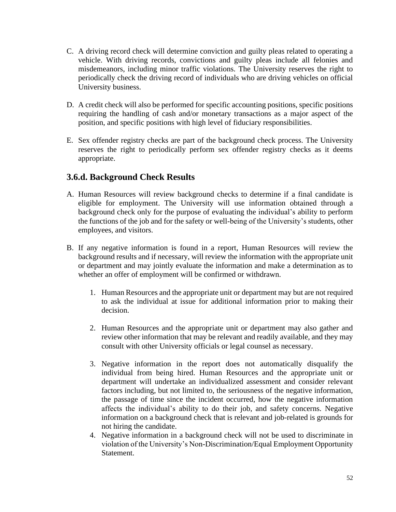- C. A driving record check will determine conviction and guilty pleas related to operating a vehicle. With driving records, convictions and guilty pleas include all felonies and misdemeanors, including minor traffic violations. The University reserves the right to periodically check the driving record of individuals who are driving vehicles on official University business.
- D. A credit check will also be performed for specific accounting positions, specific positions requiring the handling of cash and/or monetary transactions as a major aspect of the position, and specific positions with high level of fiduciary responsibilities.
- E. Sex offender registry checks are part of the background check process. The University reserves the right to periodically perform sex offender registry checks as it deems appropriate.

### **3.6.d. Background Check Results**

- A. Human Resources will review background checks to determine if a final candidate is eligible for employment. The University will use information obtained through a background check only for the purpose of evaluating the individual's ability to perform the functions of the job and for the safety or well-being of the University's students, other employees, and visitors.
- B. If any negative information is found in a report, Human Resources will review the background results and if necessary, will review the information with the appropriate unit or department and may jointly evaluate the information and make a determination as to whether an offer of employment will be confirmed or withdrawn.
	- 1. Human Resources and the appropriate unit or department may but are not required to ask the individual at issue for additional information prior to making their decision.
	- 2. Human Resources and the appropriate unit or department may also gather and review other information that may be relevant and readily available, and they may consult with other University officials or legal counsel as necessary.
	- 3. Negative information in the report does not automatically disqualify the individual from being hired. Human Resources and the appropriate unit or department will undertake an individualized assessment and consider relevant factors including, but not limited to, the seriousness of the negative information, the passage of time since the incident occurred, how the negative information affects the individual's ability to do their job, and safety concerns. Negative information on a background check that is relevant and job-related is grounds for not hiring the candidate.
	- 4. Negative information in a background check will not be used to discriminate in violation of the University's Non-Discrimination/Equal Employment Opportunity Statement.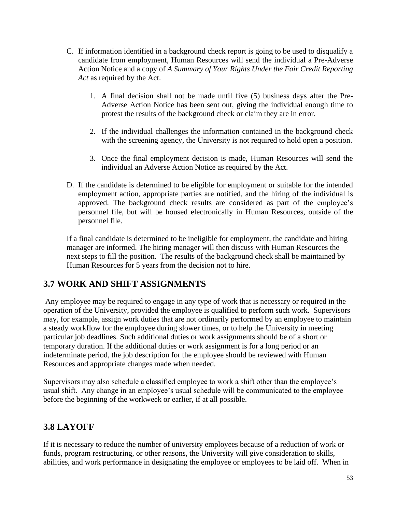- C. If information identified in a background check report is going to be used to disqualify a candidate from employment, Human Resources will send the individual a Pre-Adverse Action Notice and a copy of *A Summary of Your Rights Under the Fair Credit Reporting Act* as required by the Act.
	- 1. A final decision shall not be made until five (5) business days after the Pre-Adverse Action Notice has been sent out, giving the individual enough time to protest the results of the background check or claim they are in error.
	- 2. If the individual challenges the information contained in the background check with the screening agency, the University is not required to hold open a position.
	- 3. Once the final employment decision is made, Human Resources will send the individual an Adverse Action Notice as required by the Act.
- D. If the candidate is determined to be eligible for employment or suitable for the intended employment action, appropriate parties are notified, and the hiring of the individual is approved. The background check results are considered as part of the employee's personnel file, but will be housed electronically in Human Resources, outside of the personnel file.

If a final candidate is determined to be ineligible for employment, the candidate and hiring manager are informed. The hiring manager will then discuss with Human Resources the next steps to fill the position. The results of the background check shall be maintained by Human Resources for 5 years from the decision not to hire.

## **3.7 WORK AND SHIFT ASSIGNMENTS**

Any employee may be required to engage in any type of work that is necessary or required in the operation of the University, provided the employee is qualified to perform such work. Supervisors may, for example, assign work duties that are not ordinarily performed by an employee to maintain a steady workflow for the employee during slower times, or to help the University in meeting particular job deadlines. Such additional duties or work assignments should be of a short or temporary duration. If the additional duties or work assignment is for a long period or an indeterminate period, the job description for the employee should be reviewed with Human Resources and appropriate changes made when needed.

Supervisors may also schedule a classified employee to work a shift other than the employee's usual shift. Any change in an employee's usual schedule will be communicated to the employee before the beginning of the workweek or earlier, if at all possible.

# **3.8 LAYOFF**

If it is necessary to reduce the number of university employees because of a reduction of work or funds, program restructuring, or other reasons, the University will give consideration to skills, abilities, and work performance in designating the employee or employees to be laid off. When in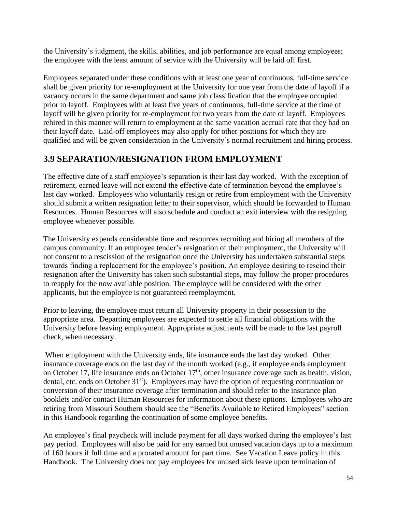the University's judgment, the skills, abilities, and job performance are equal among employees; the employee with the least amount of service with the University will be laid off first.

Employees separated under these conditions with at least one year of continuous, full-time service shall be given priority for re-employment at the University for one year from the date of layoff if a vacancy occurs in the same department and same job classification that the employee occupied prior to layoff. Employees with at least five years of continuous, full-time service at the time of layoff will be given priority for re-employment for two years from the date of layoff. Employees rehired in this manner will return to employment at the same vacation accrual rate that they had on their layoff date. Laid-off employees may also apply for other positions for which they are qualified and will be given consideration in the University's normal recruitment and hiring process.

# **3.9 SEPARATION/RESIGNATION FROM EMPLOYMENT**

The effective date of a staff employee's separation is their last day worked. With the exception of retirement, earned leave will not extend the effective date of termination beyond the employee's last day worked. Employees who voluntarily resign or retire from employment with the University should submit a written resignation letter to their supervisor, which should be forwarded to Human Resources. Human Resources will also schedule and conduct an exit interview with the resigning employee whenever possible.

The University expends considerable time and resources recruiting and hiring all members of the campus community. If an employee tender's resignation of their employment, the University will not consent to a rescission of the resignation once the University has undertaken substantial steps towards finding a replacement for the employee's position. An employee desiring to rescind their resignation after the University has taken such substantial steps, may follow the proper procedures to reapply for the now available position. The employee will be considered with the other applicants, but the employee is not guaranteed reemployment.

Prior to leaving, the employee must return all University property in their possession to the appropriate area. Departing employees are expected to settle all financial obligations with the University before leaving employment. Appropriate adjustments will be made to the last payroll check, when necessary.

When employment with the University ends, life insurance ends the last day worked. Other insurance coverage ends on the last day of the month worked (e.g., if employee ends employment on October 17, life insurance ends on October 17<sup>th</sup>, other insurance coverage such as health, vision, dental, etc. ends on October 31<sup>st</sup>). Employees may have the option of requesting continuation or conversion of their insurance coverage after termination and should refer to the insurance plan booklets and/or contact Human Resources for information about these options. Employees who are retiring from Missouri Southern should see the "Benefits Available to Retired Employees" section in this Handbook regarding the continuation of some employee benefits.

An employee's final paycheck will include payment for all days worked during the employee's last pay period. Employees will also be paid for any earned but unused vacation days up to a maximum of 160 hours if full time and a prorated amount for part time. See Vacation Leave policy in this Handbook. The University does not pay employees for unused sick leave upon termination of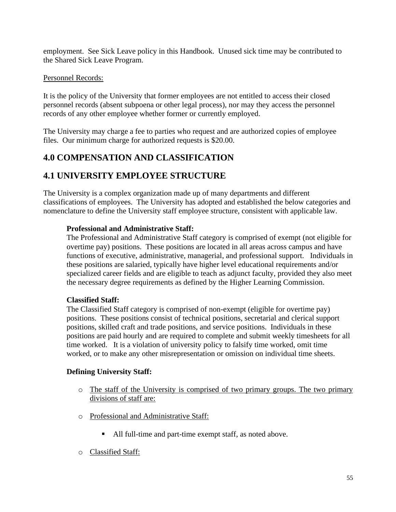employment. See Sick Leave policy in this Handbook. Unused sick time may be contributed to the Shared Sick Leave Program.

#### Personnel Records:

It is the policy of the University that former employees are not entitled to access their closed personnel records (absent subpoena or other legal process), nor may they access the personnel records of any other employee whether former or currently employed.

The University may charge a fee to parties who request and are authorized copies of employee files. Our minimum charge for authorized requests is \$20.00.

# **4.0 COMPENSATION AND CLASSIFICATION**

## **4.1 UNIVERSITY EMPLOYEE STRUCTURE**

The University is a complex organization made up of many departments and different classifications of employees. The University has adopted and established the below categories and nomenclature to define the University staff employee structure, consistent with applicable law.

#### **Professional and Administrative Staff:**

The Professional and Administrative Staff category is comprised of exempt (not eligible for overtime pay) positions. These positions are located in all areas across campus and have functions of executive, administrative, managerial, and professional support. Individuals in these positions are salaried, typically have higher level educational requirements and/or specialized career fields and are eligible to teach as adjunct faculty, provided they also meet the necessary degree requirements as defined by the Higher Learning Commission.

#### **Classified Staff:**

The Classified Staff category is comprised of non-exempt (eligible for overtime pay) positions. These positions consist of technical positions, secretarial and clerical support positions, skilled craft and trade positions, and service positions. Individuals in these positions are paid hourly and are required to complete and submit weekly timesheets for all time worked. It is a violation of university policy to falsify time worked, omit time worked, or to make any other misrepresentation or omission on individual time sheets.

### **Defining University Staff:**

- o The staff of the University is comprised of two primary groups. The two primary divisions of staff are:
- o Professional and Administrative Staff:
	- All full-time and part-time exempt staff, as noted above.
- o Classified Staff: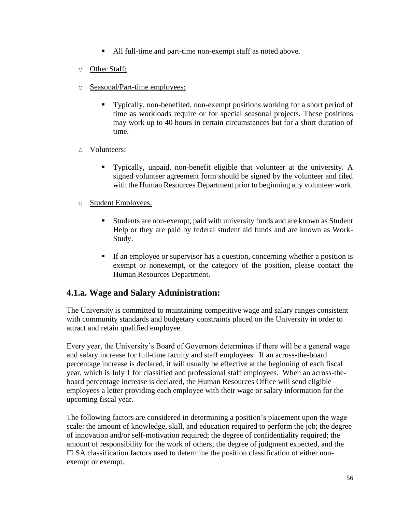- All full-time and part-time non-exempt staff as noted above.
- o Other Staff:
- o Seasonal/Part-time employees:
	- Typically, non-benefited, non-exempt positions working for a short period of time as workloads require or for special seasonal projects. These positions may work up to 40 hours in certain circumstances but for a short duration of time.
- o Volunteers:
	- Typically, unpaid, non-benefit eligible that volunteer at the university. A signed volunteer agreement form should be signed by the volunteer and filed with the Human Resources Department prior to beginning any volunteer work.
- o Student Employees:
	- Students are non-exempt, paid with university funds and are known as Student Help or they are paid by federal student aid funds and are known as Work-Study.
	- If an employee or supervisor has a question, concerning whether a position is exempt or nonexempt, or the category of the position, please contact the Human Resources Department.

## **4.1.a. Wage and Salary Administration:**

The University is committed to maintaining competitive wage and salary ranges consistent with community standards and budgetary constraints placed on the University in order to attract and retain qualified employee.

Every year, the University's Board of Governors determines if there will be a general wage and salary increase for full-time faculty and staff employees. If an across-the-board percentage increase is declared, it will usually be effective at the beginning of each fiscal year, which is July 1 for classified and professional staff employees. When an across-theboard percentage increase is declared, the Human Resources Office will send eligible employees a letter providing each employee with their wage or salary information for the upcoming fiscal year.

The following factors are considered in determining a position's placement upon the wage scale: the amount of knowledge, skill, and education required to perform the job; the degree of innovation and/or self-motivation required; the degree of confidentiality required; the amount of responsibility for the work of others; the degree of judgment expected, and the FLSA classification factors used to determine the position classification of either nonexempt or exempt.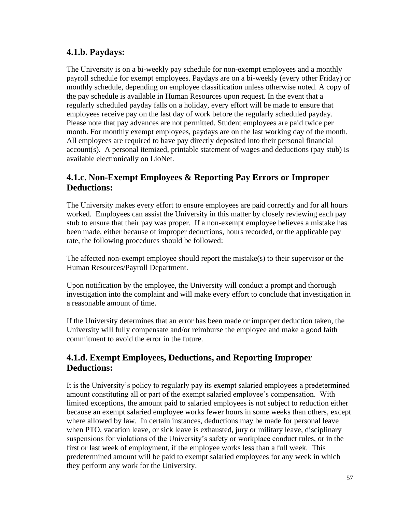## **4.1.b. Paydays:**

The University is on a bi-weekly pay schedule for non-exempt employees and a monthly payroll schedule for exempt employees. Paydays are on a bi-weekly (every other Friday) or monthly schedule, depending on employee classification unless otherwise noted. A copy of the pay schedule is available in Human Resources upon request. In the event that a regularly scheduled payday falls on a holiday, every effort will be made to ensure that employees receive pay on the last day of work before the regularly scheduled payday. Please note that pay advances are not permitted. Student employees are paid twice per month. For monthly exempt employees, paydays are on the last working day of the month. All employees are required to have pay directly deposited into their personal financial account(s). A personal itemized, printable statement of wages and deductions (pay stub) is available electronically on LioNet.

### **4.1.c. Non-Exempt Employees & Reporting Pay Errors or Improper Deductions:**

The University makes every effort to ensure employees are paid correctly and for all hours worked. Employees can assist the University in this matter by closely reviewing each pay stub to ensure that their pay was proper. If a non-exempt employee believes a mistake has been made, either because of improper deductions, hours recorded, or the applicable pay rate, the following procedures should be followed:

The affected non-exempt employee should report the mistake(s) to their supervisor or the Human Resources/Payroll Department.

Upon notification by the employee, the University will conduct a prompt and thorough investigation into the complaint and will make every effort to conclude that investigation in a reasonable amount of time.

If the University determines that an error has been made or improper deduction taken, the University will fully compensate and/or reimburse the employee and make a good faith commitment to avoid the error in the future.

### **4.1.d. Exempt Employees, Deductions, and Reporting Improper Deductions:**

It is the University's policy to regularly pay its exempt salaried employees a predetermined amount constituting all or part of the exempt salaried employee's compensation. With limited exceptions, the amount paid to salaried employees is not subject to reduction either because an exempt salaried employee works fewer hours in some weeks than others, except where allowed by law. In certain instances, deductions may be made for personal leave when PTO, vacation leave, or sick leave is exhausted, jury or military leave, disciplinary suspensions for violations of the University's safety or workplace conduct rules, or in the first or last week of employment, if the employee works less than a full week. This predetermined amount will be paid to exempt salaried employees for any week in which they perform any work for the University.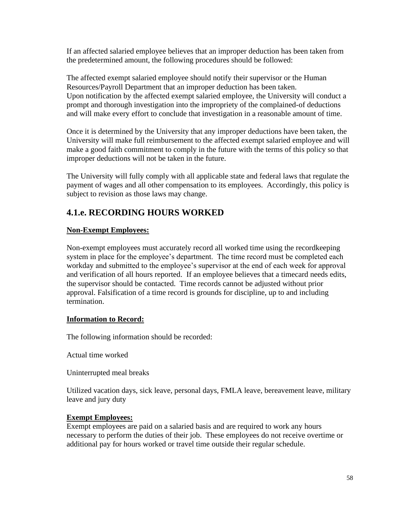If an affected salaried employee believes that an improper deduction has been taken from the predetermined amount, the following procedures should be followed:

The affected exempt salaried employee should notify their supervisor or the Human Resources/Payroll Department that an improper deduction has been taken. Upon notification by the affected exempt salaried employee, the University will conduct a prompt and thorough investigation into the impropriety of the complained-of deductions and will make every effort to conclude that investigation in a reasonable amount of time.

Once it is determined by the University that any improper deductions have been taken, the University will make full reimbursement to the affected exempt salaried employee and will make a good faith commitment to comply in the future with the terms of this policy so that improper deductions will not be taken in the future.

The University will fully comply with all applicable state and federal laws that regulate the payment of wages and all other compensation to its employees. Accordingly, this policy is subject to revision as those laws may change.

# **4.1.e. RECORDING HOURS WORKED**

#### **Non-Exempt Employees:**

Non-exempt employees must accurately record all worked time using the recordkeeping system in place for the employee's department. The time record must be completed each workday and submitted to the employee's supervisor at the end of each week for approval and verification of all hours reported. If an employee believes that a timecard needs edits, the supervisor should be contacted. Time records cannot be adjusted without prior approval. Falsification of a time record is grounds for discipline, up to and including termination.

#### **Information to Record:**

The following information should be recorded:

Actual time worked

Uninterrupted meal breaks

Utilized vacation days, sick leave, personal days, FMLA leave, bereavement leave, military leave and jury duty

#### **Exempt Employees:**

Exempt employees are paid on a salaried basis and are required to work any hours necessary to perform the duties of their job. These employees do not receive overtime or additional pay for hours worked or travel time outside their regular schedule.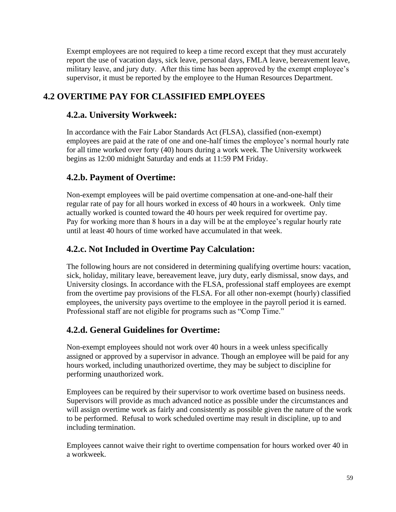Exempt employees are not required to keep a time record except that they must accurately report the use of vacation days, sick leave, personal days, FMLA leave, bereavement leave, military leave, and jury duty. After this time has been approved by the exempt employee's supervisor, it must be reported by the employee to the Human Resources Department.

# **4.2 OVERTIME PAY FOR CLASSIFIED EMPLOYEES**

### **4.2.a. University Workweek:**

In accordance with the Fair Labor Standards Act (FLSA), classified (non-exempt) employees are paid at the rate of one and one-half times the employee's normal hourly rate for all time worked over forty (40) hours during a work week. The University workweek begins as 12:00 midnight Saturday and ends at 11:59 PM Friday.

## **4.2.b. Payment of Overtime:**

Non-exempt employees will be paid overtime compensation at one-and-one-half their regular rate of pay for all hours worked in excess of 40 hours in a workweek. Only time actually worked is counted toward the 40 hours per week required for overtime pay. Pay for working more than 8 hours in a day will be at the employee's regular hourly rate until at least 40 hours of time worked have accumulated in that week.

## **4.2.c. Not Included in Overtime Pay Calculation:**

The following hours are not considered in determining qualifying overtime hours: vacation, sick, holiday, military leave, bereavement leave, jury duty, early dismissal, snow days, and University closings. In accordance with the FLSA, professional staff employees are exempt from the overtime pay provisions of the FLSA. For all other non-exempt (hourly) classified employees, the university pays overtime to the employee in the payroll period it is earned. Professional staff are not eligible for programs such as "Comp Time."

## **4.2.d. General Guidelines for Overtime:**

Non-exempt employees should not work over 40 hours in a week unless specifically assigned or approved by a supervisor in advance. Though an employee will be paid for any hours worked, including unauthorized overtime, they may be subject to discipline for performing unauthorized work.

Employees can be required by their supervisor to work overtime based on business needs. Supervisors will provide as much advanced notice as possible under the circumstances and will assign overtime work as fairly and consistently as possible given the nature of the work to be performed. Refusal to work scheduled overtime may result in discipline, up to and including termination.

Employees cannot waive their right to overtime compensation for hours worked over 40 in a workweek.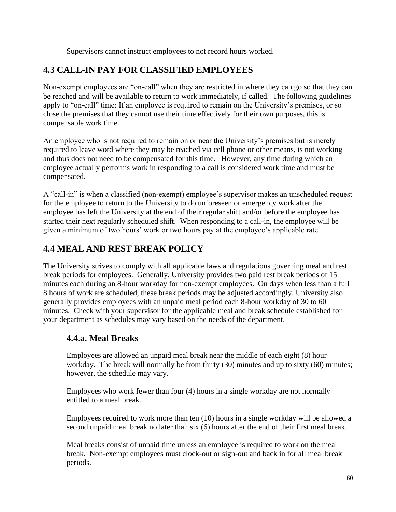Supervisors cannot instruct employees to not record hours worked.

## **4.3 CALL-IN PAY FOR CLASSIFIED EMPLOYEES**

Non-exempt employees are "on-call" when they are restricted in where they can go so that they can be reached and will be available to return to work immediately, if called. The following guidelines apply to "on-call" time: If an employee is required to remain on the University's premises, or so close the premises that they cannot use their time effectively for their own purposes, this is compensable work time.

An employee who is not required to remain on or near the University's premises but is merely required to leave word where they may be reached via cell phone or other means, is not working and thus does not need to be compensated for this time. However, any time during which an employee actually performs work in responding to a call is considered work time and must be compensated.

A "call-in" is when a classified (non-exempt) employee's supervisor makes an unscheduled request for the employee to return to the University to do unforeseen or emergency work after the employee has left the University at the end of their regular shift and/or before the employee has started their next regularly scheduled shift. When responding to a call-in, the employee will be given a minimum of two hours' work or two hours pay at the employee's applicable rate.

## **4.4 MEAL AND REST BREAK POLICY**

The University strives to comply with all applicable laws and regulations governing meal and rest break periods for employees. Generally, University provides two paid rest break periods of 15 minutes each during an 8-hour workday for non-exempt employees. On days when less than a full 8 hours of work are scheduled, these break periods may be adjusted accordingly. University also generally provides employees with an unpaid meal period each 8-hour workday of 30 to 60 minutes. Check with your supervisor for the applicable meal and break schedule established for your department as schedules may vary based on the needs of the department.

## **4.4.a. Meal Breaks**

Employees are allowed an unpaid meal break near the middle of each eight (8) hour workday. The break will normally be from thirty (30) minutes and up to sixty (60) minutes; however, the schedule may vary.

Employees who work fewer than four (4) hours in a single workday are not normally entitled to a meal break.

Employees required to work more than ten (10) hours in a single workday will be allowed a second unpaid meal break no later than six (6) hours after the end of their first meal break.

Meal breaks consist of unpaid time unless an employee is required to work on the meal break. Non-exempt employees must clock-out or sign-out and back in for all meal break periods.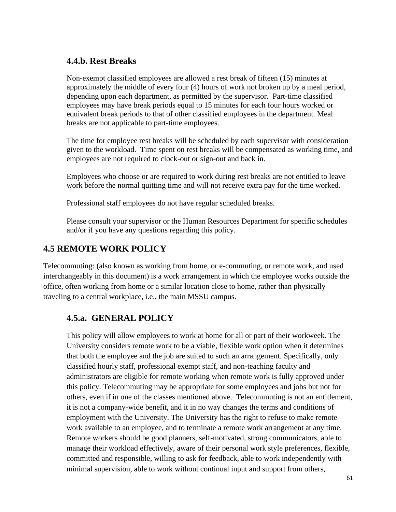### **4.4.b. Rest Breaks**

Non-exempt classified employees are allowed a rest break of fifteen (15) minutes at approximately the middle of every four (4) hours of work not broken up by a meal period, depending upon each department, as permitted by the supervisor. Part-time classified employees may have break periods equal to 15 minutes for each four hours worked or equivalent break periods to that of other classified employees in the department. Meal breaks are not applicable to part-time employees.

The time for employee rest breaks will be scheduled by each supervisor with consideration given to the workload. Time spent on rest breaks will be compensated as working time, and employees are not required to clock-out or sign-out and back in.

Employees who choose or are required to work during rest breaks are not entitled to leave work before the normal quitting time and will not receive extra pay for the time worked.

Professional staff employees do not have regular scheduled breaks.

Please consult your supervisor or the Human Resources Department for specific schedules and/or if you have any questions regarding this policy.

# **4.5 REMOTE WORK POLICY**

Telecommuting: (also known as working from home, or e-commuting, or remote work, and used interchangeably in this document) is a work arrangement in which the employee works outside the office, often working from home or a similar location close to home, rather than physically traveling to a central workplace, i.e., the main MSSU campus.

### **4.5.a. GENERAL POLICY**

This policy will allow employees to work at home for all or part of their workweek. The University considers remote work to be a viable, flexible work option when it determines that both the employee and the job are suited to such an arrangement. Specifically, only classified hourly staff, professional exempt staff, and non-teaching faculty and administrators are eligible for remote working when remote work is fully approved under this policy. Telecommuting may be appropriate for some employees and jobs but not for others, even if in one of the classes mentioned above. Telecommuting is not an entitlement, it is not a company-wide benefit, and it in no way changes the terms and conditions of employment with the University. The University has the right to refuse to make remote work available to an employee, and to terminate a remote work arrangement at any time. Remote workers should be good planners, self-motivated, strong communicators, able to manage their workload effectively, aware of their personal work style preferences, flexible, committed and responsible, willing to ask for feedback, able to work independently with minimal supervision, able to work without continual input and support from others,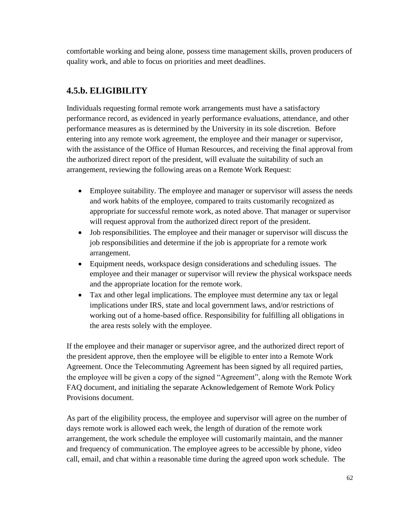comfortable working and being alone, possess time management skills, proven producers of quality work, and able to focus on priorities and meet deadlines.

# **4.5.b. ELIGIBILITY**

Individuals requesting formal remote work arrangements must have a satisfactory performance record, as evidenced in yearly performance evaluations, attendance, and other performance measures as is determined by the University in its sole discretion. Before entering into any remote work agreement, the employee and their manager or supervisor, with the assistance of the Office of Human Resources, and receiving the final approval from the authorized direct report of the president, will evaluate the suitability of such an arrangement, reviewing the following areas on a Remote Work Request:

- Employee suitability. The employee and manager or supervisor will assess the needs and work habits of the employee, compared to traits customarily recognized as appropriate for successful remote work, as noted above. That manager or supervisor will request approval from the authorized direct report of the president.
- Job responsibilities. The employee and their manager or supervisor will discuss the job responsibilities and determine if the job is appropriate for a remote work arrangement.
- Equipment needs, workspace design considerations and scheduling issues. The employee and their manager or supervisor will review the physical workspace needs and the appropriate location for the remote work.
- Tax and other legal implications. The employee must determine any tax or legal implications under IRS, state and local government laws, and/or restrictions of working out of a home-based office. Responsibility for fulfilling all obligations in the area rests solely with the employee.

If the employee and their manager or supervisor agree, and the authorized direct report of the president approve, then the employee will be eligible to enter into a Remote Work Agreement. Once the Telecommuting Agreement has been signed by all required parties, the employee will be given a copy of the signed "Agreement", along with the Remote Work FAQ document, and initialing the separate Acknowledgement of Remote Work Policy Provisions document.

As part of the eligibility process, the employee and supervisor will agree on the number of days remote work is allowed each week, the length of duration of the remote work arrangement, the work schedule the employee will customarily maintain, and the manner and frequency of communication. The employee agrees to be accessible by phone, video call, email, and chat within a reasonable time during the agreed upon work schedule. The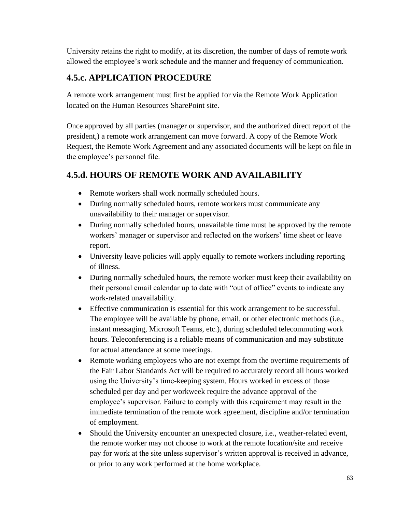University retains the right to modify, at its discretion, the number of days of remote work allowed the employee's work schedule and the manner and frequency of communication.

# **4.5.c. APPLICATION PROCEDURE**

A remote work arrangement must first be applied for via the Remote Work Application located on the Human Resources SharePoint site.

Once approved by all parties (manager or supervisor, and the authorized direct report of the president,) a remote work arrangement can move forward. A copy of the Remote Work Request, the Remote Work Agreement and any associated documents will be kept on file in the employee's personnel file.

# **4.5.d. HOURS OF REMOTE WORK AND AVAILABILITY**

- Remote workers shall work normally scheduled hours.
- During normally scheduled hours, remote workers must communicate any unavailability to their manager or supervisor.
- During normally scheduled hours, unavailable time must be approved by the remote workers' manager or supervisor and reflected on the workers' time sheet or leave report.
- University leave policies will apply equally to remote workers including reporting of illness.
- During normally scheduled hours, the remote worker must keep their availability on their personal email calendar up to date with "out of office" events to indicate any work-related unavailability.
- Effective communication is essential for this work arrangement to be successful. The employee will be available by phone, email, or other electronic methods (i.e., instant messaging, Microsoft Teams, etc.), during scheduled telecommuting work hours. Teleconferencing is a reliable means of communication and may substitute for actual attendance at some meetings.
- Remote working employees who are not exempt from the overtime requirements of the Fair Labor Standards Act will be required to accurately record all hours worked using the University's time-keeping system. Hours worked in excess of those scheduled per day and per workweek require the advance approval of the employee's supervisor. Failure to comply with this requirement may result in the immediate termination of the remote work agreement, discipline and/or termination of employment.
- Should the University encounter an unexpected closure, i.e., weather-related event, the remote worker may not choose to work at the remote location/site and receive pay for work at the site unless supervisor's written approval is received in advance, or prior to any work performed at the home workplace.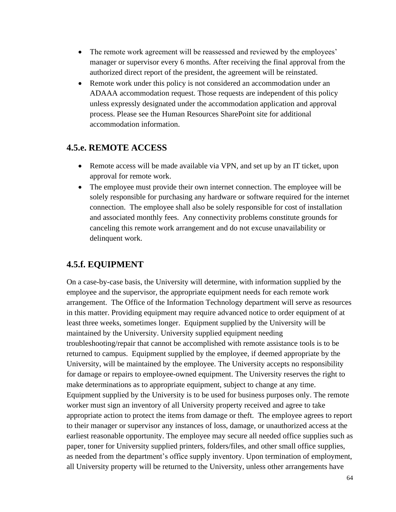- The remote work agreement will be reassessed and reviewed by the employees' manager or supervisor every 6 months. After receiving the final approval from the authorized direct report of the president, the agreement will be reinstated.
- Remote work under this policy is not considered an accommodation under an ADAAA accommodation request. Those requests are independent of this policy unless expressly designated under the accommodation application and approval process. Please see the Human Resources SharePoint site for additional accommodation information.

### **4.5.e. REMOTE ACCESS**

- Remote access will be made available via VPN, and set up by an IT ticket, upon approval for remote work.
- The employee must provide their own internet connection. The employee will be solely responsible for purchasing any hardware or software required for the internet connection. The employee shall also be solely responsible for cost of installation and associated monthly fees. Any connectivity problems constitute grounds for canceling this remote work arrangement and do not excuse unavailability or delinquent work.

### **4.5.f. EQUIPMENT**

On a case-by-case basis, the University will determine, with information supplied by the employee and the supervisor, the appropriate equipment needs for each remote work arrangement. The Office of the Information Technology department will serve as resources in this matter. Providing equipment may require advanced notice to order equipment of at least three weeks, sometimes longer. Equipment supplied by the University will be maintained by the University. University supplied equipment needing troubleshooting/repair that cannot be accomplished with remote assistance tools is to be returned to campus. Equipment supplied by the employee, if deemed appropriate by the University, will be maintained by the employee. The University accepts no responsibility for damage or repairs to employee-owned equipment. The University reserves the right to make determinations as to appropriate equipment, subject to change at any time. Equipment supplied by the University is to be used for business purposes only. The remote worker must sign an inventory of all University property received and agree to take appropriate action to protect the items from damage or theft. The employee agrees to report to their manager or supervisor any instances of loss, damage, or unauthorized access at the earliest reasonable opportunity. The employee may secure all needed office supplies such as paper, toner for University supplied printers, folders/files, and other small office supplies, as needed from the department's office supply inventory. Upon termination of employment, all University property will be returned to the University, unless other arrangements have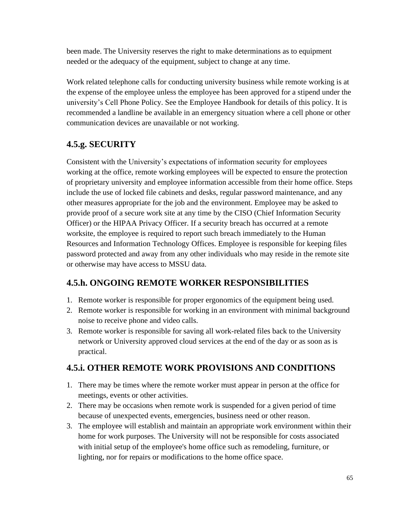been made. The University reserves the right to make determinations as to equipment needed or the adequacy of the equipment, subject to change at any time.

Work related telephone calls for conducting university business while remote working is at the expense of the employee unless the employee has been approved for a stipend under the university's Cell Phone Policy. See the Employee Handbook for details of this policy. It is recommended a landline be available in an emergency situation where a cell phone or other communication devices are unavailable or not working.

# **4.5.g. SECURITY**

Consistent with the University's expectations of information security for employees working at the office, remote working employees will be expected to ensure the protection of proprietary university and employee information accessible from their home office. Steps include the use of locked file cabinets and desks, regular password maintenance, and any other measures appropriate for the job and the environment. Employee may be asked to provide proof of a secure work site at any time by the CISO (Chief Information Security Officer) or the HIPAA Privacy Officer. If a security breach has occurred at a remote worksite, the employee is required to report such breach immediately to the Human Resources and Information Technology Offices. Employee is responsible for keeping files password protected and away from any other individuals who may reside in the remote site or otherwise may have access to MSSU data.

# **4.5.h. ONGOING REMOTE WORKER RESPONSIBILITIES**

- 1. Remote worker is responsible for proper ergonomics of the equipment being used.
- 2. Remote worker is responsible for working in an environment with minimal background noise to receive phone and video calls.
- 3. Remote worker is responsible for saving all work-related files back to the University network or University approved cloud services at the end of the day or as soon as is practical.

# **4.5.i. OTHER REMOTE WORK PROVISIONS AND CONDITIONS**

- 1. There may be times where the remote worker must appear in person at the office for meetings, events or other activities.
- 2. There may be occasions when remote work is suspended for a given period of time because of unexpected events, emergencies, business need or other reason.
- 3. The employee will establish and maintain an appropriate work environment within their home for work purposes. The University will not be responsible for costs associated with initial setup of the employee's home office such as remodeling, furniture, or lighting, nor for repairs or modifications to the home office space.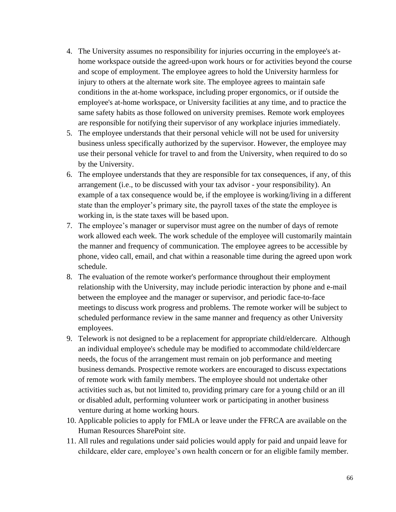- 4. The University assumes no responsibility for injuries occurring in the employee's athome workspace outside the agreed-upon work hours or for activities beyond the course and scope of employment. The employee agrees to hold the University harmless for injury to others at the alternate work site. The employee agrees to maintain safe conditions in the at-home workspace, including proper ergonomics, or if outside the employee's at-home workspace, or University facilities at any time, and to practice the same safety habits as those followed on university premises. Remote work employees are responsible for notifying their supervisor of any workplace injuries immediately.
- 5. The employee understands that their personal vehicle will not be used for university business unless specifically authorized by the supervisor. However, the employee may use their personal vehicle for travel to and from the University, when required to do so by the University.
- 6. The employee understands that they are responsible for tax consequences, if any, of this arrangement (i.e., to be discussed with your tax advisor - your responsibility). An example of a tax consequence would be, if the employee is working/living in a different state than the employer's primary site, the payroll taxes of the state the employee is working in, is the state taxes will be based upon.
- 7. The employee's manager or supervisor must agree on the number of days of remote work allowed each week. The work schedule of the employee will customarily maintain the manner and frequency of communication. The employee agrees to be accessible by phone, video call, email, and chat within a reasonable time during the agreed upon work schedule.
- 8. The evaluation of the remote worker's performance throughout their employment relationship with the University, may include periodic interaction by phone and e-mail between the employee and the manager or supervisor, and periodic face-to-face meetings to discuss work progress and problems. The remote worker will be subject to scheduled performance review in the same manner and frequency as other University employees.
- 9. Telework is not designed to be a replacement for appropriate child/eldercare. Although an individual employee's schedule may be modified to accommodate child/eldercare needs, the focus of the arrangement must remain on job performance and meeting business demands. Prospective remote workers are encouraged to discuss expectations of remote work with family members. The employee should not undertake other activities such as, but not limited to, providing primary care for a young child or an ill or disabled adult, performing volunteer work or participating in another business venture during at home working hours.
- 10. Applicable policies to apply for FMLA or leave under the FFRCA are available on the Human Resources SharePoint site.
- 11. All rules and regulations under said policies would apply for paid and unpaid leave for childcare, elder care, employee's own health concern or for an eligible family member.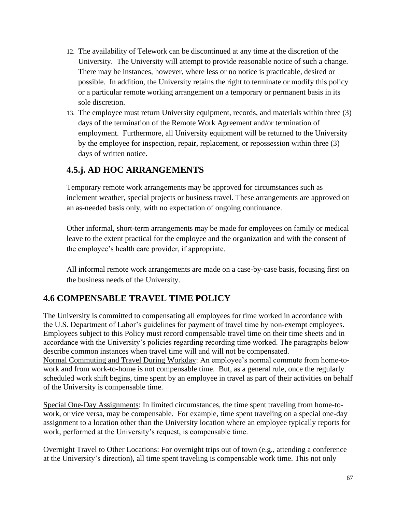- 12. The availability of Telework can be discontinued at any time at the discretion of the University. The University will attempt to provide reasonable notice of such a change. There may be instances, however, where less or no notice is practicable, desired or possible. In addition, the University retains the right to terminate or modify this policy or a particular remote working arrangement on a temporary or permanent basis in its sole discretion.
- 13. The employee must return University equipment, records, and materials within three (3) days of the termination of the Remote Work Agreement and/or termination of employment. Furthermore, all University equipment will be returned to the University by the employee for inspection, repair, replacement, or repossession within three (3) days of written notice.

## **4.5.j. AD HOC ARRANGEMENTS**

Temporary remote work arrangements may be approved for circumstances such as inclement weather, special projects or business travel. These arrangements are approved on an as-needed basis only, with no expectation of ongoing continuance.

Other informal, short-term arrangements may be made for employees on family or medical leave to the extent practical for the employee and the organization and with the consent of the employee's health care provider, if appropriate.

All informal remote work arrangements are made on a case-by-case basis, focusing first on the business needs of the University.

# **4.6 COMPENSABLE TRAVEL TIME POLICY**

The University is committed to compensating all employees for time worked in accordance with the U.S. Department of Labor's guidelines for payment of travel time by non-exempt employees. Employees subject to this Policy must record compensable travel time on their time sheets and in accordance with the University's policies regarding recording time worked. The paragraphs below describe common instances when travel time will and will not be compensated. Normal Commuting and Travel During Workday: An employee's normal commute from home-towork and from work-to-home is not compensable time. But, as a general rule, once the regularly scheduled work shift begins, time spent by an employee in travel as part of their activities on behalf of the University is compensable time.

Special One-Day Assignments: In limited circumstances, the time spent traveling from home-towork, or vice versa, may be compensable. For example, time spent traveling on a special one-day assignment to a location other than the University location where an employee typically reports for work, performed at the University's request, is compensable time.

Overnight Travel to Other Locations: For overnight trips out of town (e.g., attending a conference at the University's direction), all time spent traveling is compensable work time. This not only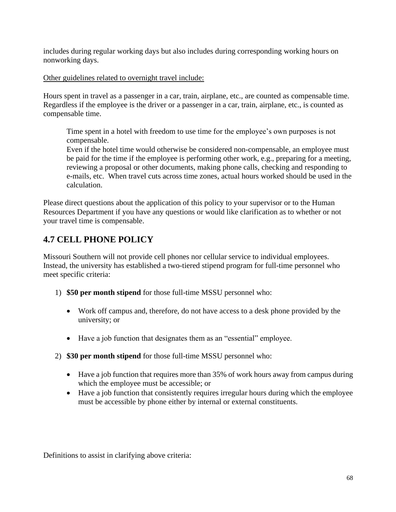includes during regular working days but also includes during corresponding working hours on nonworking days.

#### Other guidelines related to overnight travel include:

Hours spent in travel as a passenger in a car, train, airplane, etc., are counted as compensable time. Regardless if the employee is the driver or a passenger in a car, train, airplane, etc., is counted as compensable time.

Time spent in a hotel with freedom to use time for the employee's own purposes is not compensable.

Even if the hotel time would otherwise be considered non-compensable, an employee must be paid for the time if the employee is performing other work, e.g., preparing for a meeting, reviewing a proposal or other documents, making phone calls, checking and responding to e-mails, etc. When travel cuts across time zones, actual hours worked should be used in the calculation.

Please direct questions about the application of this policy to your supervisor or to the Human Resources Department if you have any questions or would like clarification as to whether or not your travel time is compensable.

# **4.7 CELL PHONE POLICY**

Missouri Southern will not provide cell phones nor cellular service to individual employees. Instead, the university has established a two-tiered stipend program for full-time personnel who meet specific criteria:

- 1) **\$50 per month stipend** for those full-time MSSU personnel who:
	- Work off campus and, therefore, do not have access to a desk phone provided by the university; or
	- Have a job function that designates them as an "essential" employee.
- 2) **\$30 per month stipend** for those full-time MSSU personnel who:
	- Have a job function that requires more than 35% of work hours away from campus during which the employee must be accessible; or
	- Have a job function that consistently requires irregular hours during which the employee must be accessible by phone either by internal or external constituents.

Definitions to assist in clarifying above criteria: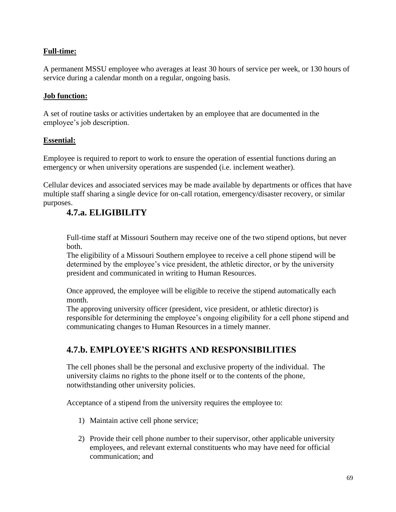### **Full-time:**

A permanent MSSU employee who averages at least 30 hours of service per week, or 130 hours of service during a calendar month on a regular, ongoing basis.

#### **Job function:**

A set of routine tasks or activities undertaken by an employee that are documented in the employee's job description.

#### **Essential:**

Employee is required to report to work to ensure the operation of essential functions during an emergency or when university operations are suspended (i.e. inclement weather).

Cellular devices and associated services may be made available by departments or offices that have multiple staff sharing a single device for on-call rotation, emergency/disaster recovery, or similar purposes.

# **4.7.a. ELIGIBILITY**

Full-time staff at Missouri Southern may receive one of the two stipend options, but never both.

The eligibility of a Missouri Southern employee to receive a cell phone stipend will be determined by the employee's vice president, the athletic director, or by the university president and communicated in writing to Human Resources.

Once approved, the employee will be eligible to receive the stipend automatically each month.

The approving university officer (president, vice president, or athletic director) is responsible for determining the employee's ongoing eligibility for a cell phone stipend and communicating changes to Human Resources in a timely manner.

## **4.7.b. EMPLOYEE'S RIGHTS AND RESPONSIBILITIES**

The cell phones shall be the personal and exclusive property of the individual. The university claims no rights to the phone itself or to the contents of the phone, notwithstanding other university policies.

Acceptance of a stipend from the university requires the employee to:

- 1) Maintain active cell phone service;
- 2) Provide their cell phone number to their supervisor, other applicable university employees, and relevant external constituents who may have need for official communication; and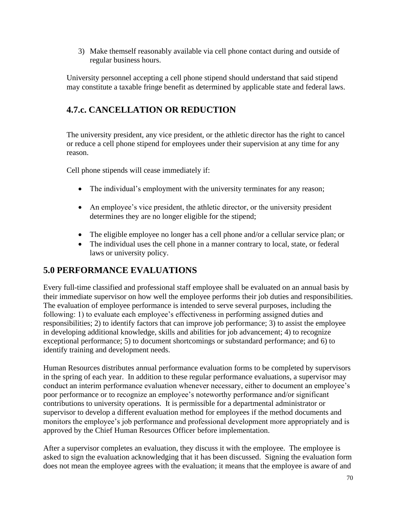3) Make themself reasonably available via cell phone contact during and outside of regular business hours.

University personnel accepting a cell phone stipend should understand that said stipend may constitute a taxable fringe benefit as determined by applicable state and federal laws.

# **4.7.c. CANCELLATION OR REDUCTION**

The university president, any vice president, or the athletic director has the right to cancel or reduce a cell phone stipend for employees under their supervision at any time for any reason.

Cell phone stipends will cease immediately if:

- The individual's employment with the university terminates for any reason;
- An employee's vice president, the athletic director, or the university president determines they are no longer eligible for the stipend;
- The eligible employee no longer has a cell phone and/or a cellular service plan; or
- The individual uses the cell phone in a manner contrary to local, state, or federal laws or university policy.

## **5.0 PERFORMANCE EVALUATIONS**

Every full-time classified and professional staff employee shall be evaluated on an annual basis by their immediate supervisor on how well the employee performs their job duties and responsibilities. The evaluation of employee performance is intended to serve several purposes, including the following: 1) to evaluate each employee's effectiveness in performing assigned duties and responsibilities; 2) to identify factors that can improve job performance; 3) to assist the employee in developing additional knowledge, skills and abilities for job advancement; 4) to recognize exceptional performance; 5) to document shortcomings or substandard performance; and 6) to identify training and development needs.

Human Resources distributes annual performance evaluation forms to be completed by supervisors in the spring of each year. In addition to these regular performance evaluations, a supervisor may conduct an interim performance evaluation whenever necessary, either to document an employee's poor performance or to recognize an employee's noteworthy performance and/or significant contributions to university operations. It is permissible for a departmental administrator or supervisor to develop a different evaluation method for employees if the method documents and monitors the employee's job performance and professional development more appropriately and is approved by the Chief Human Resources Officer before implementation.

After a supervisor completes an evaluation, they discuss it with the employee. The employee is asked to sign the evaluation acknowledging that it has been discussed. Signing the evaluation form does not mean the employee agrees with the evaluation; it means that the employee is aware of and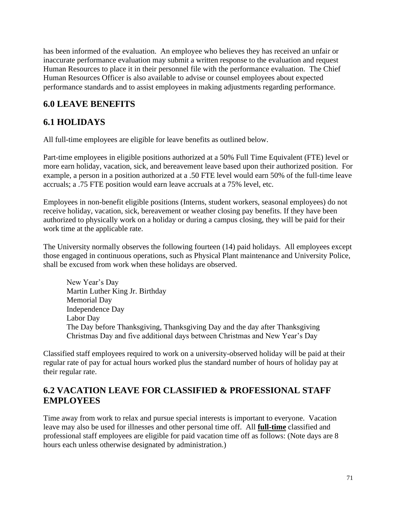has been informed of the evaluation. An employee who believes they has received an unfair or inaccurate performance evaluation may submit a written response to the evaluation and request Human Resources to place it in their personnel file with the performance evaluation. The Chief Human Resources Officer is also available to advise or counsel employees about expected performance standards and to assist employees in making adjustments regarding performance.

# **6.0 LEAVE BENEFITS**

# **6.1 HOLIDAYS**

All full-time employees are eligible for leave benefits as outlined below.

Part-time employees in eligible positions authorized at a 50% Full Time Equivalent (FTE) level or more earn holiday, vacation, sick, and bereavement leave based upon their authorized position. For example, a person in a position authorized at a .50 FTE level would earn 50% of the full-time leave accruals; a .75 FTE position would earn leave accruals at a 75% level, etc.

Employees in non-benefit eligible positions (Interns, student workers, seasonal employees) do not receive holiday, vacation, sick, bereavement or weather closing pay benefits. If they have been authorized to physically work on a holiday or during a campus closing, they will be paid for their work time at the applicable rate.

The University normally observes the following fourteen (14) paid holidays. All employees except those engaged in continuous operations, such as Physical Plant maintenance and University Police, shall be excused from work when these holidays are observed.

New Year's Day Martin Luther King Jr. Birthday Memorial Day Independence Day Labor Day The Day before Thanksgiving, Thanksgiving Day and the day after Thanksgiving Christmas Day and five additional days between Christmas and New Year's Day

Classified staff employees required to work on a university-observed holiday will be paid at their regular rate of pay for actual hours worked plus the standard number of hours of holiday pay at their regular rate.

### **6.2 VACATION LEAVE FOR CLASSIFIED & PROFESSIONAL STAFF EMPLOYEES**

Time away from work to relax and pursue special interests is important to everyone. Vacation leave may also be used for illnesses and other personal time off. All **full-time** classified and professional staff employees are eligible for paid vacation time off as follows: (Note days are 8 hours each unless otherwise designated by administration.)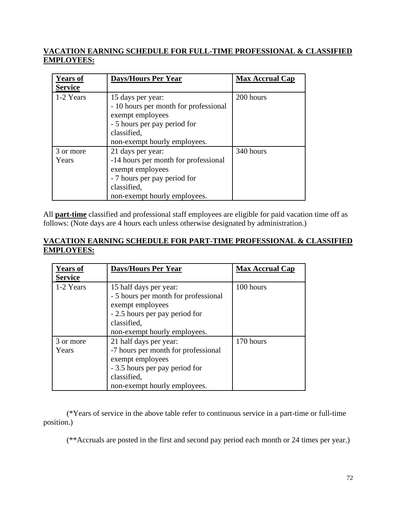### **VACATION EARNING SCHEDULE FOR FULL-TIME PROFESSIONAL & CLASSIFIED EMPLOYEES:**

| <b>Years of</b> | <b>Days/Hours Per Year</b>            | <b>Max Accrual Cap</b> |
|-----------------|---------------------------------------|------------------------|
| <b>Service</b>  |                                       |                        |
| 1-2 Years       | 15 days per year:                     | 200 hours              |
|                 | - 10 hours per month for professional |                        |
|                 | exempt employees                      |                        |
|                 | - 5 hours per pay period for          |                        |
|                 | classified,                           |                        |
|                 | non-exempt hourly employees.          |                        |
| 3 or more       | 21 days per year:                     | 340 hours              |
| Years           | -14 hours per month for professional  |                        |
|                 | exempt employees                      |                        |
|                 | - 7 hours per pay period for          |                        |
|                 | classified,                           |                        |
|                 | non-exempt hourly employees.          |                        |

All **part-time** classified and professional staff employees are eligible for paid vacation time off as follows: (Note days are 4 hours each unless otherwise designated by administration.)

### **VACATION EARNING SCHEDULE FOR PART-TIME PROFESSIONAL & CLASSIFIED EMPLOYEES:**

| <b>Years of</b> | <b>Days/Hours Per Year</b>           | <b>Max Accrual Cap</b> |
|-----------------|--------------------------------------|------------------------|
| <b>Service</b>  |                                      |                        |
| 1-2 Years       | 15 half days per year:               | 100 hours              |
|                 | - 5 hours per month for professional |                        |
|                 | exempt employees                     |                        |
|                 | - 2.5 hours per pay period for       |                        |
|                 | classified,                          |                        |
|                 | non-exempt hourly employees.         |                        |
| 3 or more       | 21 half days per year:               | 170 hours              |
| Years           | -7 hours per month for professional  |                        |
|                 | exempt employees                     |                        |
|                 | - 3.5 hours per pay period for       |                        |
|                 | classified,                          |                        |
|                 | non-exempt hourly employees.         |                        |

(\*Years of service in the above table refer to continuous service in a part-time or full-time position.)

(\*\*Accruals are posted in the first and second pay period each month or 24 times per year.)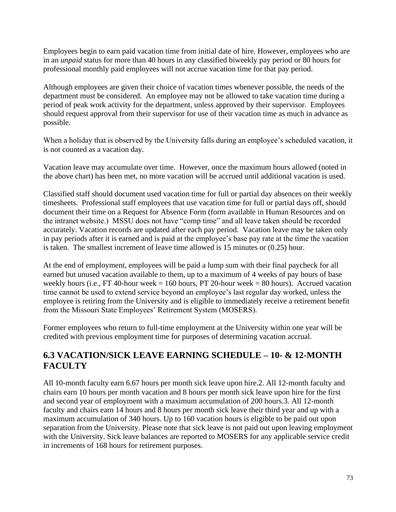Employees begin to earn paid vacation time from initial date of hire. However, employees who are in an *unpaid* status for more than 40 hours in any classified biweekly pay period or 80 hours for professional monthly paid employees will not accrue vacation time for that pay period.

Although employees are given their choice of vacation times whenever possible, the needs of the department must be considered. An employee may not be allowed to take vacation time during a period of peak work activity for the department, unless approved by their supervisor. Employees should request approval from their supervisor for use of their vacation time as much in advance as possible.

When a holiday that is observed by the University falls during an employee's scheduled vacation, it is not counted as a vacation day.

Vacation leave may accumulate over time. However, once the maximum hours allowed (noted in the above chart) has been met, no more vacation will be accrued until additional vacation is used.

Classified staff should document used vacation time for full or partial day absences on their weekly timesheets. Professional staff employees that use vacation time for full or partial days off, should document their time on a Request for Absence Form (form available in Human Resources and on the intranet website.) MSSU does not have "comp time" and all leave taken should be recorded accurately. Vacation records are updated after each pay period. Vacation leave may be taken only in pay periods after it is earned and is paid at the employee's base pay rate at the time the vacation is taken. The smallest increment of leave time allowed is 15 minutes or (0.25) hour.

At the end of employment, employees will be paid a lump sum with their final paycheck for all earned but unused vacation available to them, up to a maximum of 4 weeks of pay hours of base weekly hours (i.e., FT 40-hour week = 160 hours, PT 20-hour week = 80 hours). Accrued vacation time cannot be used to extend service beyond an employee's last regular day worked, unless the employee is retiring from the University and is eligible to immediately receive a retirement benefit from the Missouri State Employees' Retirement System (MOSERS).

Former employees who return to full-time employment at the University within one year will be credited with previous employment time for purposes of determining vacation accrual.

# **6.3 VACATION/SICK LEAVE EARNING SCHEDULE – 10- & 12-MONTH FACULTY**

All 10-month faculty earn 6.67 hours per month sick leave upon hire.2. All 12-month faculty and chairs earn 10 hours per month vacation and 8 hours per month sick leave upon hire for the first and second year of employment with a maximum accumulation of 200 hours.3. All 12-month faculty and chairs earn 14 hours and 8 hours per month sick leave their third year and up with a maximum accumulation of 340 hours. Up to 160 vacation hours is eligible to be paid out upon separation from the University. Please note that sick leave is not paid out upon leaving employment with the University. Sick leave balances are reported to MOSERS for any applicable service credit in increments of 168 hours for retirement purposes.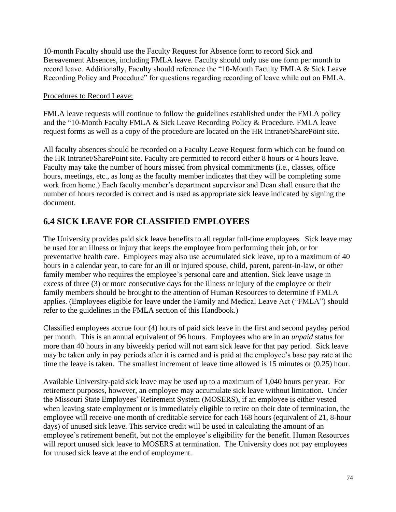10-month Faculty should use the Faculty Request for Absence form to record Sick and Bereavement Absences, including FMLA leave. Faculty should only use one form per month to record leave. Additionally, Faculty should reference the "10-Month Faculty FMLA & Sick Leave Recording Policy and Procedure" for questions regarding recording of leave while out on FMLA.

### Procedures to Record Leave:

FMLA leave requests will continue to follow the guidelines established under the FMLA policy and the "10-Month Faculty FMLA & Sick Leave Recording Policy & Procedure. FMLA leave request forms as well as a copy of the procedure are located on the HR Intranet/SharePoint site.

All faculty absences should be recorded on a Faculty Leave Request form which can be found on the HR Intranet/SharePoint site. Faculty are permitted to record either 8 hours or 4 hours leave. Faculty may take the number of hours missed from physical commitments (i.e., classes, office hours, meetings, etc., as long as the faculty member indicates that they will be completing some work from home.) Each faculty member's department supervisor and Dean shall ensure that the number of hours recorded is correct and is used as appropriate sick leave indicated by signing the document.

# **6.4 SICK LEAVE FOR CLASSIFIED EMPLOYEES**

The University provides paid sick leave benefits to all regular full-time employees. Sick leave may be used for an illness or injury that keeps the employee from performing their job, or for preventative health care. Employees may also use accumulated sick leave, up to a maximum of 40 hours in a calendar year, to care for an ill or injured spouse, child, parent, parent-in-law, or other family member who requires the employee's personal care and attention. Sick leave usage in excess of three (3) or more consecutive days for the illness or injury of the employee or their family members should be brought to the attention of Human Resources to determine if FMLA applies. (Employees eligible for leave under the Family and Medical Leave Act ("FMLA") should refer to the guidelines in the FMLA section of this Handbook.)

Classified employees accrue four (4) hours of paid sick leave in the first and second payday period per month. This is an annual equivalent of 96 hours. Employees who are in an *unpaid* status for more than 40 hours in any biweekly period will not earn sick leave for that pay period. Sick leave may be taken only in pay periods after it is earned and is paid at the employee's base pay rate at the time the leave is taken. The smallest increment of leave time allowed is 15 minutes or (0.25) hour.

Available University-paid sick leave may be used up to a maximum of 1,040 hours per year. For retirement purposes, however, an employee may accumulate sick leave without limitation. Under the Missouri State Employees' Retirement System (MOSERS), if an employee is either vested when leaving state employment or is immediately eligible to retire on their date of termination, the employee will receive one month of creditable service for each 168 hours (equivalent of 21, 8-hour days) of unused sick leave. This service credit will be used in calculating the amount of an employee's retirement benefit, but not the employee's eligibility for the benefit. Human Resources will report unused sick leave to MOSERS at termination. The University does not pay employees for unused sick leave at the end of employment.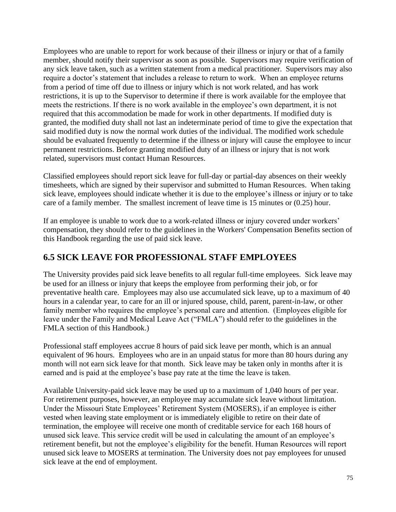Employees who are unable to report for work because of their illness or injury or that of a family member, should notify their supervisor as soon as possible. Supervisors may require verification of any sick leave taken, such as a written statement from a medical practitioner. Supervisors may also require a doctor's statement that includes a release to return to work. When an employee returns from a period of time off due to illness or injury which is not work related, and has work restrictions, it is up to the Supervisor to determine if there is work available for the employee that meets the restrictions. If there is no work available in the employee's own department, it is not required that this accommodation be made for work in other departments. If modified duty is granted, the modified duty shall not last an indeterminate period of time to give the expectation that said modified duty is now the normal work duties of the individual. The modified work schedule should be evaluated frequently to determine if the illness or injury will cause the employee to incur permanent restrictions. Before granting modified duty of an illness or injury that is not work related, supervisors must contact Human Resources.

Classified employees should report sick leave for full-day or partial-day absences on their weekly timesheets, which are signed by their supervisor and submitted to Human Resources. When taking sick leave, employees should indicate whether it is due to the employee's illness or injury or to take care of a family member. The smallest increment of leave time is 15 minutes or (0.25) hour.

If an employee is unable to work due to a work-related illness or injury covered under workers' compensation, they should refer to the guidelines in the Workers' Compensation Benefits section of this Handbook regarding the use of paid sick leave.

## **6.5 SICK LEAVE FOR PROFESSIONAL STAFF EMPLOYEES**

The University provides paid sick leave benefits to all regular full-time employees. Sick leave may be used for an illness or injury that keeps the employee from performing their job, or for preventative health care. Employees may also use accumulated sick leave, up to a maximum of 40 hours in a calendar year, to care for an ill or injured spouse, child, parent, parent-in-law, or other family member who requires the employee's personal care and attention. (Employees eligible for leave under the Family and Medical Leave Act ("FMLA") should refer to the guidelines in the FMLA section of this Handbook.)

Professional staff employees accrue 8 hours of paid sick leave per month, which is an annual equivalent of 96 hours. Employees who are in an unpaid status for more than 80 hours during any month will not earn sick leave for that month. Sick leave may be taken only in months after it is earned and is paid at the employee's base pay rate at the time the leave is taken.

Available University-paid sick leave may be used up to a maximum of 1,040 hours of per year. For retirement purposes, however, an employee may accumulate sick leave without limitation. Under the Missouri State Employees' Retirement System (MOSERS), if an employee is either vested when leaving state employment or is immediately eligible to retire on their date of termination, the employee will receive one month of creditable service for each 168 hours of unused sick leave. This service credit will be used in calculating the amount of an employee's retirement benefit, but not the employee's eligibility for the benefit. Human Resources will report unused sick leave to MOSERS at termination. The University does not pay employees for unused sick leave at the end of employment.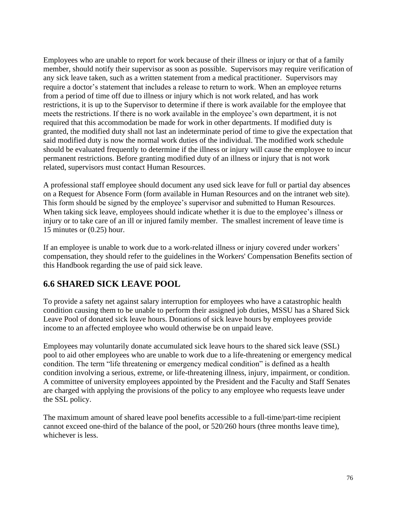Employees who are unable to report for work because of their illness or injury or that of a family member, should notify their supervisor as soon as possible. Supervisors may require verification of any sick leave taken, such as a written statement from a medical practitioner. Supervisors may require a doctor's statement that includes a release to return to work. When an employee returns from a period of time off due to illness or injury which is not work related, and has work restrictions, it is up to the Supervisor to determine if there is work available for the employee that meets the restrictions. If there is no work available in the employee's own department, it is not required that this accommodation be made for work in other departments. If modified duty is granted, the modified duty shall not last an indeterminate period of time to give the expectation that said modified duty is now the normal work duties of the individual. The modified work schedule should be evaluated frequently to determine if the illness or injury will cause the employee to incur permanent restrictions. Before granting modified duty of an illness or injury that is not work related, supervisors must contact Human Resources.

A professional staff employee should document any used sick leave for full or partial day absences on a Request for Absence Form (form available in Human Resources and on the intranet web site). This form should be signed by the employee's supervisor and submitted to Human Resources. When taking sick leave, employees should indicate whether it is due to the employee's illness or injury or to take care of an ill or injured family member. The smallest increment of leave time is 15 minutes or (0.25) hour.

If an employee is unable to work due to a work-related illness or injury covered under workers' compensation, they should refer to the guidelines in the Workers' Compensation Benefits section of this Handbook regarding the use of paid sick leave.

## **6.6 SHARED SICK LEAVE POOL**

To provide a safety net against salary interruption for employees who have a catastrophic health condition causing them to be unable to perform their assigned job duties, MSSU has a Shared Sick Leave Pool of donated sick leave hours. Donations of sick leave hours by employees provide income to an affected employee who would otherwise be on unpaid leave.

Employees may voluntarily donate accumulated sick leave hours to the shared sick leave (SSL) pool to aid other employees who are unable to work due to a life-threatening or emergency medical condition. The term "life threatening or emergency medical condition" is defined as a health condition involving a serious, extreme, or life-threatening illness, injury, impairment, or condition. A committee of university employees appointed by the President and the Faculty and Staff Senates are charged with applying the provisions of the policy to any employee who requests leave under the SSL policy.

The maximum amount of shared leave pool benefits accessible to a full-time/part-time recipient cannot exceed one-third of the balance of the pool, or 520/260 hours (three months leave time), whichever is less.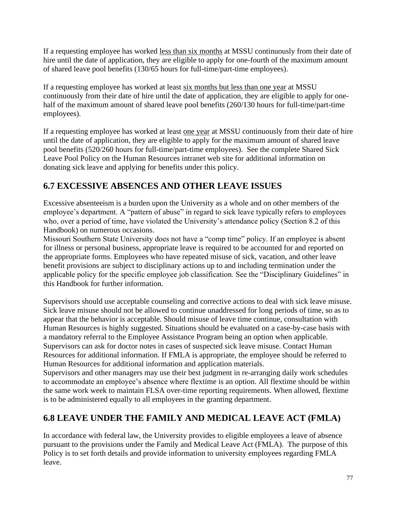If a requesting employee has worked less than six months at MSSU continuously from their date of hire until the date of application, they are eligible to apply for one-fourth of the maximum amount of shared leave pool benefits (130/65 hours for full-time/part-time employees).

If a requesting employee has worked at least six months but less than one year at MSSU continuously from their date of hire until the date of application, they are eligible to apply for onehalf of the maximum amount of shared leave pool benefits (260/130 hours for full-time/part-time employees).

If a requesting employee has worked at least one year at MSSU continuously from their date of hire until the date of application, they are eligible to apply for the maximum amount of shared leave pool benefits (520/260 hours for full-time/part-time employees). See the complete Shared Sick Leave Pool Policy on the Human Resources intranet web site for additional information on donating sick leave and applying for benefits under this policy.

# **6.7 EXCESSIVE ABSENCES AND OTHER LEAVE ISSUES**

Excessive absenteeism is a burden upon the University as a whole and on other members of the employee's department. A "pattern of abuse" in regard to sick leave typically refers to employees who, over a period of time, have violated the University's attendance policy (Section 8.2 of this Handbook) on numerous occasions.

Missouri Southern State University does not have a "comp time" policy. If an employee is absent for illness or personal business, appropriate leave is required to be accounted for and reported on the appropriate forms. Employees who have repeated misuse of sick, vacation, and other leave benefit provisions are subject to disciplinary actions up to and including termination under the applicable policy for the specific employee job classification. See the "Disciplinary Guidelines" in this Handbook for further information.

Supervisors should use acceptable counseling and corrective actions to deal with sick leave misuse. Sick leave misuse should not be allowed to continue unaddressed for long periods of time, so as to appear that the behavior is acceptable. Should misuse of leave time continue, consultation with Human Resources is highly suggested. Situations should be evaluated on a case-by-case basis with a mandatory referral to the Employee Assistance Program being an option when applicable. Supervisors can ask for doctor notes in cases of suspected sick leave misuse. Contact Human Resources for additional information. If FMLA is appropriate, the employee should be referred to Human Resources for additional information and application materials.

Supervisors and other managers may use their best judgment in re-arranging daily work schedules to accommodate an employee's absence where flextime is an option. All flextime should be within the same work week to maintain FLSA over-time reporting requirements. When allowed, flextime is to be administered equally to all employees in the granting department.

# **6.8 LEAVE UNDER THE FAMILY AND MEDICAL LEAVE ACT (FMLA)**

In accordance with federal law, the University provides to eligible employees a leave of absence pursuant to the provisions under the Family and Medical Leave Act (FMLA). The purpose of this Policy is to set forth details and provide information to university employees regarding FMLA leave.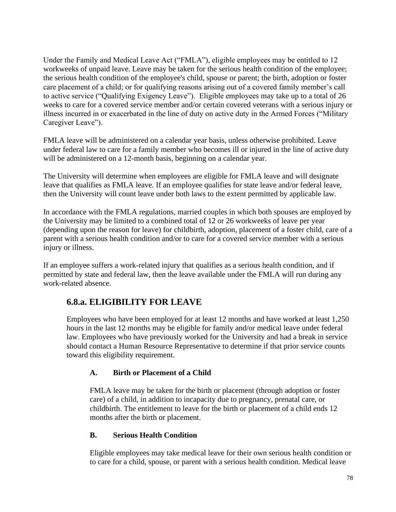Under the Family and Medical Leave Act ("FMLA"), eligible employees may be entitled to 12 workweeks of unpaid leave. Leave may be taken for the serious health condition of the employee; the serious health condition of the employee's child, spouse or parent; the birth, adoption or foster care placement of a child; or for qualifying reasons arising out of a covered family member's call to active service ("Qualifying Exigency Leave"). Eligible employees may take up to a total of 26 weeks to care for a covered service member and/or certain covered veterans with a serious injury or illness incurred in or exacerbated in the line of duty on active duty in the Armed Forces ("Military Caregiver Leave").

FMLA leave will be administered on a calendar year basis, unless otherwise prohibited. Leave under federal law to care for a family member who becomes ill or injured in the line of active duty will be administered on a 12-month basis, beginning on a calendar year.

The University will determine when employees are eligible for FMLA leave and will designate leave that qualifies as FMLA leave. If an employee qualifies for state leave and/or federal leave, then the University will count leave under both laws to the extent permitted by applicable law.

In accordance with the FMLA regulations, married couples in which both spouses are employed by the University may be limited to a combined total of 12 or 26 workweeks of leave per year (depending upon the reason for leave) for childbirth, adoption, placement of a foster child, care of a parent with a serious health condition and/or to care for a covered service member with a serious injury or illness.

If an employee suffers a work-related injury that qualifies as a serious health condition, and if permitted by state and federal law, then the leave available under the FMLA will run during any work-related absence.

## **6.8.a. ELIGIBILITY FOR LEAVE**

Employees who have been employed for at least 12 months and have worked at least 1,250 hours in the last 12 months may be eligible for family and/or medical leave under federal law. Employees who have previously worked for the University and had a break in service should contact a Human Resource Representative to determine if that prior service counts toward this eligibility requirement.

### **A. Birth or Placement of a Child**

FMLA leave may be taken for the birth or placement (through adoption or foster care) of a child, in addition to incapacity due to pregnancy, prenatal care, or childbirth. The entitlement to leave for the birth or placement of a child ends 12 months after the birth or placement.

### **B. Serious Health Condition**

Eligible employees may take medical leave for their own serious health condition or to care for a child, spouse, or parent with a serious health condition. Medical leave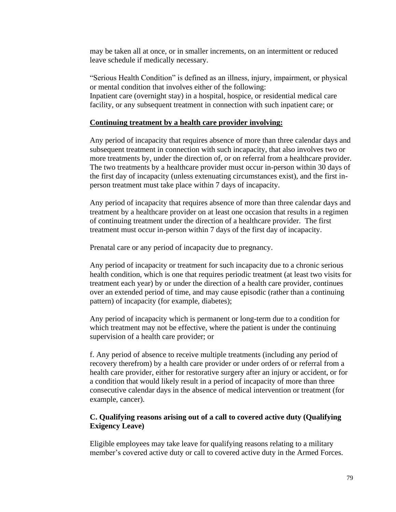may be taken all at once, or in smaller increments, on an intermittent or reduced leave schedule if medically necessary.

"Serious Health Condition" is defined as an illness, injury, impairment, or physical or mental condition that involves either of the following: Inpatient care (overnight stay) in a hospital, hospice, or residential medical care facility, or any subsequent treatment in connection with such inpatient care; or

### **Continuing treatment by a health care provider involving:**

Any period of incapacity that requires absence of more than three calendar days and subsequent treatment in connection with such incapacity, that also involves two or more treatments by, under the direction of, or on referral from a healthcare provider. The two treatments by a healthcare provider must occur in-person within 30 days of the first day of incapacity (unless extenuating circumstances exist), and the first inperson treatment must take place within 7 days of incapacity.

Any period of incapacity that requires absence of more than three calendar days and treatment by a healthcare provider on at least one occasion that results in a regimen of continuing treatment under the direction of a healthcare provider. The first treatment must occur in-person within 7 days of the first day of incapacity.

Prenatal care or any period of incapacity due to pregnancy.

Any period of incapacity or treatment for such incapacity due to a chronic serious health condition, which is one that requires periodic treatment (at least two visits for treatment each year) by or under the direction of a health care provider, continues over an extended period of time, and may cause episodic (rather than a continuing pattern) of incapacity (for example, diabetes);

Any period of incapacity which is permanent or long-term due to a condition for which treatment may not be effective, where the patient is under the continuing supervision of a health care provider; or

f. Any period of absence to receive multiple treatments (including any period of recovery therefrom) by a health care provider or under orders of or referral from a health care provider, either for restorative surgery after an injury or accident, or for a condition that would likely result in a period of incapacity of more than three consecutive calendar days in the absence of medical intervention or treatment (for example, cancer).

### **C. Qualifying reasons arising out of a call to covered active duty (Qualifying Exigency Leave)**

Eligible employees may take leave for qualifying reasons relating to a military member's covered active duty or call to covered active duty in the Armed Forces.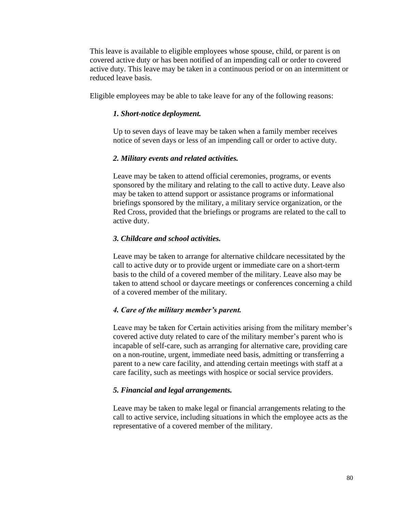This leave is available to eligible employees whose spouse, child, or parent is on covered active duty or has been notified of an impending call or order to covered active duty. This leave may be taken in a continuous period or on an intermittent or reduced leave basis.

Eligible employees may be able to take leave for any of the following reasons:

#### *1. Short-notice deployment.*

Up to seven days of leave may be taken when a family member receives notice of seven days or less of an impending call or order to active duty.

#### *2. Military events and related activities.*

Leave may be taken to attend official ceremonies, programs, or events sponsored by the military and relating to the call to active duty. Leave also may be taken to attend support or assistance programs or informational briefings sponsored by the military, a military service organization, or the Red Cross, provided that the briefings or programs are related to the call to active duty.

#### *3. Childcare and school activities.*

Leave may be taken to arrange for alternative childcare necessitated by the call to active duty or to provide urgent or immediate care on a short-term basis to the child of a covered member of the military. Leave also may be taken to attend school or daycare meetings or conferences concerning a child of a covered member of the military.

#### *4. Care of the military member's parent.*

Leave may be taken for Certain activities arising from the military member's covered active duty related to care of the military member's parent who is incapable of self-care, such as arranging for alternative care, providing care on a non-routine, urgent, immediate need basis, admitting or transferring a parent to a new care facility, and attending certain meetings with staff at a care facility, such as meetings with hospice or social service providers.

#### *5. Financial and legal arrangements.*

Leave may be taken to make legal or financial arrangements relating to the call to active service, including situations in which the employee acts as the representative of a covered member of the military.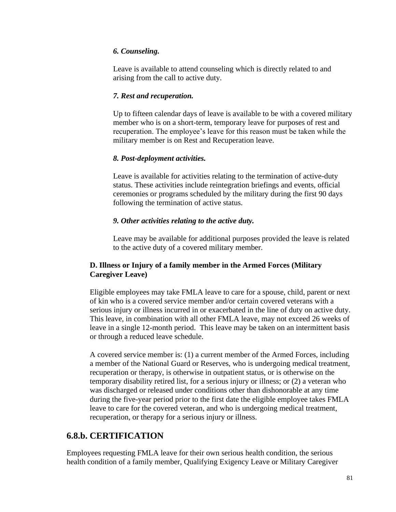### *6. Counseling.*

Leave is available to attend counseling which is directly related to and arising from the call to active duty.

#### *7. Rest and recuperation.*

Up to fifteen calendar days of leave is available to be with a covered military member who is on a short-term, temporary leave for purposes of rest and recuperation. The employee's leave for this reason must be taken while the military member is on Rest and Recuperation leave.

### *8. Post-deployment activities.*

Leave is available for activities relating to the termination of active-duty status. These activities include reintegration briefings and events, official ceremonies or programs scheduled by the military during the first 90 days following the termination of active status.

### *9. Other activities relating to the active duty.*

Leave may be available for additional purposes provided the leave is related to the active duty of a covered military member.

### **D. Illness or Injury of a family member in the Armed Forces (Military Caregiver Leave)**

Eligible employees may take FMLA leave to care for a spouse, child, parent or next of kin who is a covered service member and/or certain covered veterans with a serious injury or illness incurred in or exacerbated in the line of duty on active duty. This leave, in combination with all other FMLA leave, may not exceed 26 weeks of leave in a single 12-month period. This leave may be taken on an intermittent basis or through a reduced leave schedule.

A covered service member is: (1) a current member of the Armed Forces, including a member of the National Guard or Reserves, who is undergoing medical treatment, recuperation or therapy, is otherwise in outpatient status, or is otherwise on the temporary disability retired list, for a serious injury or illness; or (2) a veteran who was discharged or released under conditions other than dishonorable at any time during the five-year period prior to the first date the eligible employee takes FMLA leave to care for the covered veteran, and who is undergoing medical treatment, recuperation, or therapy for a serious injury or illness.

### **6.8.b. CERTIFICATION**

Employees requesting FMLA leave for their own serious health condition, the serious health condition of a family member, Qualifying Exigency Leave or Military Caregiver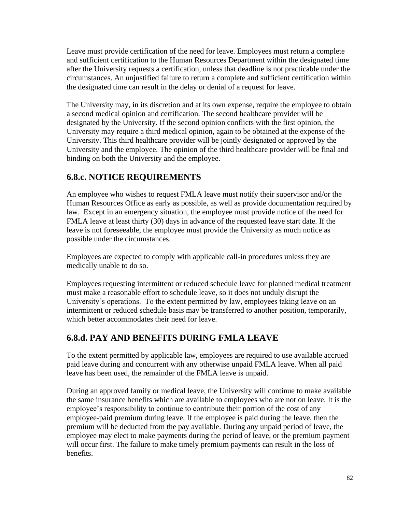Leave must provide certification of the need for leave. Employees must return a complete and sufficient certification to the Human Resources Department within the designated time after the University requests a certification, unless that deadline is not practicable under the circumstances. An unjustified failure to return a complete and sufficient certification within the designated time can result in the delay or denial of a request for leave.

The University may, in its discretion and at its own expense, require the employee to obtain a second medical opinion and certification. The second healthcare provider will be designated by the University. If the second opinion conflicts with the first opinion, the University may require a third medical opinion, again to be obtained at the expense of the University. This third healthcare provider will be jointly designated or approved by the University and the employee. The opinion of the third healthcare provider will be final and binding on both the University and the employee.

# **6.8.c. NOTICE REQUIREMENTS**

An employee who wishes to request FMLA leave must notify their supervisor and/or the Human Resources Office as early as possible, as well as provide documentation required by law. Except in an emergency situation, the employee must provide notice of the need for FMLA leave at least thirty (30) days in advance of the requested leave start date. If the leave is not foreseeable, the employee must provide the University as much notice as possible under the circumstances.

Employees are expected to comply with applicable call-in procedures unless they are medically unable to do so.

Employees requesting intermittent or reduced schedule leave for planned medical treatment must make a reasonable effort to schedule leave, so it does not unduly disrupt the University's operations. To the extent permitted by law, employees taking leave on an intermittent or reduced schedule basis may be transferred to another position, temporarily, which better accommodates their need for leave.

## **6.8.d. PAY AND BENEFITS DURING FMLA LEAVE**

To the extent permitted by applicable law, employees are required to use available accrued paid leave during and concurrent with any otherwise unpaid FMLA leave. When all paid leave has been used, the remainder of the FMLA leave is unpaid.

During an approved family or medical leave, the University will continue to make available the same insurance benefits which are available to employees who are not on leave. It is the employee's responsibility to continue to contribute their portion of the cost of any employee-paid premium during leave. If the employee is paid during the leave, then the premium will be deducted from the pay available. During any unpaid period of leave, the employee may elect to make payments during the period of leave, or the premium payment will occur first. The failure to make timely premium payments can result in the loss of benefits.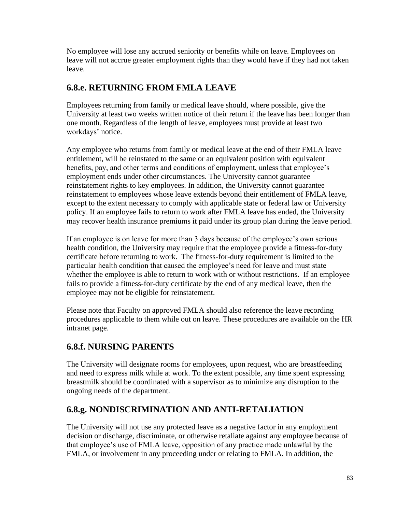No employee will lose any accrued seniority or benefits while on leave. Employees on leave will not accrue greater employment rights than they would have if they had not taken leave.

# **6.8.e. RETURNING FROM FMLA LEAVE**

Employees returning from family or medical leave should, where possible, give the University at least two weeks written notice of their return if the leave has been longer than one month. Regardless of the length of leave, employees must provide at least two workdays' notice.

Any employee who returns from family or medical leave at the end of their FMLA leave entitlement, will be reinstated to the same or an equivalent position with equivalent benefits, pay, and other terms and conditions of employment, unless that employee's employment ends under other circumstances. The University cannot guarantee reinstatement rights to key employees. In addition, the University cannot guarantee reinstatement to employees whose leave extends beyond their entitlement of FMLA leave, except to the extent necessary to comply with applicable state or federal law or University policy. If an employee fails to return to work after FMLA leave has ended, the University may recover health insurance premiums it paid under its group plan during the leave period.

If an employee is on leave for more than 3 days because of the employee's own serious health condition, the University may require that the employee provide a fitness-for-duty certificate before returning to work. The fitness-for-duty requirement is limited to the particular health condition that caused the employee's need for leave and must state whether the employee is able to return to work with or without restrictions. If an employee fails to provide a fitness-for-duty certificate by the end of any medical leave, then the employee may not be eligible for reinstatement.

Please note that Faculty on approved FMLA should also reference the leave recording procedures applicable to them while out on leave. These procedures are available on the HR intranet page.

## **6.8.f. NURSING PARENTS**

The University will designate rooms for employees, upon request, who are breastfeeding and need to express milk while at work. To the extent possible, any time spent expressing breastmilk should be coordinated with a supervisor as to minimize any disruption to the ongoing needs of the department.

# **6.8.g. NONDISCRIMINATION AND ANTI-RETALIATION**

The University will not use any protected leave as a negative factor in any employment decision or discharge, discriminate, or otherwise retaliate against any employee because of that employee's use of FMLA leave, opposition of any practice made unlawful by the FMLA, or involvement in any proceeding under or relating to FMLA. In addition, the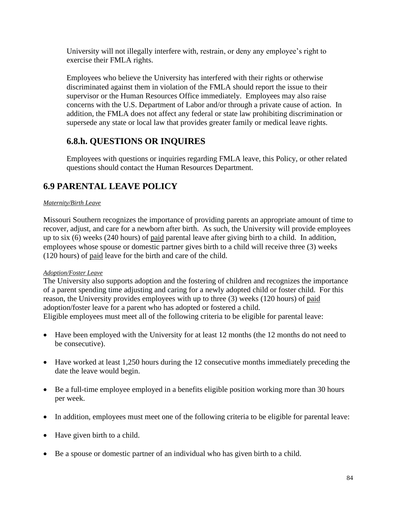University will not illegally interfere with, restrain, or deny any employee's right to exercise their FMLA rights.

Employees who believe the University has interfered with their rights or otherwise discriminated against them in violation of the FMLA should report the issue to their supervisor or the Human Resources Office immediately. Employees may also raise concerns with the U.S. Department of Labor and/or through a private cause of action. In addition, the FMLA does not affect any federal or state law prohibiting discrimination or supersede any state or local law that provides greater family or medical leave rights.

# **6.8.h. QUESTIONS OR INQUIRES**

Employees with questions or inquiries regarding FMLA leave, this Policy, or other related questions should contact the Human Resources Department.

# **6.9 PARENTAL LEAVE POLICY**

### *Maternity/Birth Leave*

Missouri Southern recognizes the importance of providing parents an appropriate amount of time to recover, adjust, and care for a newborn after birth. As such, the University will provide employees up to six (6) weeks (240 hours) of paid parental leave after giving birth to a child. In addition, employees whose spouse or domestic partner gives birth to a child will receive three (3) weeks (120 hours) of paid leave for the birth and care of the child.

### *Adoption/Foster Leave*

The University also supports adoption and the fostering of children and recognizes the importance of a parent spending time adjusting and caring for a newly adopted child or foster child. For this reason, the University provides employees with up to three (3) weeks (120 hours) of paid adoption/foster leave for a parent who has adopted or fostered a child. Eligible employees must meet all of the following criteria to be eligible for parental leave:

- Have been employed with the University for at least 12 months (the 12 months do not need to be consecutive).
- Have worked at least 1,250 hours during the 12 consecutive months immediately preceding the date the leave would begin.
- Be a full-time employee employed in a benefits eligible position working more than 30 hours per week.
- In addition, employees must meet one of the following criteria to be eligible for parental leave:
- Have given birth to a child.
- Be a spouse or domestic partner of an individual who has given birth to a child.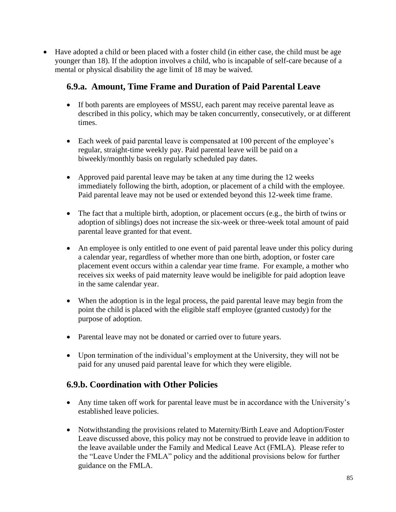• Have adopted a child or been placed with a foster child (in either case, the child must be age younger than 18). If the adoption involves a child, who is incapable of self-care because of a mental or physical disability the age limit of 18 may be waived.

### **6.9.a. Amount, Time Frame and Duration of Paid Parental Leave**

- If both parents are employees of MSSU, each parent may receive parental leave as described in this policy, which may be taken concurrently, consecutively, or at different times.
- Each week of paid parental leave is compensated at 100 percent of the employee's regular, straight-time weekly pay. Paid parental leave will be paid on a biweekly/monthly basis on regularly scheduled pay dates.
- Approved paid parental leave may be taken at any time during the 12 weeks immediately following the birth, adoption, or placement of a child with the employee. Paid parental leave may not be used or extended beyond this 12-week time frame.
- The fact that a multiple birth, adoption, or placement occurs (e.g., the birth of twins or adoption of siblings) does not increase the six-week or three-week total amount of paid parental leave granted for that event.
- An employee is only entitled to one event of paid parental leave under this policy during a calendar year, regardless of whether more than one birth, adoption, or foster care placement event occurs within a calendar year time frame. For example, a mother who receives six weeks of paid maternity leave would be ineligible for paid adoption leave in the same calendar year.
- When the adoption is in the legal process, the paid parental leave may begin from the point the child is placed with the eligible staff employee (granted custody) for the purpose of adoption.
- Parental leave may not be donated or carried over to future years.
- Upon termination of the individual's employment at the University, they will not be paid for any unused paid parental leave for which they were eligible.

### **6.9.b. Coordination with Other Policies**

- Any time taken off work for parental leave must be in accordance with the University's established leave policies.
- Notwithstanding the provisions related to Maternity/Birth Leave and Adoption/Foster Leave discussed above, this policy may not be construed to provide leave in addition to the leave available under the Family and Medical Leave Act (FMLA). Please refer to the "Leave Under the FMLA" policy and the additional provisions below for further guidance on the FMLA.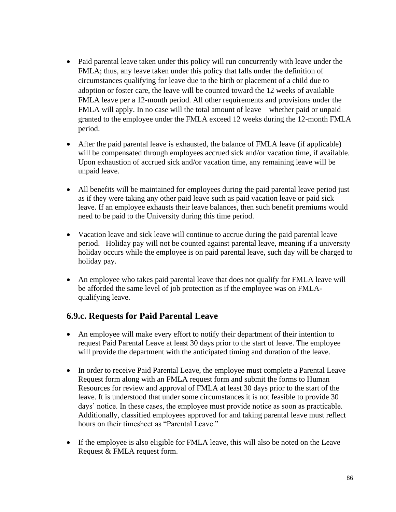- Paid parental leave taken under this policy will run concurrently with leave under the FMLA; thus, any leave taken under this policy that falls under the definition of circumstances qualifying for leave due to the birth or placement of a child due to adoption or foster care, the leave will be counted toward the 12 weeks of available FMLA leave per a 12-month period. All other requirements and provisions under the FMLA will apply. In no case will the total amount of leave—whether paid or unpaid granted to the employee under the FMLA exceed 12 weeks during the 12-month FMLA period.
- After the paid parental leave is exhausted, the balance of FMLA leave (if applicable) will be compensated through employees accrued sick and/or vacation time, if available. Upon exhaustion of accrued sick and/or vacation time, any remaining leave will be unpaid leave.
- All benefits will be maintained for employees during the paid parental leave period just as if they were taking any other paid leave such as paid vacation leave or paid sick leave. If an employee exhausts their leave balances, then such benefit premiums would need to be paid to the University during this time period.
- Vacation leave and sick leave will continue to accrue during the paid parental leave period. Holiday pay will not be counted against parental leave, meaning if a university holiday occurs while the employee is on paid parental leave, such day will be charged to holiday pay.
- An employee who takes paid parental leave that does not qualify for FMLA leave will be afforded the same level of job protection as if the employee was on FMLAqualifying leave.

### **6.9.c. Requests for Paid Parental Leave**

- An employee will make every effort to notify their department of their intention to request Paid Parental Leave at least 30 days prior to the start of leave. The employee will provide the department with the anticipated timing and duration of the leave.
- In order to receive Paid Parental Leave, the employee must complete a Parental Leave Request form along with an FMLA request form and submit the forms to Human Resources for review and approval of FMLA at least 30 days prior to the start of the leave. It is understood that under some circumstances it is not feasible to provide 30 days' notice. In these cases, the employee must provide notice as soon as practicable. Additionally, classified employees approved for and taking parental leave must reflect hours on their timesheet as "Parental Leave."
- If the employee is also eligible for FMLA leave, this will also be noted on the Leave Request & FMLA request form.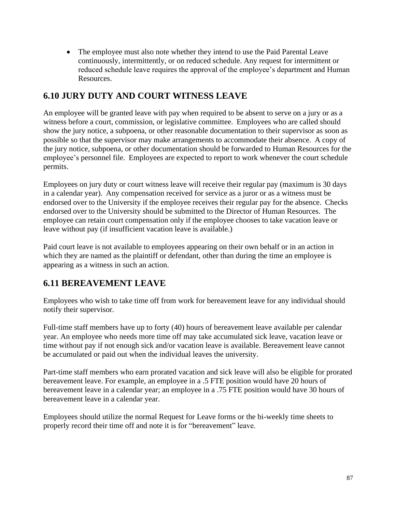• The employee must also note whether they intend to use the Paid Parental Leave continuously, intermittently, or on reduced schedule. Any request for intermittent or reduced schedule leave requires the approval of the employee's department and Human Resources.

## **6.10 JURY DUTY AND COURT WITNESS LEAVE**

An employee will be granted leave with pay when required to be absent to serve on a jury or as a witness before a court, commission, or legislative committee. Employees who are called should show the jury notice, a subpoena, or other reasonable documentation to their supervisor as soon as possible so that the supervisor may make arrangements to accommodate their absence. A copy of the jury notice, subpoena, or other documentation should be forwarded to Human Resources for the employee's personnel file. Employees are expected to report to work whenever the court schedule permits.

Employees on jury duty or court witness leave will receive their regular pay (maximum is 30 days in a calendar year). Any compensation received for service as a juror or as a witness must be endorsed over to the University if the employee receives their regular pay for the absence. Checks endorsed over to the University should be submitted to the Director of Human Resources. The employee can retain court compensation only if the employee chooses to take vacation leave or leave without pay (if insufficient vacation leave is available.)

Paid court leave is not available to employees appearing on their own behalf or in an action in which they are named as the plaintiff or defendant, other than during the time an employee is appearing as a witness in such an action.

# **6.11 BEREAVEMENT LEAVE**

Employees who wish to take time off from work for bereavement leave for any individual should notify their supervisor.

Full-time staff members have up to forty (40) hours of bereavement leave available per calendar year. An employee who needs more time off may take accumulated sick leave, vacation leave or time without pay if not enough sick and/or vacation leave is available. Bereavement leave cannot be accumulated or paid out when the individual leaves the university.

Part-time staff members who earn prorated vacation and sick leave will also be eligible for prorated bereavement leave. For example, an employee in a .5 FTE position would have 20 hours of bereavement leave in a calendar year; an employee in a .75 FTE position would have 30 hours of bereavement leave in a calendar year.

Employees should utilize the normal Request for Leave forms or the bi-weekly time sheets to properly record their time off and note it is for "bereavement" leave.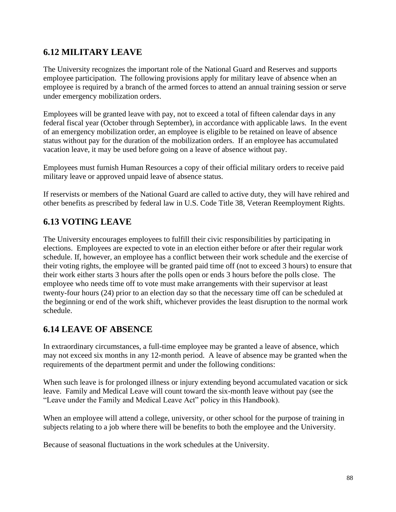## **6.12 MILITARY LEAVE**

The University recognizes the important role of the National Guard and Reserves and supports employee participation. The following provisions apply for military leave of absence when an employee is required by a branch of the armed forces to attend an annual training session or serve under emergency mobilization orders.

Employees will be granted leave with pay, not to exceed a total of fifteen calendar days in any federal fiscal year (October through September), in accordance with applicable laws. In the event of an emergency mobilization order, an employee is eligible to be retained on leave of absence status without pay for the duration of the mobilization orders. If an employee has accumulated vacation leave, it may be used before going on a leave of absence without pay.

Employees must furnish Human Resources a copy of their official military orders to receive paid military leave or approved unpaid leave of absence status.

If reservists or members of the National Guard are called to active duty, they will have rehired and other benefits as prescribed by federal law in U.S. Code Title 38, Veteran Reemployment Rights.

# **6.13 VOTING LEAVE**

The University encourages employees to fulfill their civic responsibilities by participating in elections. Employees are expected to vote in an election either before or after their regular work schedule. If, however, an employee has a conflict between their work schedule and the exercise of their voting rights, the employee will be granted paid time off (not to exceed 3 hours) to ensure that their work either starts 3 hours after the polls open or ends 3 hours before the polls close. The employee who needs time off to vote must make arrangements with their supervisor at least twenty-four hours (24) prior to an election day so that the necessary time off can be scheduled at the beginning or end of the work shift, whichever provides the least disruption to the normal work schedule.

## **6.14 LEAVE OF ABSENCE**

In extraordinary circumstances, a full-time employee may be granted a leave of absence, which may not exceed six months in any 12-month period. A leave of absence may be granted when the requirements of the department permit and under the following conditions:

When such leave is for prolonged illness or injury extending beyond accumulated vacation or sick leave. Family and Medical Leave will count toward the six-month leave without pay (see the "Leave under the Family and Medical Leave Act" policy in this Handbook).

When an employee will attend a college, university, or other school for the purpose of training in subjects relating to a job where there will be benefits to both the employee and the University.

Because of seasonal fluctuations in the work schedules at the University.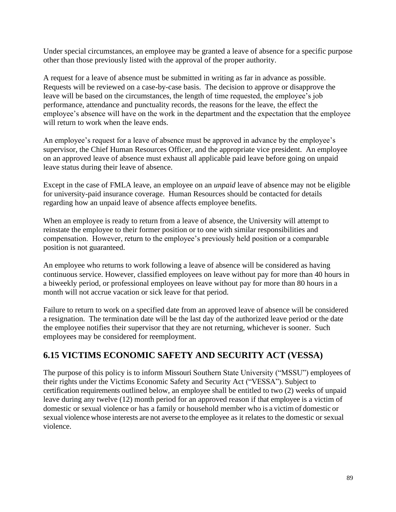Under special circumstances, an employee may be granted a leave of absence for a specific purpose other than those previously listed with the approval of the proper authority.

A request for a leave of absence must be submitted in writing as far in advance as possible. Requests will be reviewed on a case-by-case basis. The decision to approve or disapprove the leave will be based on the circumstances, the length of time requested, the employee's job performance, attendance and punctuality records, the reasons for the leave, the effect the employee's absence will have on the work in the department and the expectation that the employee will return to work when the leave ends.

An employee's request for a leave of absence must be approved in advance by the employee's supervisor, the Chief Human Resources Officer, and the appropriate vice president. An employee on an approved leave of absence must exhaust all applicable paid leave before going on unpaid leave status during their leave of absence.

Except in the case of FMLA leave, an employee on an *unpaid* leave of absence may not be eligible for university-paid insurance coverage. Human Resources should be contacted for details regarding how an unpaid leave of absence affects employee benefits.

When an employee is ready to return from a leave of absence, the University will attempt to reinstate the employee to their former position or to one with similar responsibilities and compensation. However, return to the employee's previously held position or a comparable position is not guaranteed.

An employee who returns to work following a leave of absence will be considered as having continuous service. However, classified employees on leave without pay for more than 40 hours in a biweekly period, or professional employees on leave without pay for more than 80 hours in a month will not accrue vacation or sick leave for that period.

Failure to return to work on a specified date from an approved leave of absence will be considered a resignation. The termination date will be the last day of the authorized leave period or the date the employee notifies their supervisor that they are not returning, whichever is sooner. Such employees may be considered for reemployment.

## **6.15 VICTIMS ECONOMIC SAFETY AND SECURITY ACT (VESSA)**

The purpose of this policy is to inform Missouri Southern State University ("MSSU") employees of their rights under the Victims Economic Safety and Security Act ("VESSA"). Subject to certification requirements outlined below, an employee shall be entitled to two (2) weeks of unpaid leave during any twelve (12) month period for an approved reason if that employee is a victim of domestic or sexual violence or has a family or household member who is a victim of domestic or sexual violence whose interests are not averse to the employee as it relates to the domestic or sexual violence.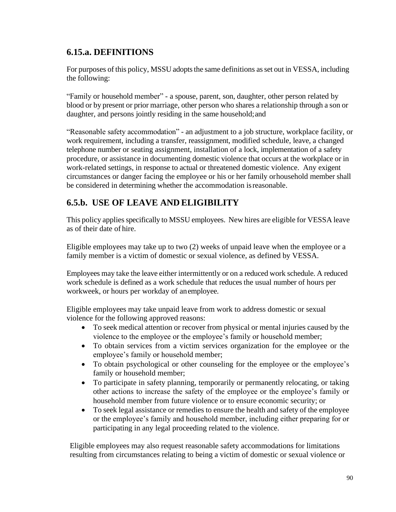## **6.15.a. DEFINITIONS**

For purposes of this policy, MSSU adopts the same definitions as set out in VESSA, including the following:

"Family or household member" - a spouse, parent, son, daughter, other person related by blood or by present or prior marriage, other person who shares a relationship through a son or daughter, and persons jointly residing in the same household; and

"Reasonable safety accommodation" - an adjustment to a job structure, workplace facility, or work requirement, including a transfer, reassignment, modified schedule, leave, a changed telephone number or seating assignment, installation of a lock, implementation of a safety procedure, or assistance in documenting domestic violence that occurs at the workplace or in work-related settings, in response to actual or threatened domestic violence. Any exigent circumstances or danger facing the employee or his or her family orhousehold member shall be considered in determining whether the accommodation isreasonable.

# **6.5.b. USE OF LEAVE AND ELIGIBILITY**

This policy applies specifically to MSSU employees. New hires are eligible for VESSA leave as of their date of hire.

Eligible employees may take up to two (2) weeks of unpaid leave when the employee or a family member is a victim of domestic or sexual violence, as defined by VESSA.

Employees may take the leave either intermittently or on a reduced work schedule. A reduced work schedule is defined as a work schedule that reduces the usual number of hours per workweek, or hours per workday of anemployee.

Eligible employees may take unpaid leave from work to address domestic or sexual violence for the following approved reasons:

- To seek medical attention or recover from physical or mental injuries caused by the violence to the employee or the employee's family or household member;
- To obtain services from a victim services organization for the employee or the employee's family or household member;
- To obtain psychological or other counseling for the employee or the employee's family or household member;
- To participate in safety planning, temporarily or permanently relocating, or taking other actions to increase the safety of the employee or the employee's family or household member from future violence or to ensure economic security; or
- To seek legal assistance or remedies to ensure the health and safety of the employee or the employee's family and household member, including either preparing for or participating in any legal proceeding related to the violence.

Eligible employees may also request reasonable safety accommodations for limitations resulting from circumstances relating to being a victim of domestic or sexual violence or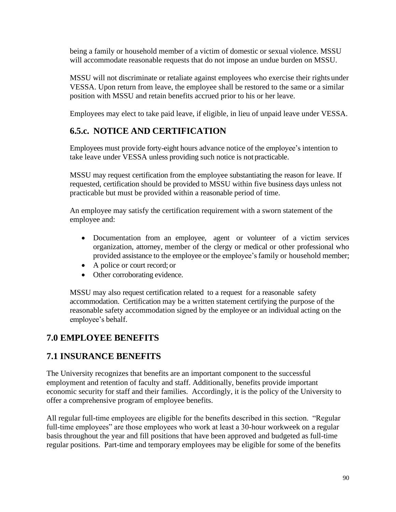being a family or household member of a victim of domestic or sexual violence. MSSU will accommodate reasonable requests that do not impose an undue burden on MSSU.

MSSU will not discriminate or retaliate against employees who exercise their rights under VESSA. Upon return from leave, the employee shall be restored to the same or a similar position with MSSU and retain benefits accrued prior to his or her leave.

Employees may elect to take paid leave, if eligible, in lieu of unpaid leave under VESSA.

# **6.5.c. NOTICE AND CERTIFICATION**

Employees must provide forty-eight hours advance notice of the employee's intention to take leave under VESSA unless providing such notice is not practicable.

MSSU may request certification from the employee substantiating the reason for leave. If requested, certification should be provided to MSSU within five business days unless not practicable but must be provided within a reasonable period of time.

An employee may satisfy the certification requirement with a sworn statement of the employee and:

- Documentation from an employee, agent or volunteer of a victim services organization, attorney, member of the clergy or medical or other professional who provided assistance to the employee or the employee's family or household member;
- A police or court record; or
- Other corroborating evidence.

MSSU may also request certification related to a request for a reasonable safety accommodation. Certification may be a written statement certifying the purpose of the reasonable safety accommodation signed by the employee or an individual acting on the employee's behalf.

## **7.0 EMPLOYEE BENEFITS**

## **7.1 INSURANCE BENEFITS**

The University recognizes that benefits are an important component to the successful employment and retention of faculty and staff. Additionally, benefits provide important economic security for staff and their families. Accordingly, it is the policy of the University to offer a comprehensive program of employee benefits.

All regular full-time employees are eligible for the benefits described in this section. "Regular full-time employees" are those employees who work at least a 30-hour workweek on a regular basis throughout the year and fill positions that have been approved and budgeted as full-time regular positions. Part-time and temporary employees may be eligible for some of the benefits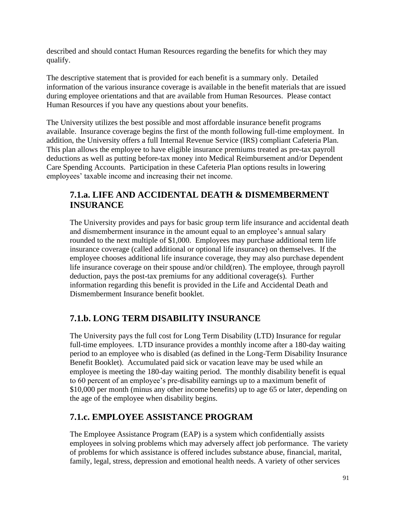described and should contact Human Resources regarding the benefits for which they may qualify.

The descriptive statement that is provided for each benefit is a summary only. Detailed information of the various insurance coverage is available in the benefit materials that are issued during employee orientations and that are available from Human Resources. Please contact Human Resources if you have any questions about your benefits.

The University utilizes the best possible and most affordable insurance benefit programs available. Insurance coverage begins the first of the month following full-time employment. In addition, the University offers a full Internal Revenue Service (IRS) compliant Cafeteria Plan. This plan allows the employee to have eligible insurance premiums treated as pre-tax payroll deductions as well as putting before-tax money into Medical Reimbursement and/or Dependent Care Spending Accounts. Participation in these Cafeteria Plan options results in lowering employees' taxable income and increasing their net income.

## **7.1.a. LIFE AND ACCIDENTAL DEATH & DISMEMBERMENT INSURANCE**

The University provides and pays for basic group term life insurance and accidental death and dismemberment insurance in the amount equal to an employee's annual salary rounded to the next multiple of \$1,000. Employees may purchase additional term life insurance coverage (called additional or optional life insurance) on themselves. If the employee chooses additional life insurance coverage, they may also purchase dependent life insurance coverage on their spouse and/or child(ren). The employee, through payroll deduction, pays the post-tax premiums for any additional coverage(s). Further information regarding this benefit is provided in the Life and Accidental Death and Dismemberment Insurance benefit booklet.

## **7.1.b. LONG TERM DISABILITY INSURANCE**

The University pays the full cost for Long Term Disability (LTD) Insurance for regular full-time employees. LTD insurance provides a monthly income after a 180-day waiting period to an employee who is disabled (as defined in the Long-Term Disability Insurance Benefit Booklet). Accumulated paid sick or vacation leave may be used while an employee is meeting the 180-day waiting period. The monthly disability benefit is equal to 60 percent of an employee's pre-disability earnings up to a maximum benefit of \$10,000 per month (minus any other income benefits) up to age 65 or later, depending on the age of the employee when disability begins.

## **7.1.c. EMPLOYEE ASSISTANCE PROGRAM**

The Employee Assistance Program (EAP) is a system which confidentially assists employees in solving problems which may adversely affect job performance. The variety of problems for which assistance is offered includes substance abuse, financial, marital, family, legal, stress, depression and emotional health needs. A variety of other services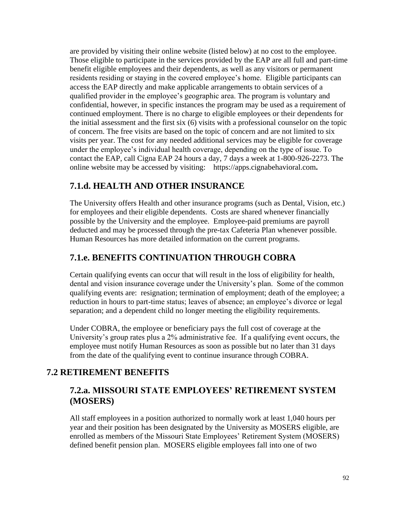are provided by visiting their online website (listed below) at no cost to the employee. Those eligible to participate in the services provided by the EAP are all full and part-time benefit eligible employees and their dependents, as well as any visitors or permanent residents residing or staying in the covered employee's home. Eligible participants can access the EAP directly and make applicable arrangements to obtain services of a qualified provider in the employee's geographic area. The program is voluntary and confidential, however, in specific instances the program may be used as a requirement of continued employment. There is no charge to eligible employees or their dependents for the initial assessment and the first six (6) visits with a professional counselor on the topic of concern. The free visits are based on the topic of concern and are not limited to six visits per year. The cost for any needed additional services may be eligible for coverage under the employee's individual health coverage, depending on the type of issue. To contact the EAP, call Cigna EAP 24 hours a day, 7 days a week at 1-800-926-2273. The online website may be accessed by visiting: https://apps.cignabehavioral.com**.**

### **7.1.d. HEALTH AND OTHER INSURANCE**

The University offers Health and other insurance programs (such as Dental, Vision, etc.) for employees and their eligible dependents. Costs are shared whenever financially possible by the University and the employee. Employee-paid premiums are payroll deducted and may be processed through the pre-tax Cafeteria Plan whenever possible. Human Resources has more detailed information on the current programs.

### **7.1.e. BENEFITS CONTINUATION THROUGH COBRA**

Certain qualifying events can occur that will result in the loss of eligibility for health, dental and vision insurance coverage under the University's plan. Some of the common qualifying events are: resignation; termination of employment; death of the employee; a reduction in hours to part-time status; leaves of absence; an employee's divorce or legal separation; and a dependent child no longer meeting the eligibility requirements.

Under COBRA, the employee or beneficiary pays the full cost of coverage at the University's group rates plus a 2% administrative fee. If a qualifying event occurs, the employee must notify Human Resources as soon as possible but no later than 31 days from the date of the qualifying event to continue insurance through COBRA.

## **7.2 RETIREMENT BENEFITS**

### **7.2.a. MISSOURI STATE EMPLOYEES' RETIREMENT SYSTEM (MOSERS)**

All staff employees in a position authorized to normally work at least 1,040 hours per year and their position has been designated by the University as MOSERS eligible, are enrolled as members of the Missouri State Employees' Retirement System (MOSERS) defined benefit pension plan. MOSERS eligible employees fall into one of two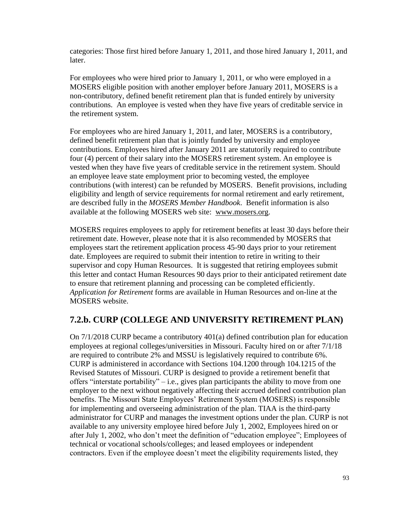categories: Those first hired before January 1, 2011, and those hired January 1, 2011, and later.

For employees who were hired prior to January 1, 2011, or who were employed in a MOSERS eligible position with another employer before January 2011, MOSERS is a non-contributory, defined benefit retirement plan that is funded entirely by university contributions. An employee is vested when they have five years of creditable service in the retirement system.

For employees who are hired January 1, 2011, and later, MOSERS is a contributory, defined benefit retirement plan that is jointly funded by university and employee contributions. Employees hired after January 2011 are statutorily required to contribute four (4) percent of their salary into the MOSERS retirement system. An employee is vested when they have five years of creditable service in the retirement system. Should an employee leave state employment prior to becoming vested, the employee contributions (with interest) can be refunded by MOSERS. Benefit provisions, including eligibility and length of service requirements for normal retirement and early retirement, are described fully in the *MOSERS Member Handbook*. Benefit information is also available at the following MOSERS web site: [www.mosers.org.](http://www.mosers.org/)

MOSERS requires employees to apply for retirement benefits at least 30 days before their retirement date. However, please note that it is also recommended by MOSERS that employees start the retirement application process 45-90 days prior to your retirement date. Employees are required to submit their intention to retire in writing to their supervisor and copy Human Resources. It is suggested that retiring employees submit this letter and contact Human Resources 90 days prior to their anticipated retirement date to ensure that retirement planning and processing can be completed efficiently. *Application for Retirement* forms are available in Human Resources and on-line at the MOSERS website.

### **7.2.b. CURP (COLLEGE AND UNIVERSITY RETIREMENT PLAN)**

On 7/1/2018 CURP became a contributory 401(a) defined contribution plan for education employees at regional colleges/universities in Missouri. Faculty hired on or after 7/1/18 are required to contribute 2% and MSSU is legislatively required to contribute 6%. CURP is administered in accordance with Sections 104.1200 through 104.1215 of the Revised Statutes of Missouri. CURP is designed to provide a retirement benefit that offers "interstate portability" – i.e., gives plan participants the ability to move from one employer to the next without negatively affecting their accrued defined contribution plan benefits. The Missouri State Employees' Retirement System (MOSERS) is responsible for implementing and overseeing administration of the plan. TIAA is the third-party administrator for CURP and manages the investment options under the plan. CURP is not available to any university employee hired before July 1, 2002, Employees hired on or after July 1, 2002, who don't meet the definition of "education employee"; Employees of technical or vocational schools/colleges; and leased employees or independent contractors. Even if the employee doesn't meet the eligibility requirements listed, they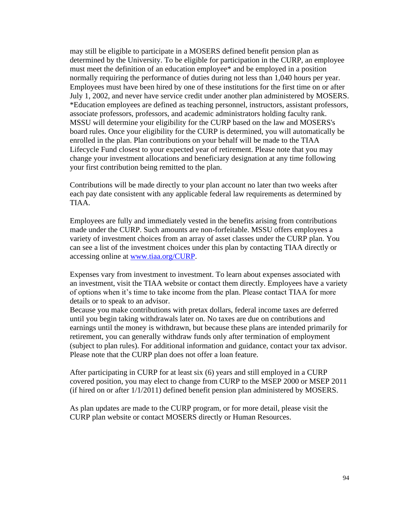may still be eligible to participate in a MOSERS defined benefit pension plan as determined by the University. To be eligible for participation in the CURP, an employee must meet the definition of an education employee\* and be employed in a position normally requiring the performance of duties during not less than 1,040 hours per year. Employees must have been hired by one of these institutions for the first time on or after July 1, 2002, and never have service credit under another plan administered by MOSERS. \*Education employees are defined as teaching personnel, instructors, assistant professors, associate professors, professors, and academic administrators holding faculty rank. MSSU will determine your eligibility for the CURP based on the law and MOSERS's board rules. Once your eligibility for the CURP is determined, you will automatically be enrolled in the plan. Plan contributions on your behalf will be made to the TIAA Lifecycle Fund closest to your expected year of retirement. Please note that you may change your investment allocations and beneficiary designation at any time following your first contribution being remitted to the plan.

Contributions will be made directly to your plan account no later than two weeks after each pay date consistent with any applicable federal law requirements as determined by TIAA.

Employees are fully and immediately vested in the benefits arising from contributions made under the CURP. Such amounts are non-forfeitable. MSSU offers employees a variety of investment choices from an array of asset classes under the CURP plan. You can see a list of the investment choices under this plan by contacting TIAA directly or accessing online at [www.tiaa.org/CURP.](http://www.tiaa.org/CURP)

Expenses vary from investment to investment. To learn about expenses associated with an investment, visit the TIAA website or contact them directly. Employees have a variety of options when it's time to take income from the plan. Please contact TIAA for more details or to speak to an advisor.

Because you make contributions with pretax dollars, federal income taxes are deferred until you begin taking withdrawals later on. No taxes are due on contributions and earnings until the money is withdrawn, but because these plans are intended primarily for retirement, you can generally withdraw funds only after termination of employment (subject to plan rules). For additional information and guidance, contact your tax advisor. Please note that the CURP plan does not offer a loan feature.

After participating in CURP for at least six (6) years and still employed in a CURP covered position, you may elect to change from CURP to the MSEP 2000 or MSEP 2011 (if hired on or after 1/1/2011) defined benefit pension plan administered by MOSERS.

As plan updates are made to the CURP program, or for more detail, please visit the CURP plan website or contact MOSERS directly or Human Resources.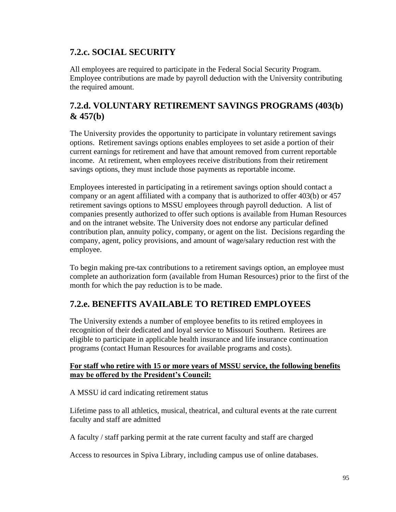## **7.2.c. SOCIAL SECURITY**

All employees are required to participate in the Federal Social Security Program. Employee contributions are made by payroll deduction with the University contributing the required amount.

## **7.2.d. VOLUNTARY RETIREMENT SAVINGS PROGRAMS (403(b) & 457(b)**

The University provides the opportunity to participate in voluntary retirement savings options. Retirement savings options enables employees to set aside a portion of their current earnings for retirement and have that amount removed from current reportable income. At retirement, when employees receive distributions from their retirement savings options, they must include those payments as reportable income.

Employees interested in participating in a retirement savings option should contact a company or an agent affiliated with a company that is authorized to offer 403(b) or 457 retirement savings options to MSSU employees through payroll deduction. A list of companies presently authorized to offer such options is available from Human Resources and on the intranet website. The University does not endorse any particular defined contribution plan, annuity policy, company, or agent on the list. Decisions regarding the company, agent, policy provisions, and amount of wage/salary reduction rest with the employee.

To begin making pre-tax contributions to a retirement savings option, an employee must complete an authorization form (available from Human Resources) prior to the first of the month for which the pay reduction is to be made.

## **7.2.e. BENEFITS AVAILABLE TO RETIRED EMPLOYEES**

The University extends a number of employee benefits to its retired employees in recognition of their dedicated and loyal service to Missouri Southern. Retirees are eligible to participate in applicable health insurance and life insurance continuation programs (contact Human Resources for available programs and costs).

### **For staff who retire with 15 or more years of MSSU service, the following benefits may be offered by the President's Council:**

A MSSU id card indicating retirement status

Lifetime pass to all athletics, musical, theatrical, and cultural events at the rate current faculty and staff are admitted

A faculty / staff parking permit at the rate current faculty and staff are charged

Access to resources in Spiva Library, including campus use of online databases.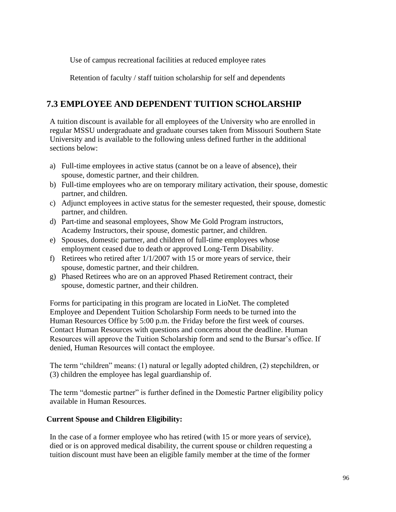Use of campus recreational facilities at reduced employee rates

Retention of faculty / staff tuition scholarship for self and dependents

## **7.3 EMPLOYEE AND DEPENDENT TUITION SCHOLARSHIP**

A tuition discount is available for all employees of the University who are enrolled in regular MSSU undergraduate and graduate courses taken from Missouri Southern State University and is available to the following unless defined further in the additional sections below:

- a) Full-time employees in active status (cannot be on a leave of absence), their spouse, domestic partner, and their children.
- b) Full-time employees who are on temporary military activation, their spouse, domestic partner, and children.
- c) Adjunct employees in active status for the semester requested, their spouse, domestic partner, and children.
- d) Part-time and seasonal employees, Show Me Gold Program instructors, Academy Instructors, their spouse, domestic partner, and children.
- e) Spouses, domestic partner, and children of full-time employees whose employment ceased due to death or approved Long-Term Disability.
- f) Retirees who retired after 1/1/2007 with 15 or more years of service, their spouse, domestic partner, and their children.
- g) Phased Retirees who are on an approved Phased Retirement contract, their spouse, domestic partner, and their children.

Forms for participating in this program are located in LioNet. The completed Employee and Dependent Tuition Scholarship Form needs to be turned into the Human Resources Office by 5:00 p.m. the Friday before the first week of courses. Contact Human Resources with questions and concerns about the deadline. Human Resources will approve the Tuition Scholarship form and send to the Bursar's office. If denied, Human Resources will contact the employee.

The term "children" means: (1) natural or legally adopted children, (2) stepchildren, or (3) children the employee has legal guardianship of.

The term "domestic partner" is further defined in the Domestic Partner eligibility policy available in Human Resources.

### **Current Spouse and Children Eligibility:**

In the case of a former employee who has retired (with 15 or more years of service), died or is on approved medical disability, the current spouse or children requesting a tuition discount must have been an eligible family member at the time of the former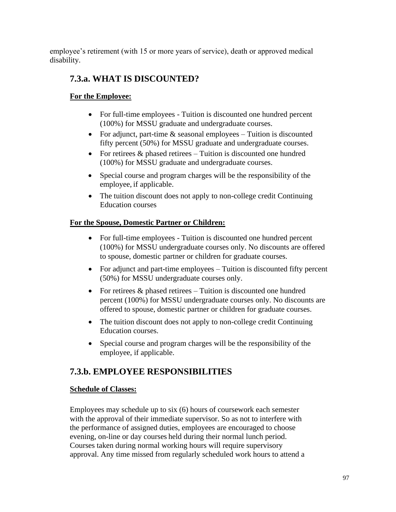employee's retirement (with 15 or more years of service), death or approved medical disability.

## **7.3.a. WHAT IS DISCOUNTED?**

### **For the Employee:**

- For full-time employees Tuition is discounted one hundred percent (100%) for MSSU graduate and undergraduate courses.
- For adjunct, part-time  $\&$  seasonal employees Tuition is discounted fifty percent (50%) for MSSU graduate and undergraduate courses.
- For retirees  $&$  phased retirees Tuition is discounted one hundred (100%) for MSSU graduate and undergraduate courses.
- Special course and program charges will be the responsibility of the employee, if applicable.
- The tuition discount does not apply to non-college credit Continuing Education courses

### **For the Spouse, Domestic Partner or Children:**

- For full-time employees Tuition is discounted one hundred percent (100%) for MSSU undergraduate courses only. No discounts are offered to spouse, domestic partner or children for graduate courses.
- For adjunct and part-time employees Tuition is discounted fifty percent (50%) for MSSU undergraduate courses only.
- For retirees  $&$  phased retirees Tuition is discounted one hundred percent (100%) for MSSU undergraduate courses only. No discounts are offered to spouse, domestic partner or children for graduate courses.
- The tuition discount does not apply to non-college credit Continuing Education courses.
- Special course and program charges will be the responsibility of the employee, if applicable.

## **7.3.b. EMPLOYEE RESPONSIBILITIES**

### **Schedule of Classes:**

Employees may schedule up to six (6) hours of coursework each semester with the approval of their immediate supervisor. So as not to interfere with the performance of assigned duties, employees are encouraged to choose evening, on-line or day courses held during their normal lunch period. Courses taken during normal working hours will require supervisory approval. Any time missed from regularly scheduled work hours to attend a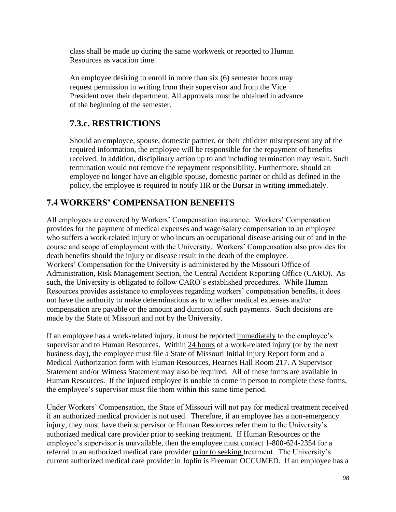class shall be made up during the same workweek or reported to Human Resources as vacation time.

An employee desiring to enroll in more than six (6) semester hours may request permission in writing from their supervisor and from the Vice President over their department. All approvals must be obtained in advance of the beginning of the semester.

## **7.3.c. RESTRICTIONS**

Should an employee, spouse, domestic partner, or their children misrepresent any of the required information, the employee will be responsible for the repayment of benefits received. In addition, disciplinary action up to and including termination may result. Such termination would not remove the repayment responsibility. Furthermore, should an employee no longer have an eligible spouse, domestic partner or child as defined in the policy, the employee is required to notify HR or the Bursar in writing immediately.

# **7.4 WORKERS' COMPENSATION BENEFITS**

All employees are covered by Workers' Compensation insurance. Workers' Compensation provides for the payment of medical expenses and wage/salary compensation to an employee who suffers a work-related injury or who incurs an occupational disease arising out of and in the course and scope of employment with the University. Workers' Compensation also provides for death benefits should the injury or disease result in the death of the employee. Workers' Compensation for the University is administered by the Missouri Office of Administration, Risk Management Section, the Central Accident Reporting Office (CARO). As such, the University is obligated to follow CARO's established procedures. While Human Resources provides assistance to employees regarding workers' compensation benefits, it does not have the authority to make determinations as to whether medical expenses and/or compensation are payable or the amount and duration of such payments. Such decisions are made by the State of Missouri and not by the University.

If an employee has a work-related injury, it must be reported immediately to the employee's supervisor and to Human Resources. Within 24 hours of a work-related injury (or by the next business day), the employee must file a State of Missouri Initial Injury Report form and a Medical Authorization form with Human Resources, Hearnes Hall Room 217. A Supervisor Statement and/or Witness Statement may also be required. All of these forms are available in Human Resources. If the injured employee is unable to come in person to complete these forms, the employee's supervisor must file them within this same time period.

Under Workers' Compensation, the State of Missouri will not pay for medical treatment received if an authorized medical provider is not used. Therefore, if an employee has a non-emergency injury, they must have their supervisor or Human Resources refer them to the University's authorized medical care provider prior to seeking treatment. If Human Resources or the employee's supervisor is unavailable, then the employee must contact 1-800-624-2354 for a referral to an authorized medical care provider prior to seeking treatment. The University's current authorized medical care provider in Joplin is Freeman OCCUMED. If an employee has a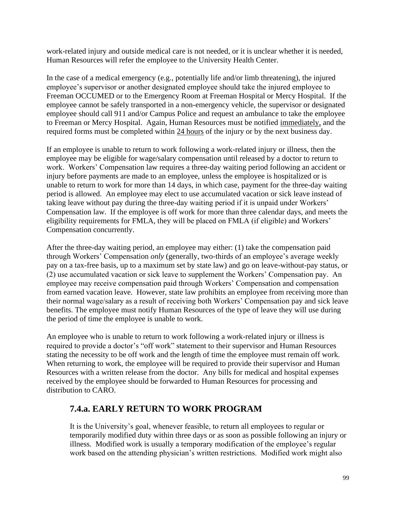work-related injury and outside medical care is not needed, or it is unclear whether it is needed, Human Resources will refer the employee to the University Health Center.

In the case of a medical emergency (e.g., potentially life and/or limb threatening), the injured employee's supervisor or another designated employee should take the injured employee to Freeman OCCUMED or to the Emergency Room at Freeman Hospital or Mercy Hospital. If the employee cannot be safely transported in a non-emergency vehicle, the supervisor or designated employee should call 911 and/or Campus Police and request an ambulance to take the employee to Freeman or Mercy Hospital. Again, Human Resources must be notified immediately, and the required forms must be completed within 24 hours of the injury or by the next business day.

If an employee is unable to return to work following a work-related injury or illness, then the employee may be eligible for wage/salary compensation until released by a doctor to return to work. Workers' Compensation law requires a three-day waiting period following an accident or injury before payments are made to an employee, unless the employee is hospitalized or is unable to return to work for more than 14 days, in which case, payment for the three-day waiting period is allowed. An employee may elect to use accumulated vacation or sick leave instead of taking leave without pay during the three-day waiting period if it is unpaid under Workers' Compensation law. If the employee is off work for more than three calendar days, and meets the eligibility requirements for FMLA, they will be placed on FMLA (if eligible) and Workers' Compensation concurrently.

After the three-day waiting period, an employee may either: (1) take the compensation paid through Workers' Compensation *only* (generally, two-thirds of an employee's average weekly pay on a tax-free basis, up to a maximum set by state law) and go on leave-without-pay status, or (2) use accumulated vacation or sick leave to supplement the Workers' Compensation pay. An employee may receive compensation paid through Workers' Compensation and compensation from earned vacation leave. However, state law prohibits an employee from receiving more than their normal wage/salary as a result of receiving both Workers' Compensation pay and sick leave benefits. The employee must notify Human Resources of the type of leave they will use during the period of time the employee is unable to work.

An employee who is unable to return to work following a work-related injury or illness is required to provide a doctor's "off work" statement to their supervisor and Human Resources stating the necessity to be off work and the length of time the employee must remain off work. When returning to work, the employee will be required to provide their supervisor and Human Resources with a written release from the doctor. Any bills for medical and hospital expenses received by the employee should be forwarded to Human Resources for processing and distribution to CARO.

### **7.4.a. EARLY RETURN TO WORK PROGRAM**

It is the University's goal, whenever feasible, to return all employees to regular or temporarily modified duty within three days or as soon as possible following an injury or illness. Modified work is usually a temporary modification of the employee's regular work based on the attending physician's written restrictions. Modified work might also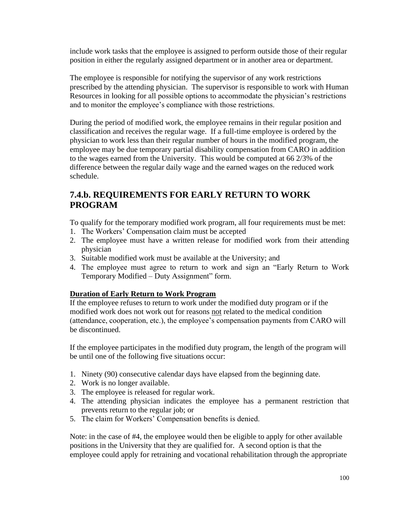include work tasks that the employee is assigned to perform outside those of their regular position in either the regularly assigned department or in another area or department.

The employee is responsible for notifying the supervisor of any work restrictions prescribed by the attending physician. The supervisor is responsible to work with Human Resources in looking for all possible options to accommodate the physician's restrictions and to monitor the employee's compliance with those restrictions.

During the period of modified work, the employee remains in their regular position and classification and receives the regular wage. If a full-time employee is ordered by the physician to work less than their regular number of hours in the modified program, the employee may be due temporary partial disability compensation from CARO in addition to the wages earned from the University. This would be computed at 66 2/3% of the difference between the regular daily wage and the earned wages on the reduced work schedule.

## **7.4.b. REQUIREMENTS FOR EARLY RETURN TO WORK PROGRAM**

To qualify for the temporary modified work program, all four requirements must be met:

- 1. The Workers' Compensation claim must be accepted
- 2. The employee must have a written release for modified work from their attending physician
- 3. Suitable modified work must be available at the University; and
- 4. The employee must agree to return to work and sign an "Early Return to Work Temporary Modified – Duty Assignment" form.

#### **Duration of Early Return to Work Program**

If the employee refuses to return to work under the modified duty program or if the modified work does not work out for reasons not related to the medical condition (attendance, cooperation, etc.), the employee's compensation payments from CARO will be discontinued.

If the employee participates in the modified duty program, the length of the program will be until one of the following five situations occur:

- 1. Ninety (90) consecutive calendar days have elapsed from the beginning date.
- 2. Work is no longer available.
- 3. The employee is released for regular work.
- 4. The attending physician indicates the employee has a permanent restriction that prevents return to the regular job; or
- 5. The claim for Workers' Compensation benefits is denied.

Note: in the case of #4, the employee would then be eligible to apply for other available positions in the University that they are qualified for. A second option is that the employee could apply for retraining and vocational rehabilitation through the appropriate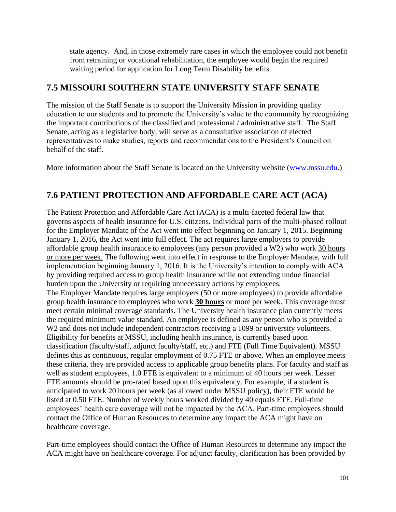state agency. And, in those extremely rare cases in which the employee could not benefit from retraining or vocational rehabilitation, the employee would begin the required waiting period for application for Long Term Disability benefits.

## **7.5 MISSOURI SOUTHERN STATE UNIVERSITY STAFF SENATE**

The mission of the Staff Senate is to support the University Mission in providing quality education to our students and to promote the University's value to the community by recognizing the important contributions of the classified and professional / administrative staff. The Staff Senate, acting as a legislative body, will serve as a consultative association of elected representatives to make studies, reports and recommendations to the President's Council on behalf of the staff.

More information about the Staff Senate is located on the University website [\(www.mssu.edu.](http://www.mssu.edu/))

# **7.6 PATIENT PROTECTION AND AFFORDABLE CARE ACT (ACA)**

The Patient Protection and Affordable Care Act (ACA) is a multi-faceted federal law that governs aspects of health insurance for U.S. citizens. Individual parts of the multi-phased rollout for the Employer Mandate of the Act went into effect beginning on January 1, 2015. Beginning January 1, 2016, the Act went into full effect. The act requires large employers to provide affordable group health insurance to employees (any person provided a W2) who work 30 hours or more per week. The following went into effect in response to the Employer Mandate, with full implementation beginning January 1, 2016. It is the University's intention to comply with ACA by providing required access to group health insurance while not extending undue financial burden upon the University or requiring unnecessary actions by employees.

The Employer Mandate requires large employers (50 or more employees) to provide affordable group health insurance to employees who work **30 hours** or more per week. This coverage must meet certain minimal coverage standards. The University health insurance plan currently meets the required minimum value standard. An employee is defined as any person who is provided a W<sub>2</sub> and does not include independent contractors receiving a 1099 or university volunteers. Eligibility for benefits at MSSU, including health insurance, is currently based upon classification (faculty/staff, adjunct faculty/staff, etc.) and FTE (Full Time Equivalent). MSSU defines this as continuous, regular employment of 0.75 FTE or above. When an employee meets these criteria, they are provided access to applicable group benefits plans. For faculty and staff as well as student employees, 1.0 FTE is equivalent to a minimum of 40 hours per week. Lesser FTE amounts should be pro-rated based upon this equivalency. For example, if a student is anticipated to work 20 hours per week (as allowed under MSSU policy), their FTE would be listed at 0.50 FTE. Number of weekly hours worked divided by 40 equals FTE. Full-time employees' health care coverage will not be impacted by the ACA. Part-time employees should contact the Office of Human Resources to determine any impact the ACA might have on healthcare coverage.

Part-time employees should contact the Office of Human Resources to determine any impact the ACA might have on healthcare coverage. For adjunct faculty, clarification has been provided by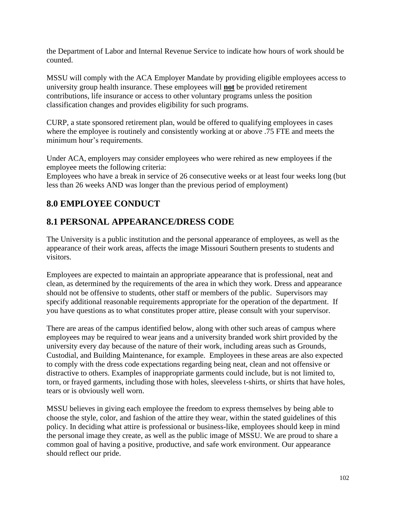the Department of Labor and Internal Revenue Service to indicate how hours of work should be counted.

MSSU will comply with the ACA Employer Mandate by providing eligible employees access to university group health insurance. These employees will **not** be provided retirement contributions, life insurance or access to other voluntary programs unless the position classification changes and provides eligibility for such programs.

CURP, a state sponsored retirement plan, would be offered to qualifying employees in cases where the employee is routinely and consistently working at or above .75 FTE and meets the minimum hour's requirements.

Under ACA, employers may consider employees who were rehired as new employees if the employee meets the following criteria:

Employees who have a break in service of 26 consecutive weeks or at least four weeks long (but less than 26 weeks AND was longer than the previous period of employment)

# **8.0 EMPLOYEE CONDUCT**

# **8.1 PERSONAL APPEARANCE/DRESS CODE**

The University is a public institution and the personal appearance of employees, as well as the appearance of their work areas, affects the image Missouri Southern presents to students and visitors.

Employees are expected to maintain an appropriate appearance that is professional, neat and clean, as determined by the requirements of the area in which they work. Dress and appearance should not be offensive to students, other staff or members of the public. Supervisors may specify additional reasonable requirements appropriate for the operation of the department. If you have questions as to what constitutes proper attire, please consult with your supervisor.

There are areas of the campus identified below, along with other such areas of campus where employees may be required to wear jeans and a university branded work shirt provided by the university every day because of the nature of their work, including areas such as Grounds, Custodial, and Building Maintenance, for example. Employees in these areas are also expected to comply with the dress code expectations regarding being neat, clean and not offensive or distractive to others. Examples of inappropriate garments could include, but is not limited to, torn, or frayed garments, including those with holes, sleeveless t-shirts, or shirts that have holes, tears or is obviously well worn.

MSSU believes in giving each employee the freedom to express themselves by being able to choose the style, color, and fashion of the attire they wear, within the stated guidelines of this policy. In deciding what attire is professional or business-like, employees should keep in mind the personal image they create, as well as the public image of MSSU. We are proud to share a common goal of having a positive, productive, and safe work environment. Our appearance should reflect our pride.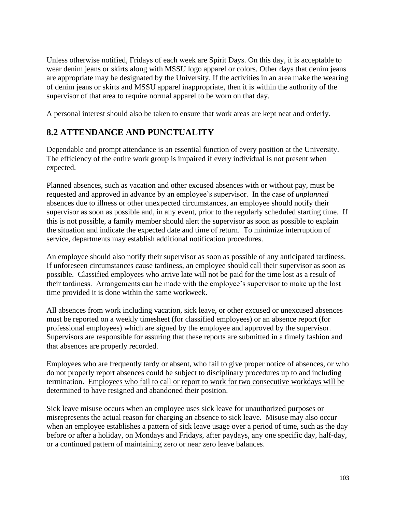Unless otherwise notified, Fridays of each week are Spirit Days. On this day, it is acceptable to wear denim jeans or skirts along with MSSU logo apparel or colors. Other days that denim jeans are appropriate may be designated by the University. If the activities in an area make the wearing of denim jeans or skirts and MSSU apparel inappropriate, then it is within the authority of the supervisor of that area to require normal apparel to be worn on that day.

A personal interest should also be taken to ensure that work areas are kept neat and orderly.

# **8.2 ATTENDANCE AND PUNCTUALITY**

Dependable and prompt attendance is an essential function of every position at the University. The efficiency of the entire work group is impaired if every individual is not present when expected.

Planned absences, such as vacation and other excused absences with or without pay, must be requested and approved in advance by an employee's supervisor. In the case of *unplanned* absences due to illness or other unexpected circumstances, an employee should notify their supervisor as soon as possible and, in any event, prior to the regularly scheduled starting time. If this is not possible, a family member should alert the supervisor as soon as possible to explain the situation and indicate the expected date and time of return. To minimize interruption of service, departments may establish additional notification procedures.

An employee should also notify their supervisor as soon as possible of any anticipated tardiness. If unforeseen circumstances cause tardiness, an employee should call their supervisor as soon as possible. Classified employees who arrive late will not be paid for the time lost as a result of their tardiness. Arrangements can be made with the employee's supervisor to make up the lost time provided it is done within the same workweek.

All absences from work including vacation, sick leave, or other excused or unexcused absences must be reported on a weekly timesheet (for classified employees) or an absence report (for professional employees) which are signed by the employee and approved by the supervisor. Supervisors are responsible for assuring that these reports are submitted in a timely fashion and that absences are properly recorded.

Employees who are frequently tardy or absent, who fail to give proper notice of absences, or who do not properly report absences could be subject to disciplinary procedures up to and including termination. Employees who fail to call or report to work for two consecutive workdays will be determined to have resigned and abandoned their position.

Sick leave misuse occurs when an employee uses sick leave for unauthorized purposes or misrepresents the actual reason for charging an absence to sick leave. Misuse may also occur when an employee establishes a pattern of sick leave usage over a period of time, such as the day before or after a holiday, on Mondays and Fridays, after paydays, any one specific day, half-day, or a continued pattern of maintaining zero or near zero leave balances.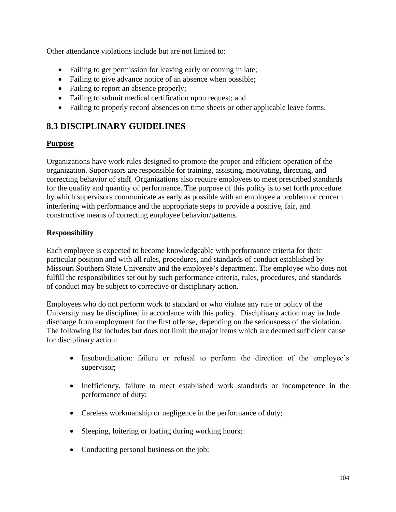Other attendance violations include but are not limited to:

- Failing to get permission for leaving early or coming in late;
- Failing to give advance notice of an absence when possible;
- Failing to report an absence properly;
- Failing to submit medical certification upon request; and
- Failing to properly record absences on time sheets or other applicable leave forms.

## **8.3 DISCIPLINARY GUIDELINES**

### **Purpose**

Organizations have work rules designed to promote the proper and efficient operation of the organization. Supervisors are responsible for training, assisting, motivating, directing, and correcting behavior of staff. Organizations also require employees to meet prescribed standards for the quality and quantity of performance. The purpose of this policy is to set forth procedure by which supervisors communicate as early as possible with an employee a problem or concern interfering with performance and the appropriate steps to provide a positive, fair, and constructive means of correcting employee behavior/patterns.

### **Responsibility**

Each employee is expected to become knowledgeable with performance criteria for their particular position and with all rules, procedures, and standards of conduct established by Missouri Southern State University and the employee's department. The employee who does not fulfill the responsibilities set out by such performance criteria, rules, procedures, and standards of conduct may be subject to corrective or disciplinary action.

Employees who do not perform work to standard or who violate any rule or policy of the University may be disciplined in accordance with this policy. Disciplinary action may include discharge from employment for the first offense, depending on the seriousness of the violation. The following list includes but does not limit the major items which are deemed sufficient cause for disciplinary action:

- Insubordination: failure or refusal to perform the direction of the employee's supervisor;
- Inefficiency, failure to meet established work standards or incompetence in the performance of duty;
- Careless workmanship or negligence in the performance of duty;
- Sleeping, loitering or loafing during working hours;
- Conducting personal business on the job;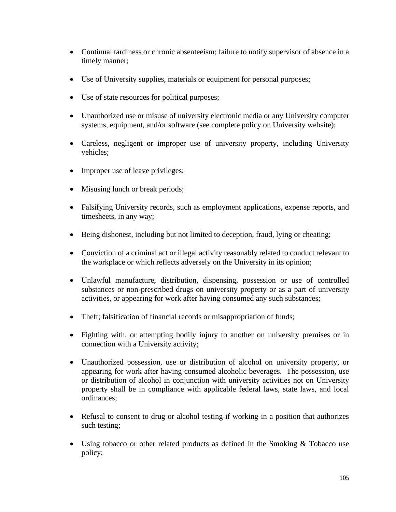- Continual tardiness or chronic absenteeism; failure to notify supervisor of absence in a timely manner;
- Use of University supplies, materials or equipment for personal purposes;
- Use of state resources for political purposes;
- Unauthorized use or misuse of university electronic media or any University computer systems, equipment, and/or software (see complete policy on University website);
- Careless, negligent or improper use of university property, including University vehicles;
- Improper use of leave privileges;
- Misusing lunch or break periods;
- Falsifying University records, such as employment applications, expense reports, and timesheets, in any way;
- Being dishonest, including but not limited to deception, fraud, lying or cheating;
- Conviction of a criminal act or illegal activity reasonably related to conduct relevant to the workplace or which reflects adversely on the University in its opinion;
- Unlawful manufacture, distribution, dispensing, possession or use of controlled substances or non-prescribed drugs on university property or as a part of university activities, or appearing for work after having consumed any such substances;
- Theft; falsification of financial records or misappropriation of funds;
- Fighting with, or attempting bodily injury to another on university premises or in connection with a University activity;
- Unauthorized possession, use or distribution of alcohol on university property, or appearing for work after having consumed alcoholic beverages. The possession, use or distribution of alcohol in conjunction with university activities not on University property shall be in compliance with applicable federal laws, state laws, and local ordinances;
- Refusal to consent to drug or alcohol testing if working in a position that authorizes such testing;
- Using tobacco or other related products as defined in the Smoking & Tobacco use policy;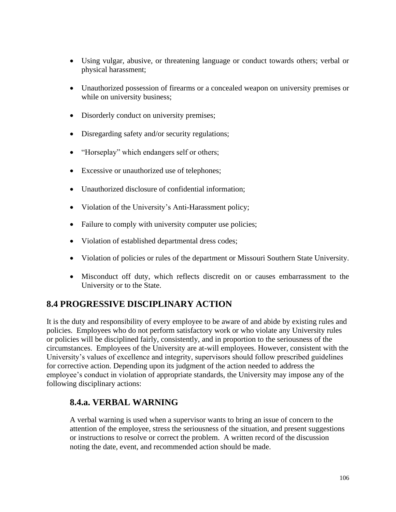- Using vulgar, abusive, or threatening language or conduct towards others; verbal or physical harassment;
- Unauthorized possession of firearms or a concealed weapon on university premises or while on university business;
- Disorderly conduct on university premises;
- Disregarding safety and/or security regulations;
- "Horseplay" which endangers self or others;
- Excessive or unauthorized use of telephones;
- Unauthorized disclosure of confidential information;
- Violation of the University's Anti-Harassment policy;
- Failure to comply with university computer use policies;
- Violation of established departmental dress codes;
- Violation of policies or rules of the department or Missouri Southern State University.
- Misconduct off duty, which reflects discredit on or causes embarrassment to the University or to the State.

## **8.4 PROGRESSIVE DISCIPLINARY ACTION**

It is the duty and responsibility of every employee to be aware of and abide by existing rules and policies. Employees who do not perform satisfactory work or who violate any University rules or policies will be disciplined fairly, consistently, and in proportion to the seriousness of the circumstances. Employees of the University are at-will employees. However, consistent with the University's values of excellence and integrity, supervisors should follow prescribed guidelines for corrective action. Depending upon its judgment of the action needed to address the employee's conduct in violation of appropriate standards, the University may impose any of the following disciplinary actions:

### **8.4.a. VERBAL WARNING**

A verbal warning is used when a supervisor wants to bring an issue of concern to the attention of the employee, stress the seriousness of the situation, and present suggestions or instructions to resolve or correct the problem. A written record of the discussion noting the date, event, and recommended action should be made.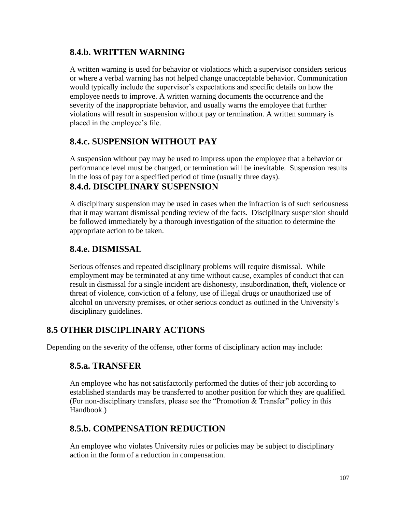## **8.4.b. WRITTEN WARNING**

A written warning is used for behavior or violations which a supervisor considers serious or where a verbal warning has not helped change unacceptable behavior. Communication would typically include the supervisor's expectations and specific details on how the employee needs to improve. A written warning documents the occurrence and the severity of the inappropriate behavior, and usually warns the employee that further violations will result in suspension without pay or termination. A written summary is placed in the employee's file.

## **8.4.c. SUSPENSION WITHOUT PAY**

A suspension without pay may be used to impress upon the employee that a behavior or performance level must be changed, or termination will be inevitable. Suspension results in the loss of pay for a specified period of time (usually three days).

### **8.4.d. DISCIPLINARY SUSPENSION**

A disciplinary suspension may be used in cases when the infraction is of such seriousness that it may warrant dismissal pending review of the facts. Disciplinary suspension should be followed immediately by a thorough investigation of the situation to determine the appropriate action to be taken.

## **8.4.e. DISMISSAL**

Serious offenses and repeated disciplinary problems will require dismissal. While employment may be terminated at any time without cause, examples of conduct that can result in dismissal for a single incident are dishonesty, insubordination, theft, violence or threat of violence, conviction of a felony, use of illegal drugs or unauthorized use of alcohol on university premises, or other serious conduct as outlined in the University's disciplinary guidelines.

## **8.5 OTHER DISCIPLINARY ACTIONS**

Depending on the severity of the offense, other forms of disciplinary action may include:

### **8.5.a. TRANSFER**

An employee who has not satisfactorily performed the duties of their job according to established standards may be transferred to another position for which they are qualified. (For non-disciplinary transfers, please see the "Promotion & Transfer" policy in this Handbook.)

### **8.5.b. COMPENSATION REDUCTION**

An employee who violates University rules or policies may be subject to disciplinary action in the form of a reduction in compensation.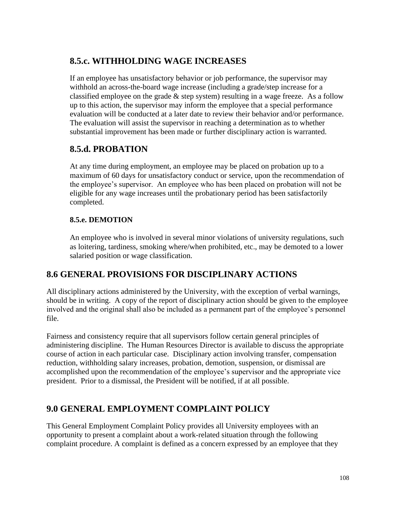# **8.5.c. WITHHOLDING WAGE INCREASES**

If an employee has unsatisfactory behavior or job performance, the supervisor may withhold an across-the-board wage increase (including a grade/step increase for a classified employee on the grade  $&$  step system) resulting in a wage freeze. As a follow up to this action, the supervisor may inform the employee that a special performance evaluation will be conducted at a later date to review their behavior and/or performance. The evaluation will assist the supervisor in reaching a determination as to whether substantial improvement has been made or further disciplinary action is warranted.

# **8.5.d. PROBATION**

At any time during employment, an employee may be placed on probation up to a maximum of 60 days for unsatisfactory conduct or service, upon the recommendation of the employee's supervisor. An employee who has been placed on probation will not be eligible for any wage increases until the probationary period has been satisfactorily completed.

## **8.5.e. DEMOTION**

An employee who is involved in several minor violations of university regulations, such as loitering, tardiness, smoking where/when prohibited, etc., may be demoted to a lower salaried position or wage classification.

# **8.6 GENERAL PROVISIONS FOR DISCIPLINARY ACTIONS**

All disciplinary actions administered by the University, with the exception of verbal warnings, should be in writing. A copy of the report of disciplinary action should be given to the employee involved and the original shall also be included as a permanent part of the employee's personnel file.

Fairness and consistency require that all supervisors follow certain general principles of administering discipline. The Human Resources Director is available to discuss the appropriate course of action in each particular case. Disciplinary action involving transfer, compensation reduction, withholding salary increases, probation, demotion, suspension, or dismissal are accomplished upon the recommendation of the employee's supervisor and the appropriate vice president. Prior to a dismissal, the President will be notified, if at all possible.

# **9.0 GENERAL EMPLOYMENT COMPLAINT POLICY**

This General Employment Complaint Policy provides all University employees with an opportunity to present a complaint about a work-related situation through the following complaint procedure. A complaint is defined as a concern expressed by an employee that they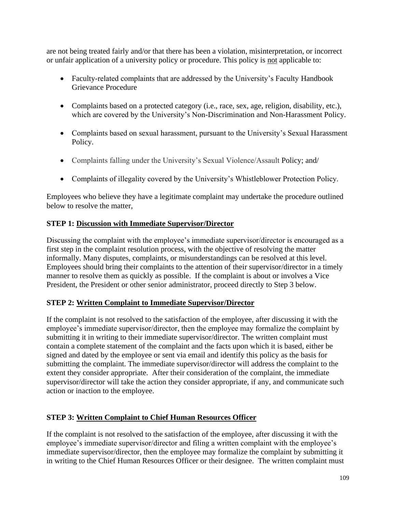are not being treated fairly and/or that there has been a violation, misinterpretation, or incorrect or unfair application of a university policy or procedure. This policy is not applicable to:

- Faculty-related complaints that are addressed by the University's Faculty Handbook Grievance Procedure
- Complaints based on a protected category (i.e., race, sex, age, religion, disability, etc.), which are covered by the University's Non-Discrimination and Non-Harassment Policy.
- Complaints based on sexual harassment, pursuant to the University's Sexual Harassment Policy.
- Complaints falling under the University's Sexual Violence/Assault Policy; and/
- Complaints of illegality covered by the University's Whistleblower Protection Policy.

Employees who believe they have a legitimate complaint may undertake the procedure outlined below to resolve the matter,

#### **STEP 1: Discussion with Immediate Supervisor/Director**

Discussing the complaint with the employee's immediate supervisor/director is encouraged as a first step in the complaint resolution process, with the objective of resolving the matter informally. Many disputes, complaints, or misunderstandings can be resolved at this level. Employees should bring their complaints to the attention of their supervisor/director in a timely manner to resolve them as quickly as possible. If the complaint is about or involves a Vice President, the President or other senior administrator, proceed directly to Step 3 below.

#### **STEP 2: Written Complaint to Immediate Supervisor/Director**

If the complaint is not resolved to the satisfaction of the employee, after discussing it with the employee's immediate supervisor/director, then the employee may formalize the complaint by submitting it in writing to their immediate supervisor/director. The written complaint must contain a complete statement of the complaint and the facts upon which it is based, either be signed and dated by the employee or sent via email and identify this policy as the basis for submitting the complaint. The immediate supervisor/director will address the complaint to the extent they consider appropriate. After their consideration of the complaint, the immediate supervisor/director will take the action they consider appropriate, if any, and communicate such action or inaction to the employee.

#### **STEP 3: Written Complaint to Chief Human Resources Officer**

If the complaint is not resolved to the satisfaction of the employee, after discussing it with the employee's immediate supervisor/director and filing a written complaint with the employee's immediate supervisor/director, then the employee may formalize the complaint by submitting it in writing to the Chief Human Resources Officer or their designee. The written complaint must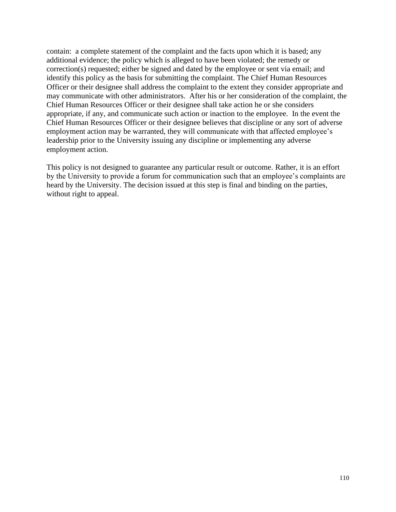contain: a complete statement of the complaint and the facts upon which it is based; any additional evidence; the policy which is alleged to have been violated; the remedy or correction(s) requested; either be signed and dated by the employee or sent via email; and identify this policy as the basis for submitting the complaint. The Chief Human Resources Officer or their designee shall address the complaint to the extent they consider appropriate and may communicate with other administrators. After his or her consideration of the complaint, the Chief Human Resources Officer or their designee shall take action he or she considers appropriate, if any, and communicate such action or inaction to the employee. In the event the Chief Human Resources Officer or their designee believes that discipline or any sort of adverse employment action may be warranted, they will communicate with that affected employee's leadership prior to the University issuing any discipline or implementing any adverse employment action.

This policy is not designed to guarantee any particular result or outcome. Rather, it is an effort by the University to provide a forum for communication such that an employee's complaints are heard by the University. The decision issued at this step is final and binding on the parties, without right to appeal.